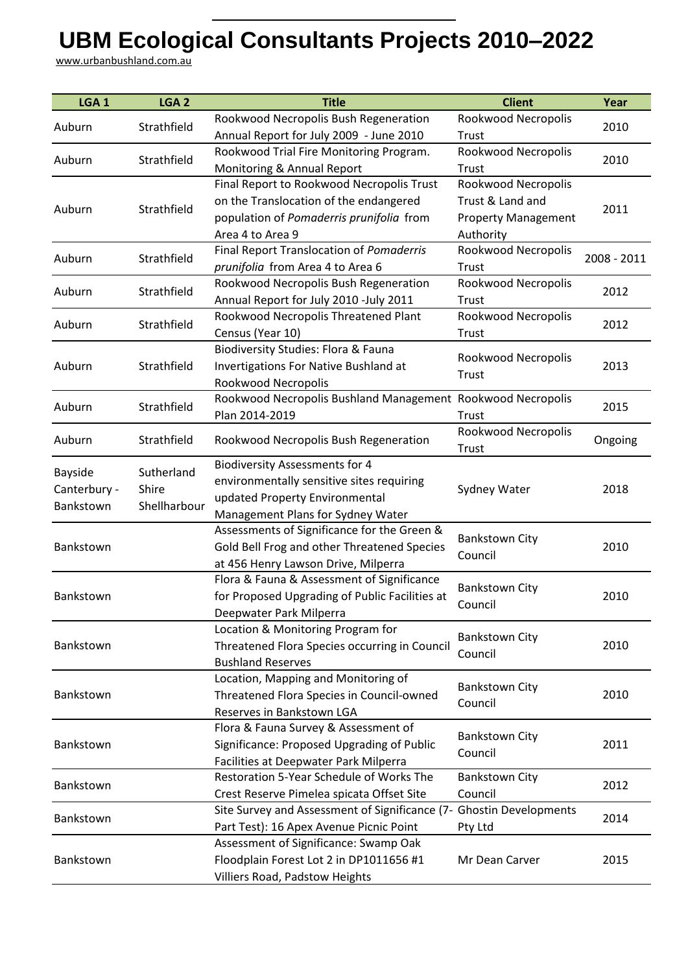## **UBM Ecological Consultants Projects 2010–2022**

www.urbanbushland.com.au

| LGA <sub>1</sub> | LGA <sub>2</sub> | <b>Title</b>                                                | <b>Client</b>                    | Year        |
|------------------|------------------|-------------------------------------------------------------|----------------------------------|-------------|
|                  |                  | Rookwood Necropolis Bush Regeneration                       | Rookwood Necropolis              |             |
| Auburn           | Strathfield      | Annual Report for July 2009 - June 2010                     | Trust                            | 2010        |
|                  | Strathfield      | Rookwood Trial Fire Monitoring Program.                     | Rookwood Necropolis              |             |
| Auburn           |                  | Monitoring & Annual Report                                  | Trust                            | 2010        |
|                  |                  | Final Report to Rookwood Necropolis Trust                   | Rookwood Necropolis              |             |
| Auburn           | Strathfield      | on the Translocation of the endangered                      | Trust & Land and                 | 2011        |
|                  |                  | population of Pomaderris prunifolia from                    | <b>Property Management</b>       |             |
|                  |                  | Area 4 to Area 9                                            | Authority                        |             |
| Auburn           | Strathfield      | Final Report Translocation of Pomaderris                    | Rookwood Necropolis              | 2008 - 2011 |
|                  |                  | prunifolia from Area 4 to Area 6                            | Trust                            |             |
| Auburn           | Strathfield      | Rookwood Necropolis Bush Regeneration                       | Rookwood Necropolis              | 2012        |
|                  |                  | Annual Report for July 2010 -July 2011                      | Trust                            |             |
| Auburn           | Strathfield      | Rookwood Necropolis Threatened Plant                        | Rookwood Necropolis              | 2012        |
|                  |                  | Census (Year 10)                                            | Trust                            |             |
|                  |                  | Biodiversity Studies: Flora & Fauna                         | Rookwood Necropolis              |             |
| Auburn           | Strathfield      | <b>Invertigations For Native Bushland at</b>                | Trust                            | 2013        |
|                  |                  | Rookwood Necropolis                                         |                                  |             |
| Auburn           | Strathfield      | Rookwood Necropolis Bushland Management Rookwood Necropolis |                                  | 2015        |
|                  |                  | Plan 2014-2019                                              | Trust                            |             |
| Auburn           | Strathfield      | Rookwood Necropolis Bush Regeneration                       | Rookwood Necropolis              | Ongoing     |
|                  |                  |                                                             | <b>Trust</b>                     |             |
| <b>Bayside</b>   | Sutherland       | <b>Biodiversity Assessments for 4</b>                       |                                  |             |
| Canterbury -     | Shire            | environmentally sensitive sites requiring                   | Sydney Water                     | 2018        |
| Bankstown        | Shellharbour     | updated Property Environmental                              |                                  |             |
|                  |                  | Management Plans for Sydney Water                           |                                  |             |
|                  |                  | Assessments of Significance for the Green &                 | <b>Bankstown City</b><br>Council | 2010        |
| Bankstown        |                  | Gold Bell Frog and other Threatened Species                 |                                  |             |
|                  |                  | at 456 Henry Lawson Drive, Milperra                         |                                  |             |
|                  |                  | Flora & Fauna & Assessment of Significance                  | <b>Bankstown City</b>            |             |
| Bankstown        |                  | for Proposed Upgrading of Public Facilities at              | Council                          | 2010        |
|                  |                  | Deepwater Park Milperra                                     |                                  |             |
|                  |                  | Location & Monitoring Program for                           | <b>Bankstown City</b>            |             |
| Bankstown        |                  | Threatened Flora Species occurring in Council               | Council                          | 2010        |
|                  |                  | <b>Bushland Reserves</b>                                    |                                  |             |
|                  |                  | Location, Mapping and Monitoring of                         | <b>Bankstown City</b>            |             |
| Bankstown        |                  | Threatened Flora Species in Council-owned                   | Council                          | 2010        |
|                  |                  | Reserves in Bankstown LGA                                   |                                  |             |
|                  |                  | Flora & Fauna Survey & Assessment of                        | <b>Bankstown City</b>            |             |
| Bankstown        |                  | Significance: Proposed Upgrading of Public                  | Council                          | 2011        |
|                  |                  | Facilities at Deepwater Park Milperra                       |                                  |             |
| Bankstown        |                  | Restoration 5-Year Schedule of Works The                    | <b>Bankstown City</b>            | 2012        |
|                  |                  | Crest Reserve Pimelea spicata Offset Site                   | Council                          |             |
| Bankstown        |                  | Site Survey and Assessment of Significance (7-              | <b>Ghostin Developments</b>      | 2014        |
|                  |                  | Part Test): 16 Apex Avenue Picnic Point                     | Pty Ltd                          |             |
|                  |                  | Assessment of Significance: Swamp Oak                       |                                  |             |
| Bankstown        |                  | Floodplain Forest Lot 2 in DP1011656 #1                     | Mr Dean Carver                   | 2015        |
|                  |                  | Villiers Road, Padstow Heights                              |                                  |             |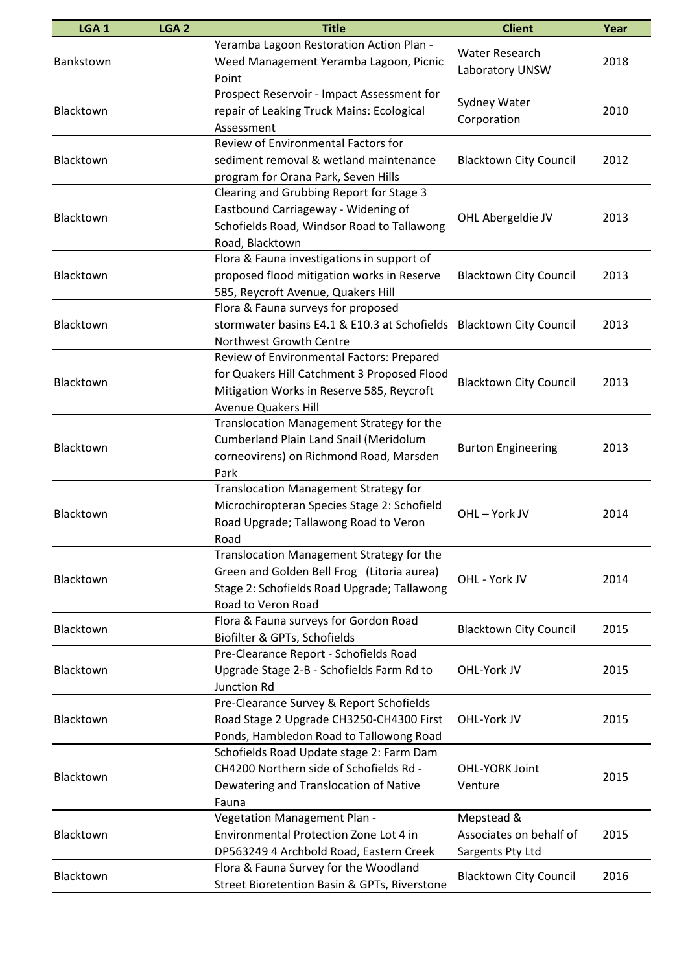| LGA <sub>1</sub> | LGA <sub>2</sub> | <b>Title</b>                                                                                                                                                        | <b>Client</b>                                             | Year |
|------------------|------------------|---------------------------------------------------------------------------------------------------------------------------------------------------------------------|-----------------------------------------------------------|------|
| Bankstown        |                  | Yeramba Lagoon Restoration Action Plan -<br>Weed Management Yeramba Lagoon, Picnic<br>Point                                                                         | <b>Water Research</b><br>Laboratory UNSW                  | 2018 |
| Blacktown        |                  | Prospect Reservoir - Impact Assessment for<br>repair of Leaking Truck Mains: Ecological<br>Assessment                                                               | Sydney Water<br>Corporation                               | 2010 |
| Blacktown        |                  | Review of Environmental Factors for<br>sediment removal & wetland maintenance<br>program for Orana Park, Seven Hills                                                | <b>Blacktown City Council</b>                             | 2012 |
| Blacktown        |                  | Clearing and Grubbing Report for Stage 3<br>Eastbound Carriageway - Widening of<br>Schofields Road, Windsor Road to Tallawong<br>Road, Blacktown                    | OHL Abergeldie JV                                         | 2013 |
| Blacktown        |                  | Flora & Fauna investigations in support of<br>proposed flood mitigation works in Reserve<br>585, Reycroft Avenue, Quakers Hill                                      | <b>Blacktown City Council</b>                             | 2013 |
| Blacktown        |                  | Flora & Fauna surveys for proposed<br>stormwater basins E4.1 & E10.3 at Schofields<br>Northwest Growth Centre                                                       | <b>Blacktown City Council</b>                             | 2013 |
| Blacktown        |                  | Review of Environmental Factors: Prepared<br>for Quakers Hill Catchment 3 Proposed Flood<br>Mitigation Works in Reserve 585, Reycroft<br><b>Avenue Quakers Hill</b> | <b>Blacktown City Council</b>                             | 2013 |
| Blacktown        |                  | Translocation Management Strategy for the<br>Cumberland Plain Land Snail (Meridolum<br>corneovirens) on Richmond Road, Marsden<br>Park                              | <b>Burton Engineering</b>                                 | 2013 |
| Blacktown        |                  | <b>Translocation Management Strategy for</b><br>Microchiropteran Species Stage 2: Schofield<br>Road Upgrade; Tallawong Road to Veron<br>Road                        | OHL-York JV                                               | 2014 |
| Blacktown        |                  | Translocation Management Strategy for the<br>Green and Golden Bell Frog (Litoria aurea)<br>Stage 2: Schofields Road Upgrade; Tallawong<br>Road to Veron Road        | OHL - York JV                                             | 2014 |
| Blacktown        |                  | Flora & Fauna surveys for Gordon Road<br>Biofilter & GPTs, Schofields                                                                                               | <b>Blacktown City Council</b>                             | 2015 |
| Blacktown        |                  | Pre-Clearance Report - Schofields Road<br>Upgrade Stage 2-B - Schofields Farm Rd to<br><b>Junction Rd</b>                                                           | OHL-York JV                                               | 2015 |
| Blacktown        |                  | Pre-Clearance Survey & Report Schofields<br>Road Stage 2 Upgrade CH3250-CH4300 First<br>Ponds, Hambledon Road to Tallowong Road                                     | OHL-York JV                                               | 2015 |
| Blacktown        |                  | Schofields Road Update stage 2: Farm Dam<br>CH4200 Northern side of Schofields Rd -<br>Dewatering and Translocation of Native<br>Fauna                              | <b>OHL-YORK Joint</b><br>Venture                          | 2015 |
| Blacktown        |                  | Vegetation Management Plan -<br>Environmental Protection Zone Lot 4 in<br>DP563249 4 Archbold Road, Eastern Creek                                                   | Mepstead &<br>Associates on behalf of<br>Sargents Pty Ltd | 2015 |
| Blacktown        |                  | Flora & Fauna Survey for the Woodland<br>Street Bioretention Basin & GPTs, Riverstone                                                                               | <b>Blacktown City Council</b>                             | 2016 |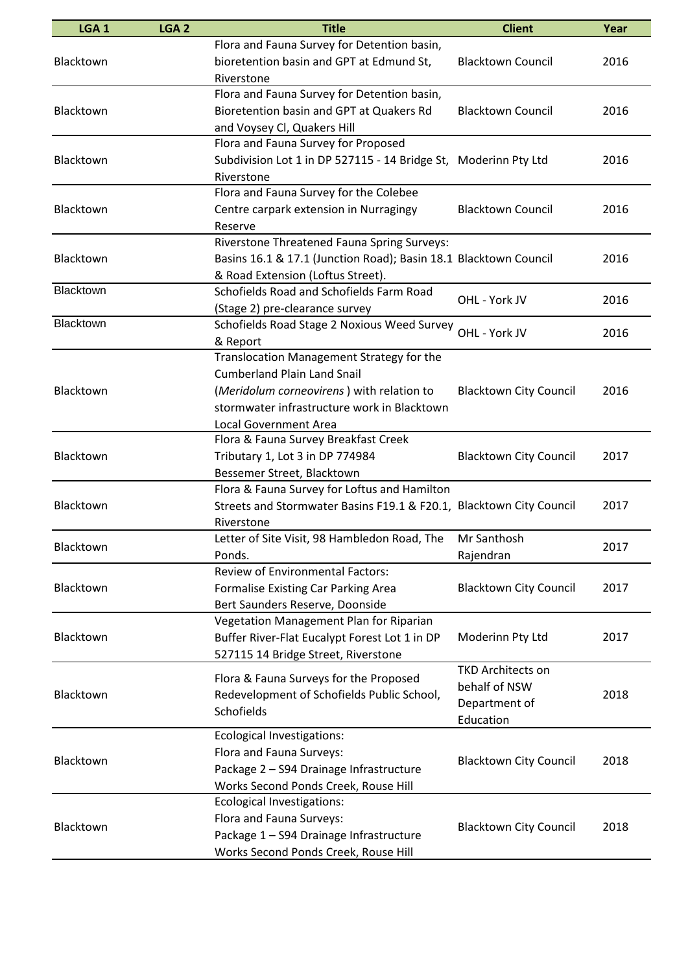| LGA <sub>1</sub> | LGA <sub>2</sub> | <b>Title</b>                                                                                                                                                                                                | <b>Client</b>                                                           | Year |
|------------------|------------------|-------------------------------------------------------------------------------------------------------------------------------------------------------------------------------------------------------------|-------------------------------------------------------------------------|------|
| Blacktown        |                  | Flora and Fauna Survey for Detention basin,<br>bioretention basin and GPT at Edmund St,                                                                                                                     | <b>Blacktown Council</b>                                                | 2016 |
| Blacktown        |                  | Riverstone<br>Flora and Fauna Survey for Detention basin,<br>Bioretention basin and GPT at Quakers Rd                                                                                                       | <b>Blacktown Council</b>                                                | 2016 |
|                  |                  | and Voysey Cl, Quakers Hill<br>Flora and Fauna Survey for Proposed                                                                                                                                          |                                                                         |      |
| Blacktown        |                  | Subdivision Lot 1 in DP 527115 - 14 Bridge St, Moderinn Pty Ltd<br>Riverstone                                                                                                                               |                                                                         | 2016 |
| Blacktown        |                  | Flora and Fauna Survey for the Colebee<br>Centre carpark extension in Nurragingy<br>Reserve                                                                                                                 | <b>Blacktown Council</b>                                                | 2016 |
| Blacktown        |                  | Riverstone Threatened Fauna Spring Surveys:<br>Basins 16.1 & 17.1 (Junction Road); Basin 18.1 Blacktown Council<br>& Road Extension (Loftus Street).                                                        |                                                                         | 2016 |
| Blacktown        |                  | Schofields Road and Schofields Farm Road<br>(Stage 2) pre-clearance survey                                                                                                                                  | OHL - York JV                                                           | 2016 |
| Blacktown        |                  | Schofields Road Stage 2 Noxious Weed Survey OHL - York JV<br>& Report                                                                                                                                       |                                                                         | 2016 |
| Blacktown        |                  | Translocation Management Strategy for the<br><b>Cumberland Plain Land Snail</b><br>(Meridolum corneovirens) with relation to<br>stormwater infrastructure work in Blacktown<br><b>Local Government Area</b> | <b>Blacktown City Council</b>                                           | 2016 |
| Blacktown        |                  | Flora & Fauna Survey Breakfast Creek<br>Tributary 1, Lot 3 in DP 774984<br>Bessemer Street, Blacktown                                                                                                       | <b>Blacktown City Council</b>                                           | 2017 |
| Blacktown        |                  | Flora & Fauna Survey for Loftus and Hamilton<br>Streets and Stormwater Basins F19.1 & F20.1, Blacktown City Council<br>Riverstone                                                                           |                                                                         | 2017 |
| Blacktown        |                  | Letter of Site Visit, 98 Hambledon Road, The<br>Ponds.                                                                                                                                                      | Mr Santhosh<br>Rajendran                                                | 2017 |
| Blacktown        |                  | <b>Review of Environmental Factors:</b><br>Formalise Existing Car Parking Area<br>Bert Saunders Reserve, Doonside                                                                                           | <b>Blacktown City Council</b>                                           | 2017 |
| Blacktown        |                  | Vegetation Management Plan for Riparian<br>Buffer River-Flat Eucalypt Forest Lot 1 in DP<br>527115 14 Bridge Street, Riverstone                                                                             | Moderinn Pty Ltd                                                        | 2017 |
| Blacktown        |                  | Flora & Fauna Surveys for the Proposed<br>Redevelopment of Schofields Public School,<br>Schofields                                                                                                          | <b>TKD Architects on</b><br>behalf of NSW<br>Department of<br>Education | 2018 |
| Blacktown        |                  | <b>Ecological Investigations:</b><br>Flora and Fauna Surveys:<br>Package 2 - S94 Drainage Infrastructure<br>Works Second Ponds Creek, Rouse Hill                                                            | <b>Blacktown City Council</b>                                           | 2018 |
| Blacktown        |                  | <b>Ecological Investigations:</b><br>Flora and Fauna Surveys:<br>Package 1 - S94 Drainage Infrastructure<br>Works Second Ponds Creek, Rouse Hill                                                            | <b>Blacktown City Council</b>                                           | 2018 |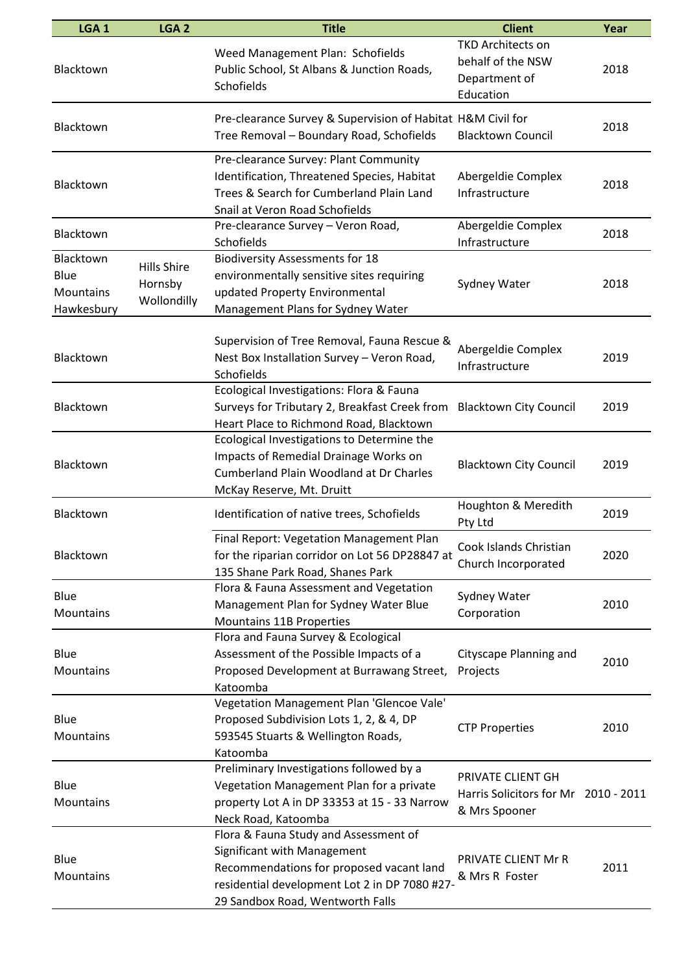| LGA <sub>1</sub>                             | LGA <sub>2</sub>                             | <b>Title</b>                                                                                                                                                                                          | <b>Client</b>                                                               | Year |
|----------------------------------------------|----------------------------------------------|-------------------------------------------------------------------------------------------------------------------------------------------------------------------------------------------------------|-----------------------------------------------------------------------------|------|
| Blacktown                                    |                                              | Weed Management Plan: Schofields<br>Public School, St Albans & Junction Roads,<br>Schofields                                                                                                          | <b>TKD Architects on</b><br>behalf of the NSW<br>Department of<br>Education | 2018 |
| Blacktown                                    |                                              | Pre-clearance Survey & Supervision of Habitat H&M Civil for<br>Tree Removal - Boundary Road, Schofields                                                                                               | <b>Blacktown Council</b>                                                    | 2018 |
| Blacktown                                    |                                              | Pre-clearance Survey: Plant Community<br>Identification, Threatened Species, Habitat<br>Trees & Search for Cumberland Plain Land<br>Snail at Veron Road Schofields                                    | Abergeldie Complex<br>Infrastructure                                        | 2018 |
| Blacktown                                    |                                              | Pre-clearance Survey - Veron Road,<br>Schofields                                                                                                                                                      | Abergeldie Complex<br>Infrastructure                                        | 2018 |
| Blacktown<br>Blue<br>Mountains<br>Hawkesbury | <b>Hills Shire</b><br>Hornsby<br>Wollondilly | <b>Biodiversity Assessments for 18</b><br>environmentally sensitive sites requiring<br>updated Property Environmental<br>Management Plans for Sydney Water                                            | Sydney Water                                                                | 2018 |
| Blacktown                                    |                                              | Supervision of Tree Removal, Fauna Rescue &<br>Nest Box Installation Survey - Veron Road,<br>Schofields                                                                                               | Abergeldie Complex<br>Infrastructure                                        | 2019 |
| Blacktown                                    |                                              | Ecological Investigations: Flora & Fauna<br>Surveys for Tributary 2, Breakfast Creek from<br>Heart Place to Richmond Road, Blacktown                                                                  | <b>Blacktown City Council</b>                                               | 2019 |
| Blacktown                                    |                                              | Ecological Investigations to Determine the<br>Impacts of Remedial Drainage Works on<br><b>Cumberland Plain Woodland at Dr Charles</b><br>McKay Reserve, Mt. Druitt                                    | <b>Blacktown City Council</b>                                               | 2019 |
| Blacktown                                    |                                              | Identification of native trees, Schofields                                                                                                                                                            | Houghton & Meredith<br>Pty Ltd                                              | 2019 |
| Blacktown                                    |                                              | Final Report: Vegetation Management Plan<br>for the riparian corridor on Lot 56 DP28847 at<br>135 Shane Park Road, Shanes Park                                                                        | Cook Islands Christian<br>Church Incorporated                               | 2020 |
| Blue<br>Mountains                            |                                              | Flora & Fauna Assessment and Vegetation<br>Management Plan for Sydney Water Blue<br><b>Mountains 11B Properties</b>                                                                                   | Sydney Water<br>Corporation                                                 | 2010 |
| Blue<br>Mountains                            |                                              | Flora and Fauna Survey & Ecological<br>Assessment of the Possible Impacts of a<br>Proposed Development at Burrawang Street,<br>Katoomba                                                               | Cityscape Planning and<br>Projects                                          | 2010 |
| Blue<br>Mountains                            |                                              | Vegetation Management Plan 'Glencoe Vale'<br>Proposed Subdivision Lots 1, 2, & 4, DP<br>593545 Stuarts & Wellington Roads,<br>Katoomba                                                                | <b>CTP Properties</b>                                                       | 2010 |
| Blue<br>Mountains                            |                                              | Preliminary Investigations followed by a<br>Vegetation Management Plan for a private<br>property Lot A in DP 33353 at 15 - 33 Narrow<br>Neck Road, Katoomba                                           | PRIVATE CLIENT GH<br>Harris Solicitors for Mr 2010 - 2011<br>& Mrs Spooner  |      |
| Blue<br>Mountains                            |                                              | Flora & Fauna Study and Assessment of<br>Significant with Management<br>Recommendations for proposed vacant land<br>residential development Lot 2 in DP 7080 #27-<br>29 Sandbox Road, Wentworth Falls | PRIVATE CLIENT Mr R<br>& Mrs R Foster                                       | 2011 |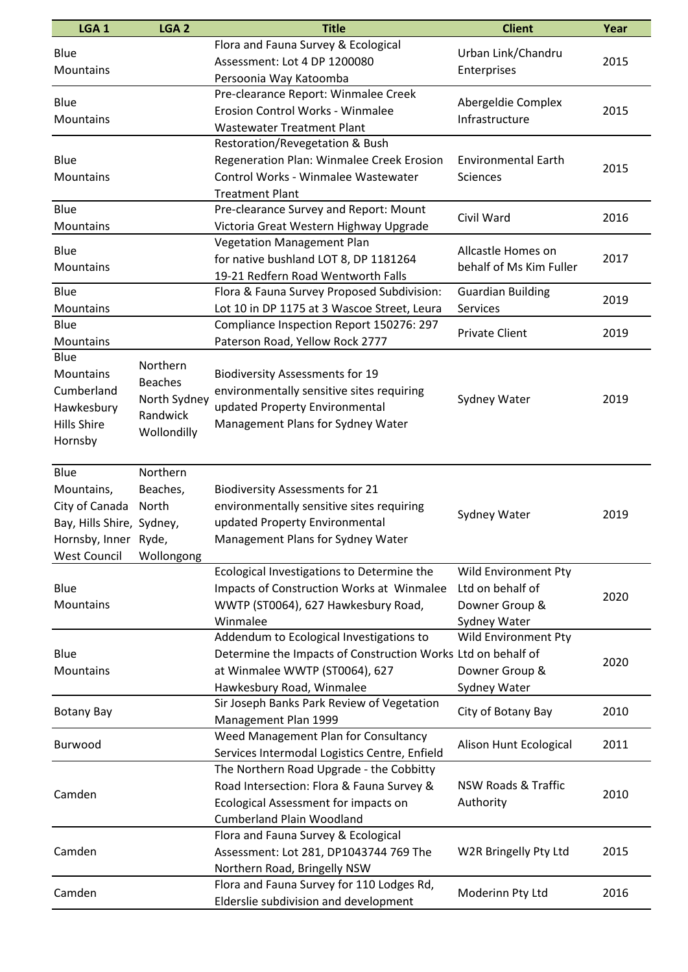| LGA <sub>1</sub>                                                                                                | LGA <sub>2</sub>                                                      | <b>Title</b>                                                                                                                                                            | <b>Client</b>                                                                     | Year |
|-----------------------------------------------------------------------------------------------------------------|-----------------------------------------------------------------------|-------------------------------------------------------------------------------------------------------------------------------------------------------------------------|-----------------------------------------------------------------------------------|------|
| Blue<br>Mountains                                                                                               |                                                                       | Flora and Fauna Survey & Ecological<br>Assessment: Lot 4 DP 1200080<br>Persoonia Way Katoomba                                                                           | Urban Link/Chandru<br>Enterprises                                                 | 2015 |
| Blue<br>Mountains                                                                                               |                                                                       | Pre-clearance Report: Winmalee Creek<br>Erosion Control Works - Winmalee<br><b>Wastewater Treatment Plant</b>                                                           | Abergeldie Complex<br>Infrastructure                                              | 2015 |
| Blue<br>Mountains                                                                                               |                                                                       | Restoration/Revegetation & Bush<br>Regeneration Plan: Winmalee Creek Erosion<br>Control Works - Winmalee Wastewater<br><b>Treatment Plant</b>                           | <b>Environmental Earth</b><br><b>Sciences</b>                                     | 2015 |
| Blue<br>Mountains                                                                                               |                                                                       | Pre-clearance Survey and Report: Mount<br>Victoria Great Western Highway Upgrade                                                                                        | Civil Ward                                                                        | 2016 |
| Blue<br>Mountains                                                                                               |                                                                       | Vegetation Management Plan<br>for native bushland LOT 8, DP 1181264<br>19-21 Redfern Road Wentworth Falls                                                               | Allcastle Homes on<br>behalf of Ms Kim Fuller                                     | 2017 |
| Blue<br>Mountains                                                                                               |                                                                       | Flora & Fauna Survey Proposed Subdivision:<br>Lot 10 in DP 1175 at 3 Wascoe Street, Leura                                                                               | <b>Guardian Building</b><br>Services                                              | 2019 |
| Blue<br>Mountains                                                                                               |                                                                       | Compliance Inspection Report 150276: 297<br>Paterson Road, Yellow Rock 2777                                                                                             | <b>Private Client</b>                                                             | 2019 |
| Blue<br>Mountains<br>Cumberland<br>Hawkesbury<br><b>Hills Shire</b><br>Hornsby                                  | Northern<br><b>Beaches</b><br>North Sydney<br>Randwick<br>Wollondilly | <b>Biodiversity Assessments for 19</b><br>environmentally sensitive sites requiring<br>updated Property Environmental<br>Management Plans for Sydney Water              | Sydney Water                                                                      | 2019 |
| Blue<br>Mountains,<br>City of Canada<br>Bay, Hills Shire, Sydney,<br>Hornsby, Inner Ryde<br><b>West Council</b> | Northern<br>Beaches,<br>North<br>Wollongong                           | <b>Biodiversity Assessments for 21</b><br>environmentally sensitive sites requiring<br>updated Property Environmental<br>Management Plans for Sydney Water              | Sydney Water                                                                      | 2019 |
| Blue<br>Mountains                                                                                               |                                                                       | Ecological Investigations to Determine the<br>Impacts of Construction Works at Winmalee<br>WWTP (ST0064), 627 Hawkesbury Road,<br>Winmalee                              | <b>Wild Environment Pty</b><br>Ltd on behalf of<br>Downer Group &<br>Sydney Water | 2020 |
| Blue<br>Mountains                                                                                               |                                                                       | Addendum to Ecological Investigations to<br>Determine the Impacts of Construction Works Ltd on behalf of<br>at Winmalee WWTP (ST0064), 627<br>Hawkesbury Road, Winmalee | Wild Environment Pty<br>Downer Group &<br>Sydney Water                            | 2020 |
| <b>Botany Bay</b>                                                                                               |                                                                       | Sir Joseph Banks Park Review of Vegetation<br>Management Plan 1999                                                                                                      | City of Botany Bay                                                                | 2010 |
| <b>Burwood</b>                                                                                                  |                                                                       | Weed Management Plan for Consultancy<br>Services Intermodal Logistics Centre, Enfield                                                                                   | Alison Hunt Ecological                                                            | 2011 |
| Camden                                                                                                          |                                                                       | The Northern Road Upgrade - the Cobbitty<br>Road Intersection: Flora & Fauna Survey &<br>Ecological Assessment for impacts on<br><b>Cumberland Plain Woodland</b>       | NSW Roads & Traffic<br>Authority                                                  | 2010 |
| Camden                                                                                                          |                                                                       | Flora and Fauna Survey & Ecological<br>Assessment: Lot 281, DP1043744 769 The<br>Northern Road, Bringelly NSW                                                           | W2R Bringelly Pty Ltd                                                             | 2015 |
| Camden                                                                                                          |                                                                       | Flora and Fauna Survey for 110 Lodges Rd,<br>Elderslie subdivision and development                                                                                      | Moderinn Pty Ltd                                                                  | 2016 |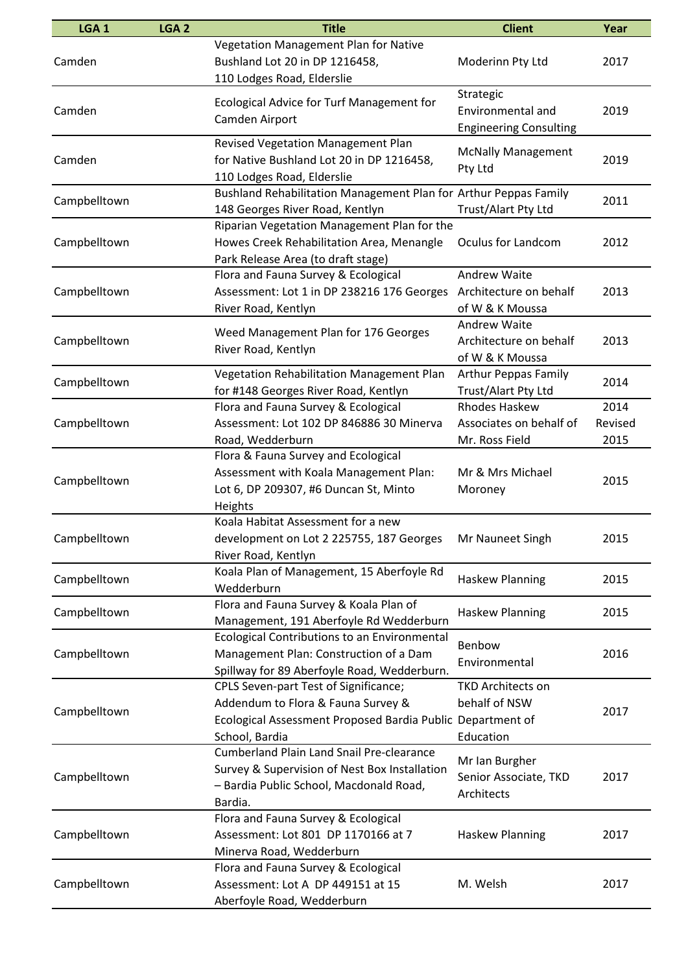| LGA <sub>1</sub> | LGA <sub>2</sub> | <b>Title</b>                                                                                                                                                | <b>Client</b>                                                     | Year                    |
|------------------|------------------|-------------------------------------------------------------------------------------------------------------------------------------------------------------|-------------------------------------------------------------------|-------------------------|
| Camden           |                  | Vegetation Management Plan for Native<br>Bushland Lot 20 in DP 1216458,<br>110 Lodges Road, Elderslie                                                       | Moderinn Pty Ltd                                                  | 2017                    |
| Camden           |                  | <b>Ecological Advice for Turf Management for</b><br>Camden Airport                                                                                          | Strategic<br>Environmental and<br><b>Engineering Consulting</b>   | 2019                    |
| Camden           |                  | <b>Revised Vegetation Management Plan</b><br>for Native Bushland Lot 20 in DP 1216458,<br>110 Lodges Road, Elderslie                                        | <b>McNally Management</b><br>Pty Ltd                              | 2019                    |
| Campbelltown     |                  | Bushland Rehabilitation Management Plan for Arthur Peppas Family<br>148 Georges River Road, Kentlyn                                                         | Trust/Alart Pty Ltd                                               | 2011                    |
| Campbelltown     |                  | Riparian Vegetation Management Plan for the<br>Howes Creek Rehabilitation Area, Menangle<br>Park Release Area (to draft stage)                              | Oculus for Landcom                                                | 2012                    |
| Campbelltown     |                  | Flora and Fauna Survey & Ecological<br>Assessment: Lot 1 in DP 238216 176 Georges Architecture on behalf<br>River Road, Kentlyn                             | <b>Andrew Waite</b><br>of W & K Moussa                            | 2013                    |
| Campbelltown     |                  | Weed Management Plan for 176 Georges<br>River Road, Kentlyn                                                                                                 | Andrew Waite<br>Architecture on behalf<br>of W & K Moussa         | 2013                    |
| Campbelltown     |                  | Vegetation Rehabilitation Management Plan<br>for #148 Georges River Road, Kentlyn                                                                           | <b>Arthur Peppas Family</b><br>Trust/Alart Pty Ltd                | 2014                    |
| Campbelltown     |                  | Flora and Fauna Survey & Ecological<br>Assessment: Lot 102 DP 846886 30 Minerva<br>Road, Wedderburn                                                         | <b>Rhodes Haskew</b><br>Associates on behalf of<br>Mr. Ross Field | 2014<br>Revised<br>2015 |
| Campbelltown     |                  | Flora & Fauna Survey and Ecological<br>Assessment with Koala Management Plan:<br>Lot 6, DP 209307, #6 Duncan St, Minto<br>Heights                           | Mr & Mrs Michael<br>Moroney                                       | 2015                    |
| Campbelltown     |                  | Koala Habitat Assessment for a new<br>development on Lot 2 225755, 187 Georges Mr Nauneet Singh<br>River Road, Kentlyn                                      |                                                                   | 2015                    |
| Campbelltown     |                  | Koala Plan of Management, 15 Aberfoyle Rd<br>Wedderburn                                                                                                     | <b>Haskew Planning</b>                                            | 2015                    |
| Campbelltown     |                  | Flora and Fauna Survey & Koala Plan of<br>Management, 191 Aberfoyle Rd Wedderburn                                                                           | Haskew Planning                                                   | 2015                    |
| Campbelltown     |                  | <b>Ecological Contributions to an Environmental</b><br>Management Plan: Construction of a Dam<br>Spillway for 89 Aberfoyle Road, Wedderburn.                | Benbow<br>Environmental                                           | 2016                    |
| Campbelltown     |                  | CPLS Seven-part Test of Significance;<br>Addendum to Flora & Fauna Survey &<br>Ecological Assessment Proposed Bardia Public Department of<br>School, Bardia | <b>TKD Architects on</b><br>behalf of NSW<br>Education            | 2017                    |
| Campbelltown     |                  | <b>Cumberland Plain Land Snail Pre-clearance</b><br>Survey & Supervision of Nest Box Installation<br>- Bardia Public School, Macdonald Road,<br>Bardia.     | Mr Ian Burgher<br>Senior Associate, TKD<br>Architects             | 2017                    |
| Campbelltown     |                  | Flora and Fauna Survey & Ecological<br>Assessment: Lot 801 DP 1170166 at 7<br>Minerva Road, Wedderburn                                                      | <b>Haskew Planning</b>                                            | 2017                    |
| Campbelltown     |                  | Flora and Fauna Survey & Ecological<br>Assessment: Lot A DP 449151 at 15<br>Aberfoyle Road, Wedderburn                                                      | M. Welsh                                                          | 2017                    |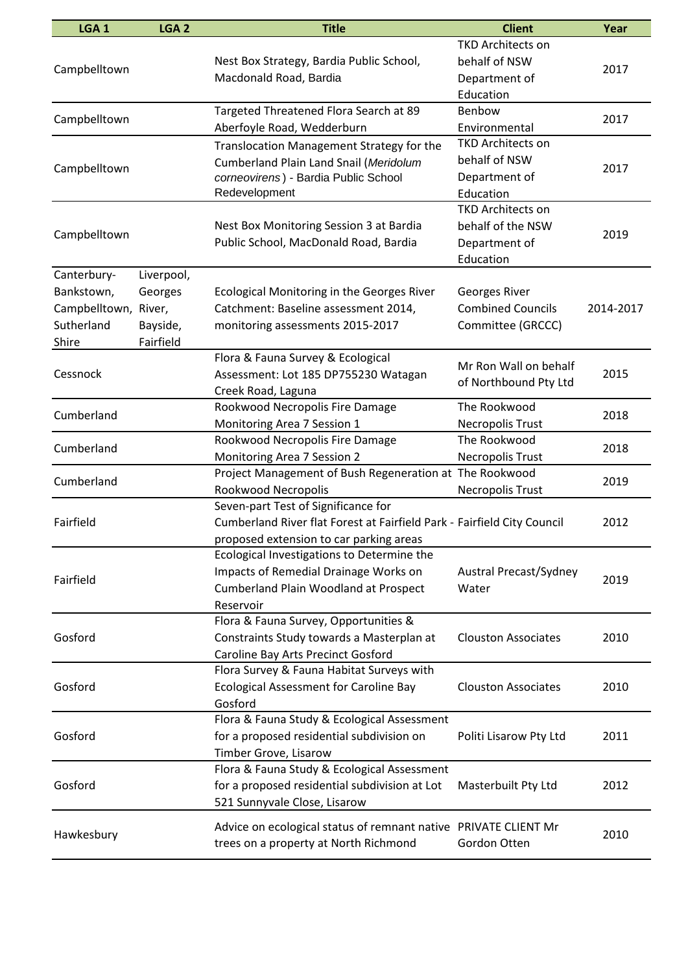| LGA <sub>1</sub>                                                         | LGA <sub>2</sub>                               | <b>Title</b>                                                                                                                                              | <b>Client</b>                                                               | Year      |
|--------------------------------------------------------------------------|------------------------------------------------|-----------------------------------------------------------------------------------------------------------------------------------------------------------|-----------------------------------------------------------------------------|-----------|
| Campbelltown                                                             |                                                | Nest Box Strategy, Bardia Public School,<br>Macdonald Road, Bardia                                                                                        | <b>TKD Architects on</b><br>behalf of NSW<br>Department of<br>Education     | 2017      |
| Campbelltown                                                             |                                                | Targeted Threatened Flora Search at 89<br>Aberfoyle Road, Wedderburn                                                                                      | Benbow<br>Environmental                                                     | 2017      |
| Campbelltown                                                             |                                                | Translocation Management Strategy for the<br>Cumberland Plain Land Snail (Meridolum<br>corneovirens) - Bardia Public School<br>Redevelopment              | <b>TKD Architects on</b><br>behalf of NSW<br>Department of<br>Education     | 2017      |
| Campbelltown                                                             |                                                | Nest Box Monitoring Session 3 at Bardia<br>Public School, MacDonald Road, Bardia                                                                          | <b>TKD Architects on</b><br>behalf of the NSW<br>Department of<br>Education | 2019      |
| Canterbury-<br>Bankstown,<br>Campbelltown, River,<br>Sutherland<br>Shire | Liverpool,<br>Georges<br>Bayside,<br>Fairfield | <b>Ecological Monitoring in the Georges River</b><br>Catchment: Baseline assessment 2014,<br>monitoring assessments 2015-2017                             | Georges River<br><b>Combined Councils</b><br>Committee (GRCCC)              | 2014-2017 |
| Cessnock                                                                 |                                                | Flora & Fauna Survey & Ecological<br>Assessment: Lot 185 DP755230 Watagan<br>Creek Road, Laguna                                                           | Mr Ron Wall on behalf<br>of Northbound Pty Ltd                              | 2015      |
| Cumberland                                                               |                                                | Rookwood Necropolis Fire Damage<br>Monitoring Area 7 Session 1                                                                                            | The Rookwood<br>Necropolis Trust                                            | 2018      |
| Cumberland                                                               |                                                | Rookwood Necropolis Fire Damage<br>Monitoring Area 7 Session 2                                                                                            | The Rookwood<br><b>Necropolis Trust</b>                                     | 2018      |
| Cumberland                                                               |                                                | Project Management of Bush Regeneration at The Rookwood<br>Rookwood Necropolis                                                                            | <b>Necropolis Trust</b>                                                     | 2019      |
| Fairfield                                                                |                                                | Seven-part Test of Significance for<br>Cumberland River flat Forest at Fairfield Park - Fairfield City Council<br>proposed extension to car parking areas |                                                                             | 2012      |
| Fairfield                                                                |                                                | Ecological Investigations to Determine the<br>Impacts of Remedial Drainage Works on<br><b>Cumberland Plain Woodland at Prospect</b><br>Reservoir          | Austral Precast/Sydney<br>Water                                             | 2019      |
| Gosford                                                                  |                                                | Flora & Fauna Survey, Opportunities &<br>Constraints Study towards a Masterplan at<br><b>Caroline Bay Arts Precinct Gosford</b>                           | <b>Clouston Associates</b>                                                  | 2010      |
| Gosford                                                                  |                                                | Flora Survey & Fauna Habitat Surveys with<br><b>Ecological Assessment for Caroline Bay</b><br>Gosford                                                     | <b>Clouston Associates</b>                                                  | 2010      |
| Gosford                                                                  |                                                | Flora & Fauna Study & Ecological Assessment<br>for a proposed residential subdivision on<br>Timber Grove, Lisarow                                         | Politi Lisarow Pty Ltd                                                      | 2011      |
| Gosford                                                                  |                                                | Flora & Fauna Study & Ecological Assessment<br>for a proposed residential subdivision at Lot<br>521 Sunnyvale Close, Lisarow                              | Masterbuilt Pty Ltd                                                         | 2012      |
| Hawkesbury                                                               |                                                | Advice on ecological status of remnant native PRIVATE CLIENT Mr<br>trees on a property at North Richmond                                                  | Gordon Otten                                                                | 2010      |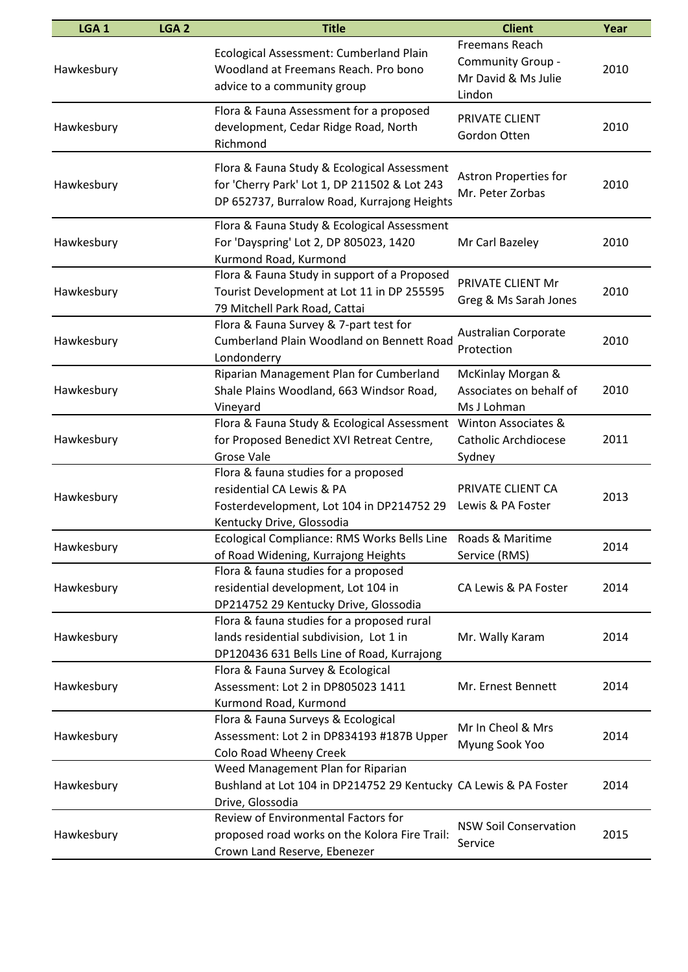| LGA <sub>1</sub> | LGA <sub>2</sub> | <b>Title</b>                                                                                                                                | <b>Client</b>                                                               | Year |
|------------------|------------------|---------------------------------------------------------------------------------------------------------------------------------------------|-----------------------------------------------------------------------------|------|
| Hawkesbury       |                  | Ecological Assessment: Cumberland Plain<br>Woodland at Freemans Reach. Pro bono<br>advice to a community group                              | <b>Freemans Reach</b><br>Community Group -<br>Mr David & Ms Julie<br>Lindon | 2010 |
| Hawkesbury       |                  | Flora & Fauna Assessment for a proposed<br>development, Cedar Ridge Road, North<br>Richmond                                                 | PRIVATE CLIENT<br>Gordon Otten                                              | 2010 |
| Hawkesbury       |                  | Flora & Fauna Study & Ecological Assessment<br>for 'Cherry Park' Lot 1, DP 211502 & Lot 243<br>DP 652737, Burralow Road, Kurrajong Heights  | Astron Properties for<br>Mr. Peter Zorbas                                   | 2010 |
| Hawkesbury       |                  | Flora & Fauna Study & Ecological Assessment<br>For 'Dayspring' Lot 2, DP 805023, 1420<br>Kurmond Road, Kurmond                              | Mr Carl Bazeley                                                             | 2010 |
| Hawkesbury       |                  | Flora & Fauna Study in support of a Proposed<br>Tourist Development at Lot 11 in DP 255595<br>79 Mitchell Park Road, Cattai                 | PRIVATE CLIENT Mr<br>Greg & Ms Sarah Jones                                  | 2010 |
| Hawkesbury       |                  | Flora & Fauna Survey & 7-part test for<br>Cumberland Plain Woodland on Bennett Road<br>Londonderry                                          | <b>Australian Corporate</b><br>Protection                                   | 2010 |
| Hawkesbury       |                  | Riparian Management Plan for Cumberland<br>Shale Plains Woodland, 663 Windsor Road,<br>Vineyard                                             | McKinlay Morgan &<br>Associates on behalf of<br>Ms J Lohman                 | 2010 |
| Hawkesbury       |                  | Flora & Fauna Study & Ecological Assessment<br>for Proposed Benedict XVI Retreat Centre,<br>Grose Vale                                      | Winton Associates &<br><b>Catholic Archdiocese</b><br>Sydney                | 2011 |
| Hawkesbury       |                  | Flora & fauna studies for a proposed<br>residential CA Lewis & PA<br>Fosterdevelopment, Lot 104 in DP214752 29<br>Kentucky Drive, Glossodia | PRIVATE CLIENT CA<br>Lewis & PA Foster                                      | 2013 |
| Hawkesbury       |                  | Ecological Compliance: RMS Works Bells Line<br>of Road Widening, Kurrajong Heights                                                          | Roads & Maritime<br>Service (RMS)                                           | 2014 |
| Hawkesbury       |                  | Flora & fauna studies for a proposed<br>residential development, Lot 104 in<br>DP214752 29 Kentucky Drive, Glossodia                        | CA Lewis & PA Foster                                                        | 2014 |
| Hawkesbury       |                  | Flora & fauna studies for a proposed rural<br>lands residential subdivision, Lot 1 in<br>DP120436 631 Bells Line of Road, Kurrajong         | Mr. Wally Karam                                                             | 2014 |
| Hawkesbury       |                  | Flora & Fauna Survey & Ecological<br>Assessment: Lot 2 in DP805023 1411<br>Kurmond Road, Kurmond                                            | Mr. Ernest Bennett                                                          | 2014 |
| Hawkesbury       |                  | Flora & Fauna Surveys & Ecological<br>Assessment: Lot 2 in DP834193 #187B Upper<br>Colo Road Wheeny Creek                                   | Mr In Cheol & Mrs<br>Myung Sook Yoo                                         | 2014 |
| Hawkesbury       |                  | Weed Management Plan for Riparian<br>Bushland at Lot 104 in DP214752 29 Kentucky CA Lewis & PA Foster<br>Drive, Glossodia                   |                                                                             | 2014 |
| Hawkesbury       |                  | Review of Environmental Factors for<br>proposed road works on the Kolora Fire Trail:<br>Crown Land Reserve, Ebenezer                        | <b>NSW Soil Conservation</b><br>Service                                     | 2015 |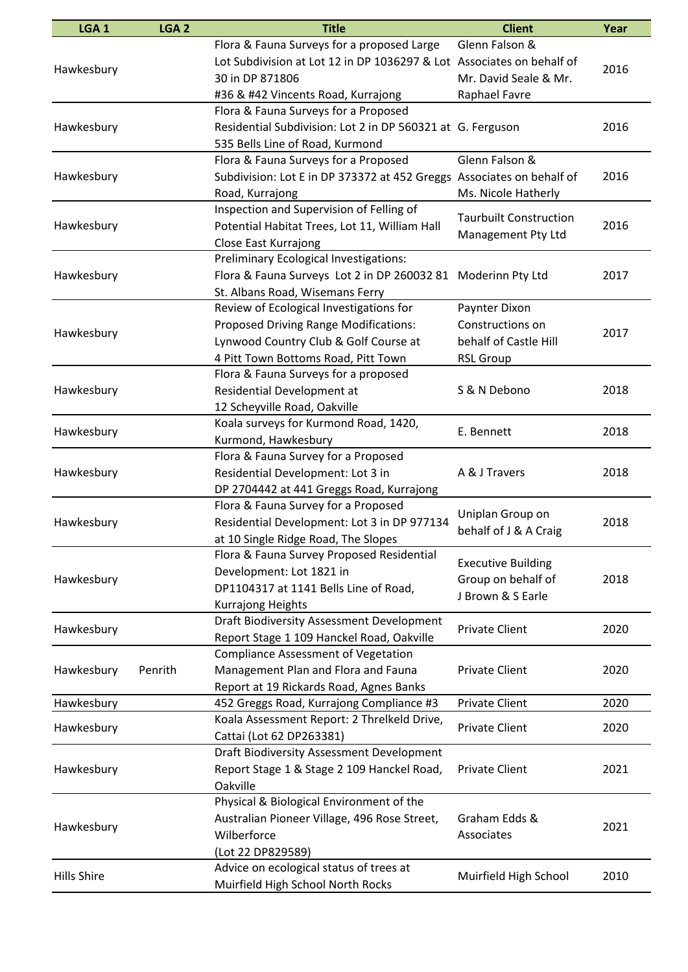| LGA <sub>1</sub>   | LGA <sub>2</sub> | <b>Title</b>                                                          | <b>Client</b>                 | Year |
|--------------------|------------------|-----------------------------------------------------------------------|-------------------------------|------|
|                    |                  | Flora & Fauna Surveys for a proposed Large                            | Glenn Falson &                |      |
|                    |                  | Lot Subdivision at Lot 12 in DP 1036297 & Lot Associates on behalf of |                               |      |
| Hawkesbury         |                  | 30 in DP 871806                                                       | Mr. David Seale & Mr.         | 2016 |
|                    |                  | #36 & #42 Vincents Road, Kurrajong                                    | Raphael Favre                 |      |
|                    |                  | Flora & Fauna Surveys for a Proposed                                  |                               |      |
| Hawkesbury         |                  | Residential Subdivision: Lot 2 in DP 560321 at G. Ferguson            |                               | 2016 |
|                    |                  | 535 Bells Line of Road, Kurmond                                       |                               |      |
|                    |                  | Flora & Fauna Surveys for a Proposed                                  | Glenn Falson &                |      |
| Hawkesbury         |                  | Subdivision: Lot E in DP 373372 at 452 Greggs Associates on behalf of |                               | 2016 |
|                    |                  | Road, Kurrajong                                                       | Ms. Nicole Hatherly           |      |
|                    |                  | Inspection and Supervision of Felling of                              |                               |      |
| Hawkesbury         |                  | Potential Habitat Trees, Lot 11, William Hall                         | <b>Taurbuilt Construction</b> | 2016 |
|                    |                  | Close East Kurrajong                                                  | Management Pty Ltd            |      |
|                    |                  | Preliminary Ecological Investigations:                                |                               |      |
| Hawkesbury         |                  | Flora & Fauna Surveys Lot 2 in DP 260032 81                           | Moderinn Pty Ltd              | 2017 |
|                    |                  | St. Albans Road, Wisemans Ferry                                       |                               |      |
|                    |                  | Review of Ecological Investigations for                               | Paynter Dixon                 |      |
|                    |                  | <b>Proposed Driving Range Modifications:</b>                          | Constructions on              |      |
| Hawkesbury         |                  | Lynwood Country Club & Golf Course at                                 | behalf of Castle Hill         | 2017 |
|                    |                  | 4 Pitt Town Bottoms Road, Pitt Town                                   | <b>RSL Group</b>              |      |
|                    |                  | Flora & Fauna Surveys for a proposed                                  |                               |      |
| Hawkesbury         |                  | Residential Development at                                            | S & N Debono                  | 2018 |
|                    |                  | 12 Scheyville Road, Oakville                                          |                               |      |
|                    |                  | Koala surveys for Kurmond Road, 1420,                                 |                               |      |
| Hawkesbury         |                  | Kurmond, Hawkesbury                                                   | E. Bennett                    | 2018 |
|                    |                  | Flora & Fauna Survey for a Proposed                                   |                               |      |
| Hawkesbury         |                  | Residential Development: Lot 3 in                                     | A & J Travers                 | 2018 |
|                    |                  | DP 2704442 at 441 Greggs Road, Kurrajong                              |                               |      |
|                    |                  | Flora & Fauna Survey for a Proposed                                   |                               |      |
| Hawkesbury         |                  | Residential Development: Lot 3 in DP 977134                           | Uniplan Group on              | 2018 |
|                    |                  | at 10 Single Ridge Road, The Slopes                                   | behalf of J & A Craig         |      |
|                    |                  | Flora & Fauna Survey Proposed Residential                             |                               |      |
|                    |                  | Development: Lot 1821 in                                              | <b>Executive Building</b>     |      |
| Hawkesbury         |                  | DP1104317 at 1141 Bells Line of Road,                                 | Group on behalf of            | 2018 |
|                    |                  | Kurrajong Heights                                                     | J Brown & S Earle             |      |
|                    |                  | Draft Biodiversity Assessment Development                             |                               |      |
| Hawkesbury         |                  | Report Stage 1 109 Hanckel Road, Oakville                             | <b>Private Client</b>         | 2020 |
|                    |                  | <b>Compliance Assessment of Vegetation</b>                            |                               |      |
| Hawkesbury         | Penrith          | Management Plan and Flora and Fauna                                   | <b>Private Client</b>         | 2020 |
|                    |                  | Report at 19 Rickards Road, Agnes Banks                               |                               |      |
| Hawkesbury         |                  | 452 Greggs Road, Kurrajong Compliance #3                              | <b>Private Client</b>         | 2020 |
|                    |                  | Koala Assessment Report: 2 Threlkeld Drive,                           |                               |      |
| Hawkesbury         |                  | Cattai (Lot 62 DP263381)                                              | <b>Private Client</b>         | 2020 |
|                    |                  | Draft Biodiversity Assessment Development                             |                               |      |
| Hawkesbury         |                  | Report Stage 1 & Stage 2 109 Hanckel Road,                            | <b>Private Client</b>         | 2021 |
|                    |                  | Oakville                                                              |                               |      |
|                    |                  | Physical & Biological Environment of the                              |                               |      |
|                    |                  | Australian Pioneer Village, 496 Rose Street,                          | Graham Edds &                 |      |
| Hawkesbury         |                  | Wilberforce                                                           | Associates                    | 2021 |
|                    |                  | (Lot 22 DP829589)                                                     |                               |      |
|                    |                  | Advice on ecological status of trees at                               |                               |      |
| <b>Hills Shire</b> |                  | Muirfield High School North Rocks                                     | Muirfield High School         | 2010 |
|                    |                  |                                                                       |                               |      |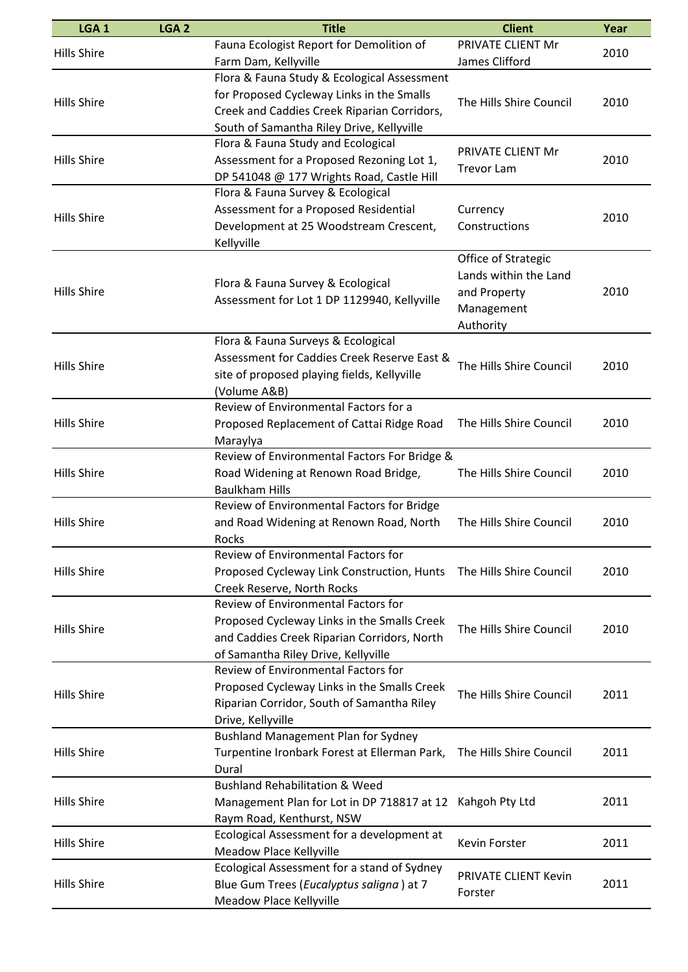| Fauna Ecologist Report for Demolition of<br>PRIVATE CLIENT Mr<br><b>Hills Shire</b><br>2010<br>James Clifford<br>Farm Dam, Kellyville<br>Flora & Fauna Study & Ecological Assessment<br>for Proposed Cycleway Links in the Smalls<br>The Hills Shire Council<br><b>Hills Shire</b><br>2010<br>Creek and Caddies Creek Riparian Corridors,<br>South of Samantha Riley Drive, Kellyville<br>Flora & Fauna Study and Ecological<br><b>PRIVATE CLIENT Mr</b><br>Assessment for a Proposed Rezoning Lot 1,<br>2010<br><b>Hills Shire</b><br><b>Trevor Lam</b><br>DP 541048 @ 177 Wrights Road, Castle Hill<br>Flora & Fauna Survey & Ecological<br>Assessment for a Proposed Residential<br>Currency<br><b>Hills Shire</b><br>2010<br>Development at 25 Woodstream Crescent,<br>Constructions<br>Kellyville<br>Office of Strategic<br>Lands within the Land<br>Flora & Fauna Survey & Ecological<br><b>Hills Shire</b><br>2010<br>and Property<br>Assessment for Lot 1 DP 1129940, Kellyville<br>Management<br>Authority<br>Flora & Fauna Surveys & Ecological<br>Assessment for Caddies Creek Reserve East &<br>The Hills Shire Council<br><b>Hills Shire</b><br>2010<br>site of proposed playing fields, Kellyville<br>(Volume A&B)<br>Review of Environmental Factors for a<br><b>Hills Shire</b><br>Proposed Replacement of Cattai Ridge Road<br>The Hills Shire Council<br>2010<br>Maraylya<br>Review of Environmental Factors For Bridge &<br>Road Widening at Renown Road Bridge,<br><b>Hills Shire</b><br>The Hills Shire Council<br>2010<br><b>Baulkham Hills</b><br>Review of Environmental Factors for Bridge<br><b>Hills Shire</b><br>and Road Widening at Renown Road, North<br>The Hills Shire Council<br>2010<br><b>Rocks</b><br>Review of Environmental Factors for<br><b>Hills Shire</b><br>Proposed Cycleway Link Construction, Hunts    The Hills Shire Council<br>2010<br>Creek Reserve, North Rocks<br><b>Review of Environmental Factors for</b><br>Proposed Cycleway Links in the Smalls Creek<br>The Hills Shire Council<br><b>Hills Shire</b><br>2010<br>and Caddies Creek Riparian Corridors, North<br>of Samantha Riley Drive, Kellyville<br><b>Review of Environmental Factors for</b><br>Proposed Cycleway Links in the Smalls Creek<br><b>Hills Shire</b><br>The Hills Shire Council<br>2011<br>Riparian Corridor, South of Samantha Riley<br>Drive, Kellyville<br><b>Bushland Management Plan for Sydney</b><br><b>Hills Shire</b><br>Turpentine Ironbark Forest at Ellerman Park,<br>The Hills Shire Council<br>2011<br>Dural<br><b>Bushland Rehabilitation &amp; Weed</b><br><b>Hills Shire</b><br>Management Plan for Lot in DP 718817 at 12 Kahgoh Pty Ltd<br>2011<br>Raym Road, Kenthurst, NSW<br>Ecological Assessment for a development at<br><b>Hills Shire</b><br>Kevin Forster<br>2011<br>Meadow Place Kellyville<br>Ecological Assessment for a stand of Sydney<br>PRIVATE CLIENT Kevin<br>Blue Gum Trees (Eucalyptus saligna) at 7<br><b>Hills Shire</b><br>2011<br>Forster | LGA <sub>1</sub> | LGA <sub>2</sub> | <b>Title</b>            | <b>Client</b> | Year |
|-------------------------------------------------------------------------------------------------------------------------------------------------------------------------------------------------------------------------------------------------------------------------------------------------------------------------------------------------------------------------------------------------------------------------------------------------------------------------------------------------------------------------------------------------------------------------------------------------------------------------------------------------------------------------------------------------------------------------------------------------------------------------------------------------------------------------------------------------------------------------------------------------------------------------------------------------------------------------------------------------------------------------------------------------------------------------------------------------------------------------------------------------------------------------------------------------------------------------------------------------------------------------------------------------------------------------------------------------------------------------------------------------------------------------------------------------------------------------------------------------------------------------------------------------------------------------------------------------------------------------------------------------------------------------------------------------------------------------------------------------------------------------------------------------------------------------------------------------------------------------------------------------------------------------------------------------------------------------------------------------------------------------------------------------------------------------------------------------------------------------------------------------------------------------------------------------------------------------------------------------------------------------------------------------------------------------------------------------------------------------------------------------------------------------------------------------------------------------------------------------------------------------------------------------------------------------------------------------------------------------------------------------------------------------------------------------------------------------------------------------------------------------------------------------------------------------------------------------------------------------------------------------------------------------------------------------------------------------------------------------------------------|------------------|------------------|-------------------------|---------------|------|
|                                                                                                                                                                                                                                                                                                                                                                                                                                                                                                                                                                                                                                                                                                                                                                                                                                                                                                                                                                                                                                                                                                                                                                                                                                                                                                                                                                                                                                                                                                                                                                                                                                                                                                                                                                                                                                                                                                                                                                                                                                                                                                                                                                                                                                                                                                                                                                                                                                                                                                                                                                                                                                                                                                                                                                                                                                                                                                                                                                                                                   |                  |                  |                         |               |      |
|                                                                                                                                                                                                                                                                                                                                                                                                                                                                                                                                                                                                                                                                                                                                                                                                                                                                                                                                                                                                                                                                                                                                                                                                                                                                                                                                                                                                                                                                                                                                                                                                                                                                                                                                                                                                                                                                                                                                                                                                                                                                                                                                                                                                                                                                                                                                                                                                                                                                                                                                                                                                                                                                                                                                                                                                                                                                                                                                                                                                                   |                  |                  |                         |               |      |
|                                                                                                                                                                                                                                                                                                                                                                                                                                                                                                                                                                                                                                                                                                                                                                                                                                                                                                                                                                                                                                                                                                                                                                                                                                                                                                                                                                                                                                                                                                                                                                                                                                                                                                                                                                                                                                                                                                                                                                                                                                                                                                                                                                                                                                                                                                                                                                                                                                                                                                                                                                                                                                                                                                                                                                                                                                                                                                                                                                                                                   |                  |                  |                         |               |      |
|                                                                                                                                                                                                                                                                                                                                                                                                                                                                                                                                                                                                                                                                                                                                                                                                                                                                                                                                                                                                                                                                                                                                                                                                                                                                                                                                                                                                                                                                                                                                                                                                                                                                                                                                                                                                                                                                                                                                                                                                                                                                                                                                                                                                                                                                                                                                                                                                                                                                                                                                                                                                                                                                                                                                                                                                                                                                                                                                                                                                                   |                  |                  |                         |               |      |
|                                                                                                                                                                                                                                                                                                                                                                                                                                                                                                                                                                                                                                                                                                                                                                                                                                                                                                                                                                                                                                                                                                                                                                                                                                                                                                                                                                                                                                                                                                                                                                                                                                                                                                                                                                                                                                                                                                                                                                                                                                                                                                                                                                                                                                                                                                                                                                                                                                                                                                                                                                                                                                                                                                                                                                                                                                                                                                                                                                                                                   |                  |                  |                         |               |      |
|                                                                                                                                                                                                                                                                                                                                                                                                                                                                                                                                                                                                                                                                                                                                                                                                                                                                                                                                                                                                                                                                                                                                                                                                                                                                                                                                                                                                                                                                                                                                                                                                                                                                                                                                                                                                                                                                                                                                                                                                                                                                                                                                                                                                                                                                                                                                                                                                                                                                                                                                                                                                                                                                                                                                                                                                                                                                                                                                                                                                                   |                  |                  |                         |               |      |
|                                                                                                                                                                                                                                                                                                                                                                                                                                                                                                                                                                                                                                                                                                                                                                                                                                                                                                                                                                                                                                                                                                                                                                                                                                                                                                                                                                                                                                                                                                                                                                                                                                                                                                                                                                                                                                                                                                                                                                                                                                                                                                                                                                                                                                                                                                                                                                                                                                                                                                                                                                                                                                                                                                                                                                                                                                                                                                                                                                                                                   |                  |                  |                         |               |      |
|                                                                                                                                                                                                                                                                                                                                                                                                                                                                                                                                                                                                                                                                                                                                                                                                                                                                                                                                                                                                                                                                                                                                                                                                                                                                                                                                                                                                                                                                                                                                                                                                                                                                                                                                                                                                                                                                                                                                                                                                                                                                                                                                                                                                                                                                                                                                                                                                                                                                                                                                                                                                                                                                                                                                                                                                                                                                                                                                                                                                                   |                  |                  |                         |               |      |
|                                                                                                                                                                                                                                                                                                                                                                                                                                                                                                                                                                                                                                                                                                                                                                                                                                                                                                                                                                                                                                                                                                                                                                                                                                                                                                                                                                                                                                                                                                                                                                                                                                                                                                                                                                                                                                                                                                                                                                                                                                                                                                                                                                                                                                                                                                                                                                                                                                                                                                                                                                                                                                                                                                                                                                                                                                                                                                                                                                                                                   |                  |                  |                         |               |      |
|                                                                                                                                                                                                                                                                                                                                                                                                                                                                                                                                                                                                                                                                                                                                                                                                                                                                                                                                                                                                                                                                                                                                                                                                                                                                                                                                                                                                                                                                                                                                                                                                                                                                                                                                                                                                                                                                                                                                                                                                                                                                                                                                                                                                                                                                                                                                                                                                                                                                                                                                                                                                                                                                                                                                                                                                                                                                                                                                                                                                                   |                  |                  |                         |               |      |
|                                                                                                                                                                                                                                                                                                                                                                                                                                                                                                                                                                                                                                                                                                                                                                                                                                                                                                                                                                                                                                                                                                                                                                                                                                                                                                                                                                                                                                                                                                                                                                                                                                                                                                                                                                                                                                                                                                                                                                                                                                                                                                                                                                                                                                                                                                                                                                                                                                                                                                                                                                                                                                                                                                                                                                                                                                                                                                                                                                                                                   |                  |                  |                         |               |      |
|                                                                                                                                                                                                                                                                                                                                                                                                                                                                                                                                                                                                                                                                                                                                                                                                                                                                                                                                                                                                                                                                                                                                                                                                                                                                                                                                                                                                                                                                                                                                                                                                                                                                                                                                                                                                                                                                                                                                                                                                                                                                                                                                                                                                                                                                                                                                                                                                                                                                                                                                                                                                                                                                                                                                                                                                                                                                                                                                                                                                                   |                  |                  |                         |               |      |
|                                                                                                                                                                                                                                                                                                                                                                                                                                                                                                                                                                                                                                                                                                                                                                                                                                                                                                                                                                                                                                                                                                                                                                                                                                                                                                                                                                                                                                                                                                                                                                                                                                                                                                                                                                                                                                                                                                                                                                                                                                                                                                                                                                                                                                                                                                                                                                                                                                                                                                                                                                                                                                                                                                                                                                                                                                                                                                                                                                                                                   |                  |                  |                         |               |      |
|                                                                                                                                                                                                                                                                                                                                                                                                                                                                                                                                                                                                                                                                                                                                                                                                                                                                                                                                                                                                                                                                                                                                                                                                                                                                                                                                                                                                                                                                                                                                                                                                                                                                                                                                                                                                                                                                                                                                                                                                                                                                                                                                                                                                                                                                                                                                                                                                                                                                                                                                                                                                                                                                                                                                                                                                                                                                                                                                                                                                                   |                  |                  |                         |               |      |
|                                                                                                                                                                                                                                                                                                                                                                                                                                                                                                                                                                                                                                                                                                                                                                                                                                                                                                                                                                                                                                                                                                                                                                                                                                                                                                                                                                                                                                                                                                                                                                                                                                                                                                                                                                                                                                                                                                                                                                                                                                                                                                                                                                                                                                                                                                                                                                                                                                                                                                                                                                                                                                                                                                                                                                                                                                                                                                                                                                                                                   |                  |                  |                         |               |      |
|                                                                                                                                                                                                                                                                                                                                                                                                                                                                                                                                                                                                                                                                                                                                                                                                                                                                                                                                                                                                                                                                                                                                                                                                                                                                                                                                                                                                                                                                                                                                                                                                                                                                                                                                                                                                                                                                                                                                                                                                                                                                                                                                                                                                                                                                                                                                                                                                                                                                                                                                                                                                                                                                                                                                                                                                                                                                                                                                                                                                                   |                  |                  |                         |               |      |
|                                                                                                                                                                                                                                                                                                                                                                                                                                                                                                                                                                                                                                                                                                                                                                                                                                                                                                                                                                                                                                                                                                                                                                                                                                                                                                                                                                                                                                                                                                                                                                                                                                                                                                                                                                                                                                                                                                                                                                                                                                                                                                                                                                                                                                                                                                                                                                                                                                                                                                                                                                                                                                                                                                                                                                                                                                                                                                                                                                                                                   |                  |                  |                         |               |      |
|                                                                                                                                                                                                                                                                                                                                                                                                                                                                                                                                                                                                                                                                                                                                                                                                                                                                                                                                                                                                                                                                                                                                                                                                                                                                                                                                                                                                                                                                                                                                                                                                                                                                                                                                                                                                                                                                                                                                                                                                                                                                                                                                                                                                                                                                                                                                                                                                                                                                                                                                                                                                                                                                                                                                                                                                                                                                                                                                                                                                                   |                  |                  |                         |               |      |
|                                                                                                                                                                                                                                                                                                                                                                                                                                                                                                                                                                                                                                                                                                                                                                                                                                                                                                                                                                                                                                                                                                                                                                                                                                                                                                                                                                                                                                                                                                                                                                                                                                                                                                                                                                                                                                                                                                                                                                                                                                                                                                                                                                                                                                                                                                                                                                                                                                                                                                                                                                                                                                                                                                                                                                                                                                                                                                                                                                                                                   |                  |                  |                         |               |      |
|                                                                                                                                                                                                                                                                                                                                                                                                                                                                                                                                                                                                                                                                                                                                                                                                                                                                                                                                                                                                                                                                                                                                                                                                                                                                                                                                                                                                                                                                                                                                                                                                                                                                                                                                                                                                                                                                                                                                                                                                                                                                                                                                                                                                                                                                                                                                                                                                                                                                                                                                                                                                                                                                                                                                                                                                                                                                                                                                                                                                                   |                  |                  |                         |               |      |
|                                                                                                                                                                                                                                                                                                                                                                                                                                                                                                                                                                                                                                                                                                                                                                                                                                                                                                                                                                                                                                                                                                                                                                                                                                                                                                                                                                                                                                                                                                                                                                                                                                                                                                                                                                                                                                                                                                                                                                                                                                                                                                                                                                                                                                                                                                                                                                                                                                                                                                                                                                                                                                                                                                                                                                                                                                                                                                                                                                                                                   |                  |                  |                         |               |      |
|                                                                                                                                                                                                                                                                                                                                                                                                                                                                                                                                                                                                                                                                                                                                                                                                                                                                                                                                                                                                                                                                                                                                                                                                                                                                                                                                                                                                                                                                                                                                                                                                                                                                                                                                                                                                                                                                                                                                                                                                                                                                                                                                                                                                                                                                                                                                                                                                                                                                                                                                                                                                                                                                                                                                                                                                                                                                                                                                                                                                                   |                  |                  |                         |               |      |
|                                                                                                                                                                                                                                                                                                                                                                                                                                                                                                                                                                                                                                                                                                                                                                                                                                                                                                                                                                                                                                                                                                                                                                                                                                                                                                                                                                                                                                                                                                                                                                                                                                                                                                                                                                                                                                                                                                                                                                                                                                                                                                                                                                                                                                                                                                                                                                                                                                                                                                                                                                                                                                                                                                                                                                                                                                                                                                                                                                                                                   |                  |                  |                         |               |      |
|                                                                                                                                                                                                                                                                                                                                                                                                                                                                                                                                                                                                                                                                                                                                                                                                                                                                                                                                                                                                                                                                                                                                                                                                                                                                                                                                                                                                                                                                                                                                                                                                                                                                                                                                                                                                                                                                                                                                                                                                                                                                                                                                                                                                                                                                                                                                                                                                                                                                                                                                                                                                                                                                                                                                                                                                                                                                                                                                                                                                                   |                  |                  |                         |               |      |
|                                                                                                                                                                                                                                                                                                                                                                                                                                                                                                                                                                                                                                                                                                                                                                                                                                                                                                                                                                                                                                                                                                                                                                                                                                                                                                                                                                                                                                                                                                                                                                                                                                                                                                                                                                                                                                                                                                                                                                                                                                                                                                                                                                                                                                                                                                                                                                                                                                                                                                                                                                                                                                                                                                                                                                                                                                                                                                                                                                                                                   |                  |                  |                         |               |      |
|                                                                                                                                                                                                                                                                                                                                                                                                                                                                                                                                                                                                                                                                                                                                                                                                                                                                                                                                                                                                                                                                                                                                                                                                                                                                                                                                                                                                                                                                                                                                                                                                                                                                                                                                                                                                                                                                                                                                                                                                                                                                                                                                                                                                                                                                                                                                                                                                                                                                                                                                                                                                                                                                                                                                                                                                                                                                                                                                                                                                                   |                  |                  |                         |               |      |
|                                                                                                                                                                                                                                                                                                                                                                                                                                                                                                                                                                                                                                                                                                                                                                                                                                                                                                                                                                                                                                                                                                                                                                                                                                                                                                                                                                                                                                                                                                                                                                                                                                                                                                                                                                                                                                                                                                                                                                                                                                                                                                                                                                                                                                                                                                                                                                                                                                                                                                                                                                                                                                                                                                                                                                                                                                                                                                                                                                                                                   |                  |                  |                         |               |      |
|                                                                                                                                                                                                                                                                                                                                                                                                                                                                                                                                                                                                                                                                                                                                                                                                                                                                                                                                                                                                                                                                                                                                                                                                                                                                                                                                                                                                                                                                                                                                                                                                                                                                                                                                                                                                                                                                                                                                                                                                                                                                                                                                                                                                                                                                                                                                                                                                                                                                                                                                                                                                                                                                                                                                                                                                                                                                                                                                                                                                                   |                  |                  |                         |               |      |
|                                                                                                                                                                                                                                                                                                                                                                                                                                                                                                                                                                                                                                                                                                                                                                                                                                                                                                                                                                                                                                                                                                                                                                                                                                                                                                                                                                                                                                                                                                                                                                                                                                                                                                                                                                                                                                                                                                                                                                                                                                                                                                                                                                                                                                                                                                                                                                                                                                                                                                                                                                                                                                                                                                                                                                                                                                                                                                                                                                                                                   |                  |                  |                         |               |      |
|                                                                                                                                                                                                                                                                                                                                                                                                                                                                                                                                                                                                                                                                                                                                                                                                                                                                                                                                                                                                                                                                                                                                                                                                                                                                                                                                                                                                                                                                                                                                                                                                                                                                                                                                                                                                                                                                                                                                                                                                                                                                                                                                                                                                                                                                                                                                                                                                                                                                                                                                                                                                                                                                                                                                                                                                                                                                                                                                                                                                                   |                  |                  |                         |               |      |
|                                                                                                                                                                                                                                                                                                                                                                                                                                                                                                                                                                                                                                                                                                                                                                                                                                                                                                                                                                                                                                                                                                                                                                                                                                                                                                                                                                                                                                                                                                                                                                                                                                                                                                                                                                                                                                                                                                                                                                                                                                                                                                                                                                                                                                                                                                                                                                                                                                                                                                                                                                                                                                                                                                                                                                                                                                                                                                                                                                                                                   |                  |                  |                         |               |      |
|                                                                                                                                                                                                                                                                                                                                                                                                                                                                                                                                                                                                                                                                                                                                                                                                                                                                                                                                                                                                                                                                                                                                                                                                                                                                                                                                                                                                                                                                                                                                                                                                                                                                                                                                                                                                                                                                                                                                                                                                                                                                                                                                                                                                                                                                                                                                                                                                                                                                                                                                                                                                                                                                                                                                                                                                                                                                                                                                                                                                                   |                  |                  |                         |               |      |
|                                                                                                                                                                                                                                                                                                                                                                                                                                                                                                                                                                                                                                                                                                                                                                                                                                                                                                                                                                                                                                                                                                                                                                                                                                                                                                                                                                                                                                                                                                                                                                                                                                                                                                                                                                                                                                                                                                                                                                                                                                                                                                                                                                                                                                                                                                                                                                                                                                                                                                                                                                                                                                                                                                                                                                                                                                                                                                                                                                                                                   |                  |                  |                         |               |      |
|                                                                                                                                                                                                                                                                                                                                                                                                                                                                                                                                                                                                                                                                                                                                                                                                                                                                                                                                                                                                                                                                                                                                                                                                                                                                                                                                                                                                                                                                                                                                                                                                                                                                                                                                                                                                                                                                                                                                                                                                                                                                                                                                                                                                                                                                                                                                                                                                                                                                                                                                                                                                                                                                                                                                                                                                                                                                                                                                                                                                                   |                  |                  |                         |               |      |
|                                                                                                                                                                                                                                                                                                                                                                                                                                                                                                                                                                                                                                                                                                                                                                                                                                                                                                                                                                                                                                                                                                                                                                                                                                                                                                                                                                                                                                                                                                                                                                                                                                                                                                                                                                                                                                                                                                                                                                                                                                                                                                                                                                                                                                                                                                                                                                                                                                                                                                                                                                                                                                                                                                                                                                                                                                                                                                                                                                                                                   |                  |                  |                         |               |      |
|                                                                                                                                                                                                                                                                                                                                                                                                                                                                                                                                                                                                                                                                                                                                                                                                                                                                                                                                                                                                                                                                                                                                                                                                                                                                                                                                                                                                                                                                                                                                                                                                                                                                                                                                                                                                                                                                                                                                                                                                                                                                                                                                                                                                                                                                                                                                                                                                                                                                                                                                                                                                                                                                                                                                                                                                                                                                                                                                                                                                                   |                  |                  |                         |               |      |
|                                                                                                                                                                                                                                                                                                                                                                                                                                                                                                                                                                                                                                                                                                                                                                                                                                                                                                                                                                                                                                                                                                                                                                                                                                                                                                                                                                                                                                                                                                                                                                                                                                                                                                                                                                                                                                                                                                                                                                                                                                                                                                                                                                                                                                                                                                                                                                                                                                                                                                                                                                                                                                                                                                                                                                                                                                                                                                                                                                                                                   |                  |                  |                         |               |      |
|                                                                                                                                                                                                                                                                                                                                                                                                                                                                                                                                                                                                                                                                                                                                                                                                                                                                                                                                                                                                                                                                                                                                                                                                                                                                                                                                                                                                                                                                                                                                                                                                                                                                                                                                                                                                                                                                                                                                                                                                                                                                                                                                                                                                                                                                                                                                                                                                                                                                                                                                                                                                                                                                                                                                                                                                                                                                                                                                                                                                                   |                  |                  |                         |               |      |
|                                                                                                                                                                                                                                                                                                                                                                                                                                                                                                                                                                                                                                                                                                                                                                                                                                                                                                                                                                                                                                                                                                                                                                                                                                                                                                                                                                                                                                                                                                                                                                                                                                                                                                                                                                                                                                                                                                                                                                                                                                                                                                                                                                                                                                                                                                                                                                                                                                                                                                                                                                                                                                                                                                                                                                                                                                                                                                                                                                                                                   |                  |                  |                         |               |      |
|                                                                                                                                                                                                                                                                                                                                                                                                                                                                                                                                                                                                                                                                                                                                                                                                                                                                                                                                                                                                                                                                                                                                                                                                                                                                                                                                                                                                                                                                                                                                                                                                                                                                                                                                                                                                                                                                                                                                                                                                                                                                                                                                                                                                                                                                                                                                                                                                                                                                                                                                                                                                                                                                                                                                                                                                                                                                                                                                                                                                                   |                  |                  |                         |               |      |
|                                                                                                                                                                                                                                                                                                                                                                                                                                                                                                                                                                                                                                                                                                                                                                                                                                                                                                                                                                                                                                                                                                                                                                                                                                                                                                                                                                                                                                                                                                                                                                                                                                                                                                                                                                                                                                                                                                                                                                                                                                                                                                                                                                                                                                                                                                                                                                                                                                                                                                                                                                                                                                                                                                                                                                                                                                                                                                                                                                                                                   |                  |                  |                         |               |      |
|                                                                                                                                                                                                                                                                                                                                                                                                                                                                                                                                                                                                                                                                                                                                                                                                                                                                                                                                                                                                                                                                                                                                                                                                                                                                                                                                                                                                                                                                                                                                                                                                                                                                                                                                                                                                                                                                                                                                                                                                                                                                                                                                                                                                                                                                                                                                                                                                                                                                                                                                                                                                                                                                                                                                                                                                                                                                                                                                                                                                                   |                  |                  |                         |               |      |
|                                                                                                                                                                                                                                                                                                                                                                                                                                                                                                                                                                                                                                                                                                                                                                                                                                                                                                                                                                                                                                                                                                                                                                                                                                                                                                                                                                                                                                                                                                                                                                                                                                                                                                                                                                                                                                                                                                                                                                                                                                                                                                                                                                                                                                                                                                                                                                                                                                                                                                                                                                                                                                                                                                                                                                                                                                                                                                                                                                                                                   |                  |                  |                         |               |      |
|                                                                                                                                                                                                                                                                                                                                                                                                                                                                                                                                                                                                                                                                                                                                                                                                                                                                                                                                                                                                                                                                                                                                                                                                                                                                                                                                                                                                                                                                                                                                                                                                                                                                                                                                                                                                                                                                                                                                                                                                                                                                                                                                                                                                                                                                                                                                                                                                                                                                                                                                                                                                                                                                                                                                                                                                                                                                                                                                                                                                                   |                  |                  |                         |               |      |
|                                                                                                                                                                                                                                                                                                                                                                                                                                                                                                                                                                                                                                                                                                                                                                                                                                                                                                                                                                                                                                                                                                                                                                                                                                                                                                                                                                                                                                                                                                                                                                                                                                                                                                                                                                                                                                                                                                                                                                                                                                                                                                                                                                                                                                                                                                                                                                                                                                                                                                                                                                                                                                                                                                                                                                                                                                                                                                                                                                                                                   |                  |                  |                         |               |      |
|                                                                                                                                                                                                                                                                                                                                                                                                                                                                                                                                                                                                                                                                                                                                                                                                                                                                                                                                                                                                                                                                                                                                                                                                                                                                                                                                                                                                                                                                                                                                                                                                                                                                                                                                                                                                                                                                                                                                                                                                                                                                                                                                                                                                                                                                                                                                                                                                                                                                                                                                                                                                                                                                                                                                                                                                                                                                                                                                                                                                                   |                  |                  |                         |               |      |
|                                                                                                                                                                                                                                                                                                                                                                                                                                                                                                                                                                                                                                                                                                                                                                                                                                                                                                                                                                                                                                                                                                                                                                                                                                                                                                                                                                                                                                                                                                                                                                                                                                                                                                                                                                                                                                                                                                                                                                                                                                                                                                                                                                                                                                                                                                                                                                                                                                                                                                                                                                                                                                                                                                                                                                                                                                                                                                                                                                                                                   |                  |                  |                         |               |      |
|                                                                                                                                                                                                                                                                                                                                                                                                                                                                                                                                                                                                                                                                                                                                                                                                                                                                                                                                                                                                                                                                                                                                                                                                                                                                                                                                                                                                                                                                                                                                                                                                                                                                                                                                                                                                                                                                                                                                                                                                                                                                                                                                                                                                                                                                                                                                                                                                                                                                                                                                                                                                                                                                                                                                                                                                                                                                                                                                                                                                                   |                  |                  |                         |               |      |
|                                                                                                                                                                                                                                                                                                                                                                                                                                                                                                                                                                                                                                                                                                                                                                                                                                                                                                                                                                                                                                                                                                                                                                                                                                                                                                                                                                                                                                                                                                                                                                                                                                                                                                                                                                                                                                                                                                                                                                                                                                                                                                                                                                                                                                                                                                                                                                                                                                                                                                                                                                                                                                                                                                                                                                                                                                                                                                                                                                                                                   |                  |                  |                         |               |      |
|                                                                                                                                                                                                                                                                                                                                                                                                                                                                                                                                                                                                                                                                                                                                                                                                                                                                                                                                                                                                                                                                                                                                                                                                                                                                                                                                                                                                                                                                                                                                                                                                                                                                                                                                                                                                                                                                                                                                                                                                                                                                                                                                                                                                                                                                                                                                                                                                                                                                                                                                                                                                                                                                                                                                                                                                                                                                                                                                                                                                                   |                  |                  | Meadow Place Kellyville |               |      |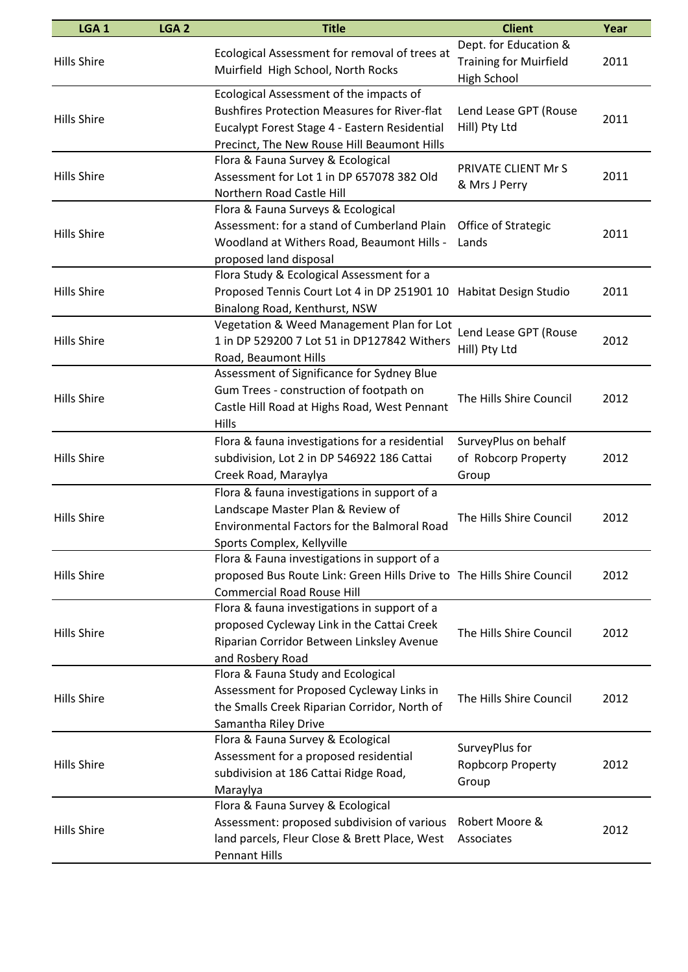| LGA <sub>1</sub>   | LGA <sub>2</sub> | <b>Title</b>                                                                                                                                                                                   | <b>Client</b>                                                                | Year |
|--------------------|------------------|------------------------------------------------------------------------------------------------------------------------------------------------------------------------------------------------|------------------------------------------------------------------------------|------|
| <b>Hills Shire</b> |                  | Ecological Assessment for removal of trees at<br>Muirfield High School, North Rocks                                                                                                            | Dept. for Education &<br><b>Training for Muirfield</b><br><b>High School</b> | 2011 |
| <b>Hills Shire</b> |                  | Ecological Assessment of the impacts of<br><b>Bushfires Protection Measures for River-flat</b><br>Eucalypt Forest Stage 4 - Eastern Residential<br>Precinct, The New Rouse Hill Beaumont Hills | Lend Lease GPT (Rouse<br>Hill) Pty Ltd                                       | 2011 |
| <b>Hills Shire</b> |                  | Flora & Fauna Survey & Ecological<br>Assessment for Lot 1 in DP 657078 382 Old<br>Northern Road Castle Hill                                                                                    | PRIVATE CLIENT Mr S<br>& Mrs J Perry                                         | 2011 |
| <b>Hills Shire</b> |                  | Flora & Fauna Surveys & Ecological<br>Assessment: for a stand of Cumberland Plain<br>Woodland at Withers Road, Beaumont Hills -<br>proposed land disposal                                      | Office of Strategic<br>Lands                                                 | 2011 |
| <b>Hills Shire</b> |                  | Flora Study & Ecological Assessment for a<br>Proposed Tennis Court Lot 4 in DP 251901 10 Habitat Design Studio<br>Binalong Road, Kenthurst, NSW                                                |                                                                              | 2011 |
| <b>Hills Shire</b> |                  | Vegetation & Weed Management Plan for Lot<br>1 in DP 529200 7 Lot 51 in DP127842 Withers<br>Road, Beaumont Hills                                                                               | Lend Lease GPT (Rouse<br>Hill) Pty Ltd                                       | 2012 |
| <b>Hills Shire</b> |                  | Assessment of Significance for Sydney Blue<br>Gum Trees - construction of footpath on<br>Castle Hill Road at Highs Road, West Pennant<br>Hills                                                 | The Hills Shire Council                                                      | 2012 |
| <b>Hills Shire</b> |                  | Flora & fauna investigations for a residential<br>subdivision, Lot 2 in DP 546922 186 Cattai<br>Creek Road, Maraylya                                                                           | SurveyPlus on behalf<br>of Robcorp Property<br>Group                         | 2012 |
| <b>Hills Shire</b> |                  | Flora & fauna investigations in support of a<br>Landscape Master Plan & Review of<br>Environmental Factors for the Balmoral Road<br>Sports Complex, Kellyville                                 | The Hills Shire Council                                                      | 2012 |
| <b>Hills Shire</b> |                  | Flora & Fauna investigations in support of a<br>proposed Bus Route Link: Green Hills Drive to The Hills Shire Council<br><b>Commercial Road Rouse Hill</b>                                     |                                                                              | 2012 |
| <b>Hills Shire</b> |                  | Flora & fauna investigations in support of a<br>proposed Cycleway Link in the Cattai Creek<br>Riparian Corridor Between Linksley Avenue<br>and Rosbery Road                                    | The Hills Shire Council                                                      | 2012 |
| <b>Hills Shire</b> |                  | Flora & Fauna Study and Ecological<br>Assessment for Proposed Cycleway Links in<br>the Smalls Creek Riparian Corridor, North of<br>Samantha Riley Drive                                        | The Hills Shire Council                                                      | 2012 |
| <b>Hills Shire</b> |                  | Flora & Fauna Survey & Ecological<br>Assessment for a proposed residential<br>subdivision at 186 Cattai Ridge Road,<br>Maraylya                                                                | SurveyPlus for<br>Ropbcorp Property<br>Group                                 | 2012 |
| <b>Hills Shire</b> |                  | Flora & Fauna Survey & Ecological<br>Assessment: proposed subdivision of various<br>land parcels, Fleur Close & Brett Place, West<br><b>Pennant Hills</b>                                      | Robert Moore &<br>Associates                                                 | 2012 |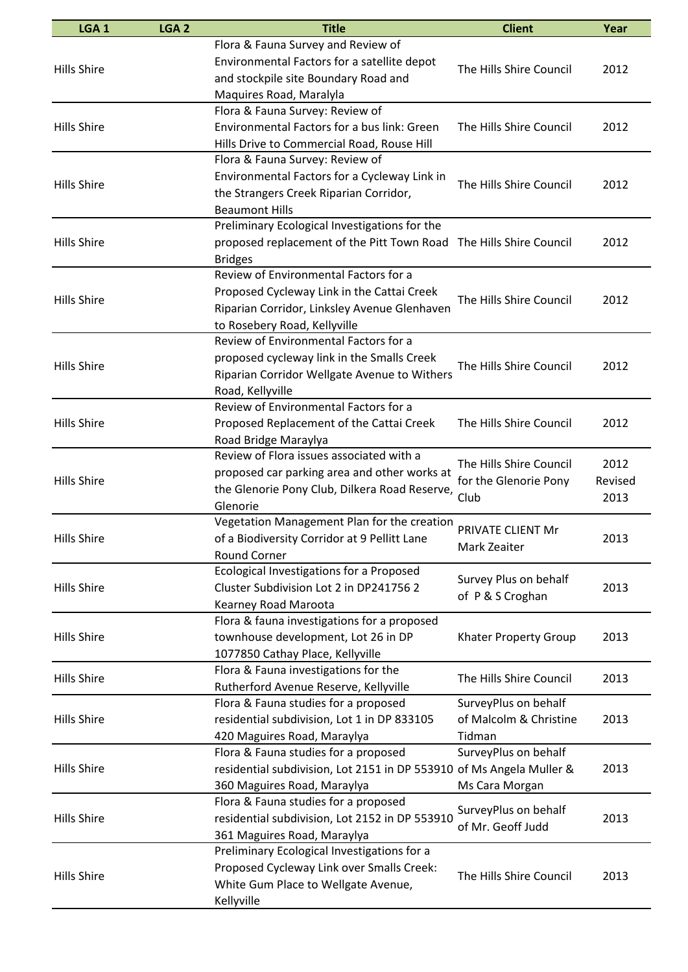| LGA <sub>1</sub>   | LGA <sub>2</sub> | <b>Title</b>                                                         | <b>Client</b>                                            | Year    |
|--------------------|------------------|----------------------------------------------------------------------|----------------------------------------------------------|---------|
|                    |                  | Flora & Fauna Survey and Review of                                   |                                                          |         |
|                    |                  | Environmental Factors for a satellite depot                          |                                                          |         |
| <b>Hills Shire</b> |                  | and stockpile site Boundary Road and                                 | The Hills Shire Council                                  | 2012    |
|                    |                  | Maquires Road, Maralyla                                              |                                                          |         |
|                    |                  | Flora & Fauna Survey: Review of                                      |                                                          |         |
| <b>Hills Shire</b> |                  | Environmental Factors for a bus link: Green                          | The Hills Shire Council                                  | 2012    |
|                    |                  | Hills Drive to Commercial Road, Rouse Hill                           |                                                          |         |
|                    |                  | Flora & Fauna Survey: Review of                                      |                                                          |         |
|                    |                  | Environmental Factors for a Cycleway Link in                         |                                                          |         |
| <b>Hills Shire</b> |                  | the Strangers Creek Riparian Corridor,                               | The Hills Shire Council                                  | 2012    |
|                    |                  | <b>Beaumont Hills</b>                                                |                                                          |         |
|                    |                  | Preliminary Ecological Investigations for the                        |                                                          |         |
| <b>Hills Shire</b> |                  | proposed replacement of the Pitt Town Road The Hills Shire Council   |                                                          | 2012    |
|                    |                  | <b>Bridges</b>                                                       |                                                          |         |
|                    |                  | Review of Environmental Factors for a                                |                                                          |         |
|                    |                  | Proposed Cycleway Link in the Cattai Creek                           |                                                          |         |
| <b>Hills Shire</b> |                  | Riparian Corridor, Linksley Avenue Glenhaven                         | The Hills Shire Council                                  | 2012    |
|                    |                  | to Rosebery Road, Kellyville                                         |                                                          |         |
|                    |                  | Review of Environmental Factors for a                                |                                                          |         |
|                    |                  | proposed cycleway link in the Smalls Creek                           |                                                          |         |
| <b>Hills Shire</b> |                  | Riparian Corridor Wellgate Avenue to Withers                         | The Hills Shire Council                                  | 2012    |
|                    |                  | Road, Kellyville                                                     |                                                          |         |
|                    |                  | Review of Environmental Factors for a                                |                                                          |         |
| <b>Hills Shire</b> |                  | Proposed Replacement of the Cattai Creek                             | The Hills Shire Council                                  | 2012    |
|                    |                  | Road Bridge Maraylya                                                 |                                                          |         |
|                    |                  | Review of Flora issues associated with a                             |                                                          |         |
|                    |                  | proposed car parking area and other works at                         | The Hills Shire Council<br>for the Glenorie Pony<br>Club | 2012    |
| <b>Hills Shire</b> |                  |                                                                      |                                                          | Revised |
|                    |                  | the Glenorie Pony Club, Dilkera Road Reserve,                        |                                                          | 2013    |
|                    |                  | Glenorie<br>Vegetation Management Plan for the creation              |                                                          |         |
|                    |                  |                                                                      | PRIVATE CLIENT Mr<br>Mark Zeaiter                        |         |
| <b>Hills Shire</b> |                  | of a Biodiversity Corridor at 9 Pellitt Lane                         |                                                          | 2013    |
|                    |                  | Round Corner                                                         |                                                          |         |
|                    |                  | Ecological Investigations for a Proposed                             | Survey Plus on behalf<br>of P & S Croghan                |         |
| <b>Hills Shire</b> |                  | Cluster Subdivision Lot 2 in DP241756 2                              |                                                          | 2013    |
|                    |                  | Kearney Road Maroota                                                 |                                                          |         |
|                    |                  | Flora & fauna investigations for a proposed                          |                                                          |         |
| <b>Hills Shire</b> |                  | townhouse development, Lot 26 in DP                                  | Khater Property Group                                    | 2013    |
|                    |                  | 1077850 Cathay Place, Kellyville                                     |                                                          |         |
| <b>Hills Shire</b> |                  | Flora & Fauna investigations for the                                 | The Hills Shire Council                                  | 2013    |
|                    |                  | Rutherford Avenue Reserve, Kellyville                                |                                                          |         |
|                    |                  | Flora & Fauna studies for a proposed                                 | SurveyPlus on behalf                                     |         |
| <b>Hills Shire</b> |                  | residential subdivision, Lot 1 in DP 833105                          | of Malcolm & Christine                                   | 2013    |
|                    |                  | 420 Maguires Road, Maraylya                                          | Tidman                                                   |         |
|                    |                  | Flora & Fauna studies for a proposed                                 | SurveyPlus on behalf                                     |         |
| <b>Hills Shire</b> |                  | residential subdivision, Lot 2151 in DP 553910 of Ms Angela Muller & |                                                          | 2013    |
|                    |                  | 360 Maguires Road, Maraylya                                          | Ms Cara Morgan                                           |         |
|                    |                  | Flora & Fauna studies for a proposed                                 | SurveyPlus on behalf                                     |         |
| <b>Hills Shire</b> |                  | residential subdivision, Lot 2152 in DP 553910                       | of Mr. Geoff Judd                                        | 2013    |
|                    |                  | 361 Maguires Road, Maraylya                                          |                                                          |         |
|                    |                  | Preliminary Ecological Investigations for a                          |                                                          |         |
| <b>Hills Shire</b> |                  | Proposed Cycleway Link over Smalls Creek:                            | The Hills Shire Council                                  | 2013    |
|                    |                  | White Gum Place to Wellgate Avenue,                                  |                                                          |         |
|                    |                  | Kellyville                                                           |                                                          |         |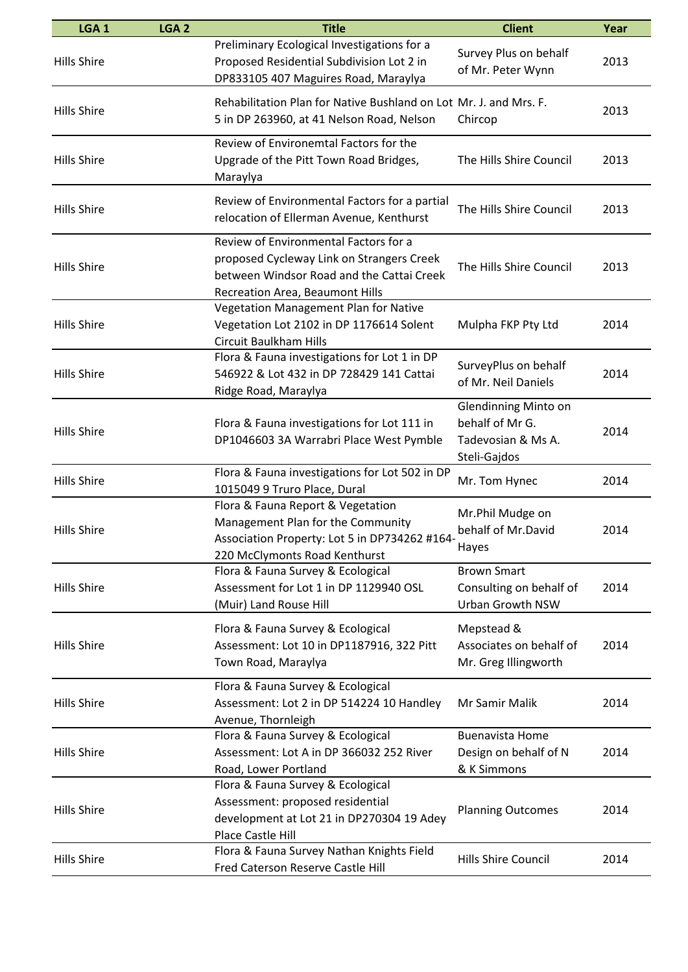| LGA <sub>1</sub>   | LGA <sub>2</sub> | <b>Title</b>                                                                                                                                                       | <b>Client</b>                                                                        | Year |
|--------------------|------------------|--------------------------------------------------------------------------------------------------------------------------------------------------------------------|--------------------------------------------------------------------------------------|------|
| <b>Hills Shire</b> |                  | Preliminary Ecological Investigations for a<br>Proposed Residential Subdivision Lot 2 in<br>DP833105 407 Maguires Road, Maraylya                                   | Survey Plus on behalf<br>of Mr. Peter Wynn                                           | 2013 |
| <b>Hills Shire</b> |                  | Rehabilitation Plan for Native Bushland on Lot Mr. J. and Mrs. F.<br>5 in DP 263960, at 41 Nelson Road, Nelson                                                     | Chircop                                                                              | 2013 |
| <b>Hills Shire</b> |                  | Review of Environemtal Factors for the<br>Upgrade of the Pitt Town Road Bridges,<br>Maraylya                                                                       | The Hills Shire Council                                                              | 2013 |
| <b>Hills Shire</b> |                  | Review of Environmental Factors for a partial<br>relocation of Ellerman Avenue, Kenthurst                                                                          | The Hills Shire Council                                                              | 2013 |
| <b>Hills Shire</b> |                  | Review of Environmental Factors for a<br>proposed Cycleway Link on Strangers Creek<br>between Windsor Road and the Cattai Creek<br>Recreation Area, Beaumont Hills | The Hills Shire Council                                                              | 2013 |
| <b>Hills Shire</b> |                  | Vegetation Management Plan for Native<br>Vegetation Lot 2102 in DP 1176614 Solent<br>Circuit Baulkham Hills                                                        | Mulpha FKP Pty Ltd                                                                   | 2014 |
| <b>Hills Shire</b> |                  | Flora & Fauna investigations for Lot 1 in DP<br>546922 & Lot 432 in DP 728429 141 Cattai<br>Ridge Road, Maraylya                                                   | SurveyPlus on behalf<br>of Mr. Neil Daniels                                          | 2014 |
| <b>Hills Shire</b> |                  | Flora & Fauna investigations for Lot 111 in<br>DP1046603 3A Warrabri Place West Pymble                                                                             | <b>Glendinning Minto on</b><br>behalf of Mr G.<br>Tadevosian & Ms A.<br>Steli-Gajdos | 2014 |
| <b>Hills Shire</b> |                  | Flora & Fauna investigations for Lot 502 in DP<br>1015049 9 Truro Place, Dural                                                                                     | Mr. Tom Hynec                                                                        | 2014 |
| <b>Hills Shire</b> |                  | Flora & Fauna Report & Vegetation<br>Management Plan for the Community<br>Association Property: Lot 5 in DP734262 #164-<br>220 McClymonts Road Kenthurst           | Mr.Phil Mudge on<br>behalf of Mr.David<br>Hayes                                      | 2014 |
| <b>Hills Shire</b> |                  | Flora & Fauna Survey & Ecological<br>Assessment for Lot 1 in DP 1129940 OSL<br>(Muir) Land Rouse Hill                                                              | <b>Brown Smart</b><br>Consulting on behalf of<br>Urban Growth NSW                    | 2014 |
| <b>Hills Shire</b> |                  | Flora & Fauna Survey & Ecological<br>Assessment: Lot 10 in DP1187916, 322 Pitt<br>Town Road, Maraylya                                                              | Mepstead &<br>Associates on behalf of<br>Mr. Greg Illingworth                        | 2014 |
| <b>Hills Shire</b> |                  | Flora & Fauna Survey & Ecological<br>Assessment: Lot 2 in DP 514224 10 Handley<br>Avenue, Thornleigh                                                               | Mr Samir Malik                                                                       | 2014 |
| <b>Hills Shire</b> |                  | Flora & Fauna Survey & Ecological<br>Assessment: Lot A in DP 366032 252 River<br>Road, Lower Portland                                                              | <b>Buenavista Home</b><br>Design on behalf of N<br>& K Simmons                       | 2014 |
| <b>Hills Shire</b> |                  | Flora & Fauna Survey & Ecological<br>Assessment: proposed residential<br>development at Lot 21 in DP270304 19 Adey<br>Place Castle Hill                            | <b>Planning Outcomes</b>                                                             | 2014 |
| <b>Hills Shire</b> |                  | Flora & Fauna Survey Nathan Knights Field<br>Fred Caterson Reserve Castle Hill                                                                                     | Hills Shire Council                                                                  | 2014 |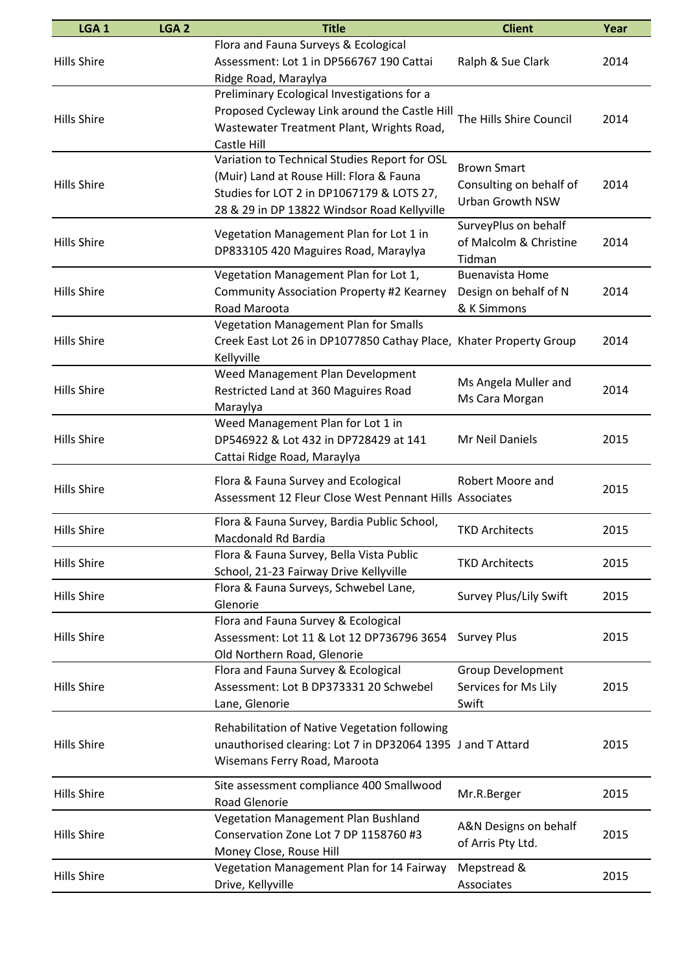| LGA <sub>1</sub>   | LGA <sub>2</sub> | <b>Title</b>                                                                                 | <b>Client</b>                        | Year |
|--------------------|------------------|----------------------------------------------------------------------------------------------|--------------------------------------|------|
| <b>Hills Shire</b> |                  | Flora and Fauna Surveys & Ecological<br>Assessment: Lot 1 in DP566767 190 Cattai             | Ralph & Sue Clark                    | 2014 |
|                    |                  | Ridge Road, Maraylya                                                                         |                                      |      |
|                    |                  | Preliminary Ecological Investigations for a<br>Proposed Cycleway Link around the Castle Hill |                                      |      |
| <b>Hills Shire</b> |                  | Wastewater Treatment Plant, Wrights Road,                                                    | The Hills Shire Council              | 2014 |
|                    |                  | Castle Hill                                                                                  |                                      |      |
|                    |                  | Variation to Technical Studies Report for OSL                                                | <b>Brown Smart</b>                   |      |
| <b>Hills Shire</b> |                  | (Muir) Land at Rouse Hill: Flora & Fauna                                                     | Consulting on behalf of              | 2014 |
|                    |                  | Studies for LOT 2 in DP1067179 & LOTS 27,                                                    | <b>Urban Growth NSW</b>              |      |
|                    |                  | 28 & 29 in DP 13822 Windsor Road Kellyville                                                  | SurveyPlus on behalf                 |      |
| <b>Hills Shire</b> |                  | Vegetation Management Plan for Lot 1 in                                                      | of Malcolm & Christine               | 2014 |
|                    |                  | DP833105 420 Maguires Road, Maraylya                                                         | Tidman                               |      |
|                    |                  | Vegetation Management Plan for Lot 1,                                                        | <b>Buenavista Home</b>               |      |
| <b>Hills Shire</b> |                  | Community Association Property #2 Kearney<br>Road Maroota                                    | Design on behalf of N<br>& K Simmons | 2014 |
|                    |                  | Vegetation Management Plan for Smalls                                                        |                                      |      |
| <b>Hills Shire</b> |                  | Creek East Lot 26 in DP1077850 Cathay Place, Khater Property Group                           |                                      | 2014 |
|                    |                  | Kellyville                                                                                   |                                      |      |
|                    |                  | Weed Management Plan Development                                                             | Ms Angela Muller and                 |      |
| <b>Hills Shire</b> |                  | Restricted Land at 360 Maguires Road                                                         | Ms Cara Morgan                       | 2014 |
|                    |                  | Maraylya<br>Weed Management Plan for Lot 1 in                                                |                                      |      |
| <b>Hills Shire</b> |                  | DP546922 & Lot 432 in DP728429 at 141                                                        | Mr Neil Daniels                      | 2015 |
|                    |                  | Cattai Ridge Road, Maraylya                                                                  |                                      |      |
|                    |                  | Flora & Fauna Survey and Ecological                                                          | Robert Moore and                     |      |
| <b>Hills Shire</b> |                  | Assessment 12 Fleur Close West Pennant Hills Associates                                      |                                      | 2015 |
| <b>Hills Shire</b> |                  | Flora & Fauna Survey, Bardia Public School,                                                  | <b>TKD Architects</b>                | 2015 |
|                    |                  | Macdonald Rd Bardia                                                                          |                                      |      |
| <b>Hills Shire</b> |                  | Flora & Fauna Survey, Bella Vista Public<br>School, 21-23 Fairway Drive Kellyville           | <b>TKD Architects</b>                | 2015 |
| <b>Hills Shire</b> |                  | Flora & Fauna Surveys, Schwebel Lane,                                                        | Survey Plus/Lily Swift               | 2015 |
|                    |                  | Glenorie                                                                                     |                                      |      |
|                    |                  | Flora and Fauna Survey & Ecological                                                          |                                      |      |
| <b>Hills Shire</b> |                  | Assessment: Lot 11 & Lot 12 DP736796 3654<br>Old Northern Road, Glenorie                     | <b>Survey Plus</b>                   | 2015 |
|                    |                  | Flora and Fauna Survey & Ecological                                                          | <b>Group Development</b>             |      |
| <b>Hills Shire</b> |                  | Assessment: Lot B DP373331 20 Schwebel                                                       | Services for Ms Lily                 | 2015 |
|                    |                  | Lane, Glenorie                                                                               | Swift                                |      |
|                    |                  | Rehabilitation of Native Vegetation following                                                |                                      |      |
| <b>Hills Shire</b> |                  | unauthorised clearing: Lot 7 in DP32064 1395 J and T Attard                                  |                                      | 2015 |
|                    |                  | Wisemans Ferry Road, Maroota                                                                 |                                      |      |
| <b>Hills Shire</b> |                  | Site assessment compliance 400 Smallwood                                                     |                                      | 2015 |
|                    |                  | <b>Road Glenorie</b>                                                                         | Mr.R.Berger                          |      |
|                    |                  | Vegetation Management Plan Bushland                                                          | A&N Designs on behalf                | 2015 |
| <b>Hills Shire</b> |                  | Conservation Zone Lot 7 DP 1158760 #3<br>Money Close, Rouse Hill                             | of Arris Pty Ltd.                    |      |
|                    |                  | Vegetation Management Plan for 14 Fairway                                                    | Mepstread &                          |      |
| <b>Hills Shire</b> |                  | Drive, Kellyville                                                                            | Associates                           | 2015 |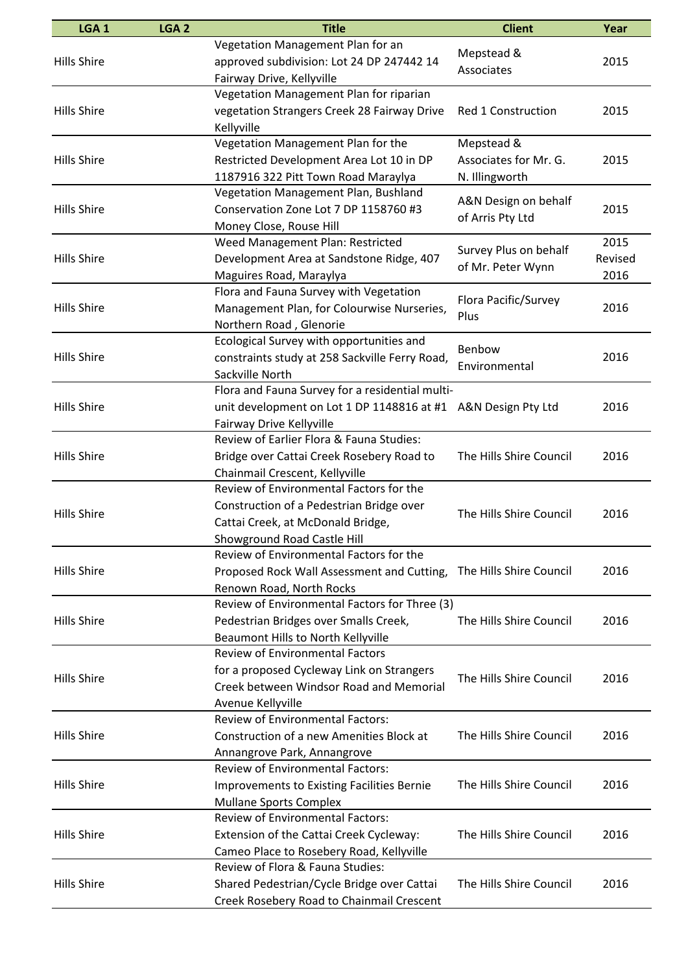| LGA <sub>1</sub>   | LGA <sub>2</sub> | <b>Title</b>                                                                         | <b>Client</b>            | Year    |
|--------------------|------------------|--------------------------------------------------------------------------------------|--------------------------|---------|
| <b>Hills Shire</b> |                  | Vegetation Management Plan for an<br>approved subdivision: Lot 24 DP 247442 14       | Mepstead &<br>Associates | 2015    |
|                    |                  | Fairway Drive, Kellyville                                                            |                          |         |
|                    |                  | Vegetation Management Plan for riparian                                              |                          |         |
| <b>Hills Shire</b> |                  | vegetation Strangers Creek 28 Fairway Drive                                          | Red 1 Construction       | 2015    |
|                    |                  | Kellyville                                                                           |                          |         |
|                    |                  | Vegetation Management Plan for the                                                   | Mepstead &               |         |
| <b>Hills Shire</b> |                  | Restricted Development Area Lot 10 in DP                                             | Associates for Mr. G.    | 2015    |
|                    |                  | 1187916 322 Pitt Town Road Maraylya                                                  | N. Illingworth           |         |
|                    |                  | Vegetation Management Plan, Bushland                                                 | A&N Design on behalf     |         |
| <b>Hills Shire</b> |                  | Conservation Zone Lot 7 DP 1158760 #3                                                | of Arris Pty Ltd         | 2015    |
|                    |                  | Money Close, Rouse Hill                                                              |                          |         |
|                    |                  | Weed Management Plan: Restricted                                                     | Survey Plus on behalf    | 2015    |
| <b>Hills Shire</b> |                  | Development Area at Sandstone Ridge, 407                                             | of Mr. Peter Wynn        | Revised |
|                    |                  | Maguires Road, Maraylya                                                              |                          | 2016    |
|                    |                  | Flora and Fauna Survey with Vegetation                                               | Flora Pacific/Survey     |         |
| <b>Hills Shire</b> |                  | Management Plan, for Colourwise Nurseries,                                           | Plus                     | 2016    |
|                    |                  | Northern Road, Glenorie                                                              |                          |         |
|                    |                  | Ecological Survey with opportunities and                                             | Benbow                   |         |
| <b>Hills Shire</b> |                  | constraints study at 258 Sackville Ferry Road,                                       | Environmental            | 2016    |
|                    |                  | Sackville North                                                                      |                          |         |
|                    |                  | Flora and Fauna Survey for a residential multi-                                      |                          |         |
| <b>Hills Shire</b> |                  | unit development on Lot 1 DP 1148816 at #1 A&N Design Pty Ltd                        |                          | 2016    |
|                    |                  | Fairway Drive Kellyville                                                             |                          |         |
|                    |                  | Review of Earlier Flora & Fauna Studies:                                             |                          |         |
| <b>Hills Shire</b> |                  | Bridge over Cattai Creek Rosebery Road to                                            | The Hills Shire Council  | 2016    |
|                    |                  | Chainmail Crescent, Kellyville                                                       |                          |         |
|                    |                  | Review of Environmental Factors for the                                              |                          |         |
| <b>Hills Shire</b> |                  | Construction of a Pedestrian Bridge over                                             | The Hills Shire Council  | 2016    |
|                    |                  | Cattai Creek, at McDonald Bridge,                                                    |                          |         |
|                    |                  | <b>Showground Road Castle Hill</b>                                                   |                          |         |
|                    |                  | Review of Environmental Factors for the                                              |                          |         |
| <b>Hills Shire</b> |                  | Proposed Rock Wall Assessment and Cutting,                                           | The Hills Shire Council  | 2016    |
|                    |                  | Renown Road, North Rocks<br>Review of Environmental Factors for Three (3)            |                          |         |
|                    |                  |                                                                                      |                          |         |
| <b>Hills Shire</b> |                  | Pedestrian Bridges over Smalls Creek,                                                | The Hills Shire Council  | 2016    |
|                    |                  | Beaumont Hills to North Kellyville<br><b>Review of Environmental Factors</b>         |                          |         |
|                    |                  |                                                                                      |                          |         |
| <b>Hills Shire</b> |                  | for a proposed Cycleway Link on Strangers<br>Creek between Windsor Road and Memorial | The Hills Shire Council  | 2016    |
|                    |                  |                                                                                      |                          |         |
|                    |                  | Avenue Kellyville<br><b>Review of Environmental Factors:</b>                         |                          |         |
| <b>Hills Shire</b> |                  | Construction of a new Amenities Block at                                             | The Hills Shire Council  | 2016    |
|                    |                  |                                                                                      |                          |         |
|                    |                  | Annangrove Park, Annangrove<br><b>Review of Environmental Factors:</b>               |                          |         |
| <b>Hills Shire</b> |                  | <b>Improvements to Existing Facilities Bernie</b>                                    | The Hills Shire Council  | 2016    |
|                    |                  |                                                                                      |                          |         |
|                    |                  | <b>Mullane Sports Complex</b><br><b>Review of Environmental Factors:</b>             |                          |         |
| <b>Hills Shire</b> |                  | Extension of the Cattai Creek Cycleway:                                              | The Hills Shire Council  | 2016    |
|                    |                  |                                                                                      |                          |         |
|                    |                  | Cameo Place to Rosebery Road, Kellyville<br>Review of Flora & Fauna Studies:         |                          |         |
| <b>Hills Shire</b> |                  | Shared Pedestrian/Cycle Bridge over Cattai                                           | The Hills Shire Council  | 2016    |
|                    |                  | Creek Rosebery Road to Chainmail Crescent                                            |                          |         |
|                    |                  |                                                                                      |                          |         |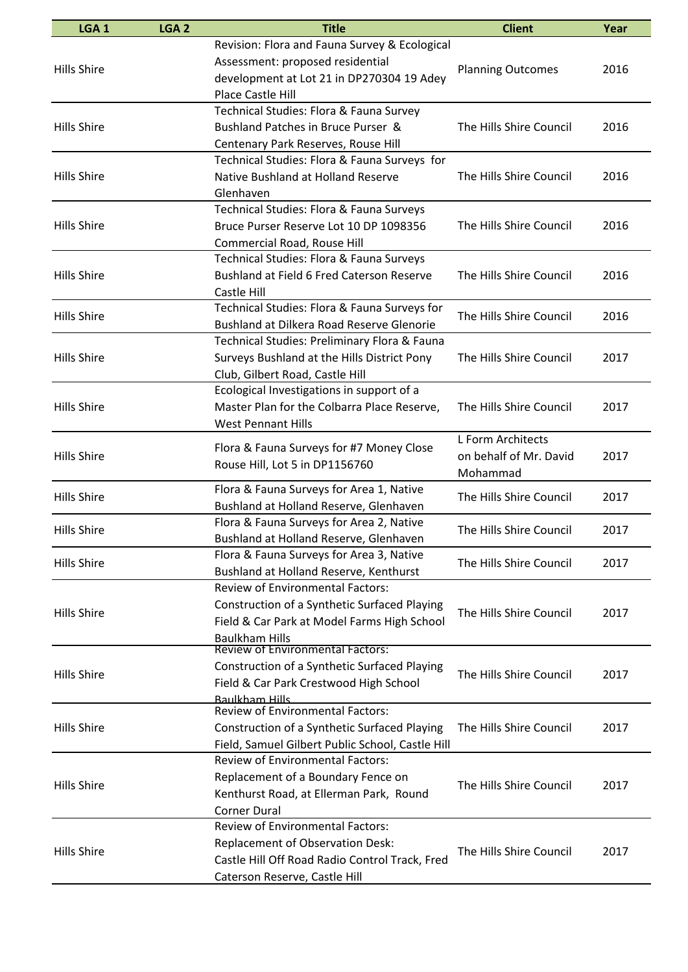| LGA <sub>1</sub>   | LGA <sub>2</sub> | <b>Title</b>                                                      | <b>Client</b>            | Year |
|--------------------|------------------|-------------------------------------------------------------------|--------------------------|------|
|                    |                  | Revision: Flora and Fauna Survey & Ecological                     |                          |      |
|                    |                  | Assessment: proposed residential                                  |                          |      |
| <b>Hills Shire</b> |                  | development at Lot 21 in DP270304 19 Adey                         | <b>Planning Outcomes</b> | 2016 |
|                    |                  | <b>Place Castle Hill</b>                                          |                          |      |
|                    |                  | Technical Studies: Flora & Fauna Survey                           |                          |      |
| <b>Hills Shire</b> |                  | Bushland Patches in Bruce Purser &                                | The Hills Shire Council  | 2016 |
|                    |                  | Centenary Park Reserves, Rouse Hill                               |                          |      |
|                    |                  | Technical Studies: Flora & Fauna Surveys for                      |                          |      |
| <b>Hills Shire</b> |                  | Native Bushland at Holland Reserve                                | The Hills Shire Council  | 2016 |
|                    |                  | Glenhaven                                                         |                          |      |
|                    |                  | Technical Studies: Flora & Fauna Surveys                          |                          |      |
| <b>Hills Shire</b> |                  | Bruce Purser Reserve Lot 10 DP 1098356                            | The Hills Shire Council  | 2016 |
|                    |                  | Commercial Road, Rouse Hill                                       |                          |      |
|                    |                  | Technical Studies: Flora & Fauna Surveys                          |                          |      |
| <b>Hills Shire</b> |                  | Bushland at Field 6 Fred Caterson Reserve                         | The Hills Shire Council  | 2016 |
|                    |                  | Castle Hill                                                       |                          |      |
|                    |                  | Technical Studies: Flora & Fauna Surveys for                      |                          |      |
| <b>Hills Shire</b> |                  | Bushland at Dilkera Road Reserve Glenorie                         | The Hills Shire Council  | 2016 |
|                    |                  | Technical Studies: Preliminary Flora & Fauna                      |                          |      |
| <b>Hills Shire</b> |                  | Surveys Bushland at the Hills District Pony                       | The Hills Shire Council  | 2017 |
|                    |                  | Club, Gilbert Road, Castle Hill                                   |                          |      |
|                    |                  | Ecological Investigations in support of a                         |                          |      |
| <b>Hills Shire</b> |                  | Master Plan for the Colbarra Place Reserve,                       | The Hills Shire Council  | 2017 |
|                    |                  | West Pennant Hills                                                |                          |      |
|                    |                  |                                                                   | L Form Architects        |      |
| <b>Hills Shire</b> |                  | Flora & Fauna Surveys for #7 Money Close                          | on behalf of Mr. David   | 2017 |
|                    |                  | Rouse Hill, Lot 5 in DP1156760                                    | Mohammad                 |      |
| <b>Hills Shire</b> |                  | Flora & Fauna Surveys for Area 1, Native                          | The Hills Shire Council  | 2017 |
|                    |                  | Bushland at Holland Reserve, Glenhaven                            |                          |      |
| <b>Hills Shire</b> |                  | Flora & Fauna Surveys for Area 2, Native                          | The Hills Shire Council  | 2017 |
|                    |                  | Bushland at Holland Reserve, Glenhaven                            |                          |      |
| <b>Hills Shire</b> |                  | Flora & Fauna Surveys for Area 3, Native                          | The Hills Shire Council  | 2017 |
|                    |                  | Bushland at Holland Reserve, Kenthurst                            |                          |      |
|                    |                  | <b>Review of Environmental Factors:</b>                           |                          |      |
| <b>Hills Shire</b> |                  | Construction of a Synthetic Surfaced Playing                      | The Hills Shire Council  | 2017 |
|                    |                  | Field & Car Park at Model Farms High School                       |                          |      |
|                    |                  | <b>Baulkham Hills</b>                                             |                          |      |
|                    |                  | <b>Review of Environmental Factors:</b>                           |                          |      |
| <b>Hills Shire</b> |                  | Construction of a Synthetic Surfaced Playing                      | The Hills Shire Council  | 2017 |
|                    |                  | Field & Car Park Crestwood High School                            |                          |      |
|                    |                  | <u> Raulkham Hills</u><br><b>Review of Environmental Factors:</b> |                          |      |
| <b>Hills Shire</b> |                  | Construction of a Synthetic Surfaced Playing                      | The Hills Shire Council  | 2017 |
|                    |                  | Field, Samuel Gilbert Public School, Castle Hill                  |                          |      |
|                    |                  | <b>Review of Environmental Factors:</b>                           |                          |      |
|                    |                  | Replacement of a Boundary Fence on                                |                          |      |
| <b>Hills Shire</b> |                  | Kenthurst Road, at Ellerman Park, Round                           | The Hills Shire Council  | 2017 |
|                    |                  | <b>Corner Dural</b>                                               |                          |      |
|                    |                  | <b>Review of Environmental Factors:</b>                           |                          |      |
|                    |                  | Replacement of Observation Desk:                                  |                          |      |
| <b>Hills Shire</b> |                  | Castle Hill Off Road Radio Control Track, Fred                    | The Hills Shire Council  | 2017 |
|                    |                  |                                                                   |                          |      |
|                    |                  | Caterson Reserve, Castle Hill                                     |                          |      |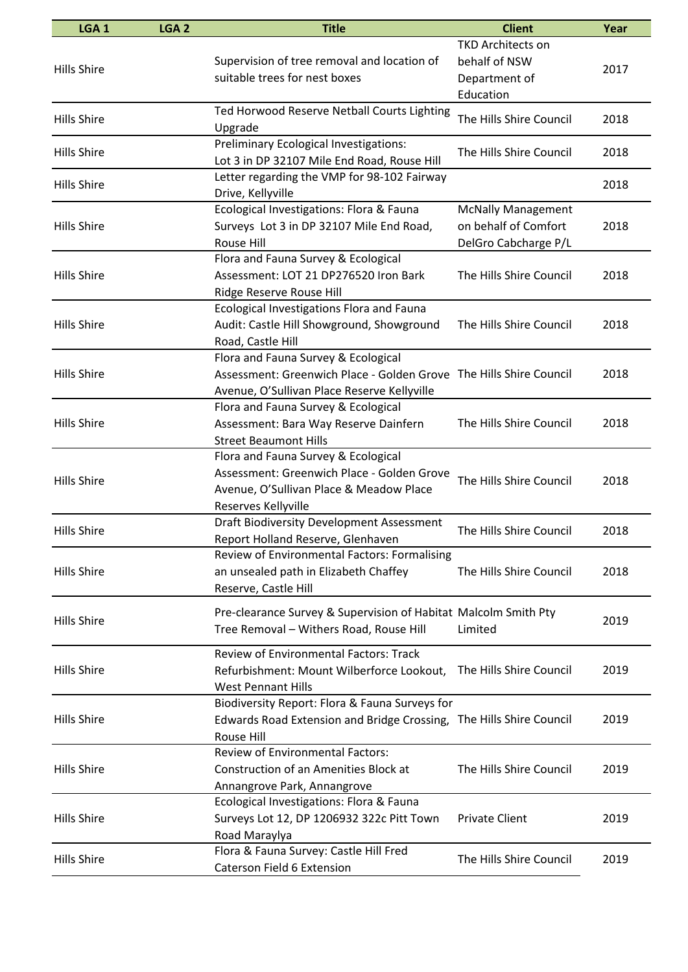| LGA <sub>1</sub>   | LGA <sub>2</sub> | <b>Title</b>                                                                                                                                             | <b>Client</b>                                                             | Year |
|--------------------|------------------|----------------------------------------------------------------------------------------------------------------------------------------------------------|---------------------------------------------------------------------------|------|
| <b>Hills Shire</b> |                  | Supervision of tree removal and location of<br>suitable trees for nest boxes                                                                             | <b>TKD Architects on</b><br>behalf of NSW<br>Department of<br>Education   | 2017 |
| <b>Hills Shire</b> |                  | Ted Horwood Reserve Netball Courts Lighting<br>Upgrade                                                                                                   | The Hills Shire Council                                                   | 2018 |
| <b>Hills Shire</b> |                  | Preliminary Ecological Investigations:<br>Lot 3 in DP 32107 Mile End Road, Rouse Hill                                                                    | The Hills Shire Council                                                   | 2018 |
| <b>Hills Shire</b> |                  | Letter regarding the VMP for 98-102 Fairway<br>Drive, Kellyville                                                                                         |                                                                           | 2018 |
| <b>Hills Shire</b> |                  | Ecological Investigations: Flora & Fauna<br>Surveys Lot 3 in DP 32107 Mile End Road,<br>Rouse Hill                                                       | <b>McNally Management</b><br>on behalf of Comfort<br>DelGro Cabcharge P/L | 2018 |
| <b>Hills Shire</b> |                  | Flora and Fauna Survey & Ecological<br>Assessment: LOT 21 DP276520 Iron Bark<br>Ridge Reserve Rouse Hill                                                 | The Hills Shire Council                                                   | 2018 |
| <b>Hills Shire</b> |                  | Ecological Investigations Flora and Fauna<br>Audit: Castle Hill Showground, Showground<br>Road, Castle Hill                                              | The Hills Shire Council                                                   | 2018 |
| <b>Hills Shire</b> |                  | Flora and Fauna Survey & Ecological<br>Assessment: Greenwich Place - Golden Grove The Hills Shire Council<br>Avenue, O'Sullivan Place Reserve Kellyville |                                                                           | 2018 |
| <b>Hills Shire</b> |                  | Flora and Fauna Survey & Ecological<br>Assessment: Bara Way Reserve Dainfern<br><b>Street Beaumont Hills</b>                                             | The Hills Shire Council                                                   | 2018 |
| <b>Hills Shire</b> |                  | Flora and Fauna Survey & Ecological<br>Assessment: Greenwich Place - Golden Grove<br>Avenue, O'Sullivan Place & Meadow Place<br>Reserves Kellyville      | The Hills Shire Council                                                   | 2018 |
| <b>Hills Shire</b> |                  | <b>Draft Biodiversity Development Assessment</b><br>Report Holland Reserve, Glenhaven                                                                    | The Hills Shire Council                                                   | 2018 |
| <b>Hills Shire</b> |                  | <b>Review of Environmental Factors: Formalising</b><br>an unsealed path in Elizabeth Chaffey<br>Reserve, Castle Hill                                     | The Hills Shire Council                                                   | 2018 |
| <b>Hills Shire</b> |                  | Pre-clearance Survey & Supervision of Habitat Malcolm Smith Pty<br>Tree Removal - Withers Road, Rouse Hill                                               | Limited                                                                   | 2019 |
| <b>Hills Shire</b> |                  | <b>Review of Environmental Factors: Track</b><br>Refurbishment: Mount Wilberforce Lookout, The Hills Shire Council<br><b>West Pennant Hills</b>          |                                                                           | 2019 |
| <b>Hills Shire</b> |                  | Biodiversity Report: Flora & Fauna Surveys for<br>Edwards Road Extension and Bridge Crossing, The Hills Shire Council<br>Rouse Hill                      |                                                                           | 2019 |
| <b>Hills Shire</b> |                  | <b>Review of Environmental Factors:</b><br>Construction of an Amenities Block at<br>Annangrove Park, Annangrove                                          | The Hills Shire Council                                                   | 2019 |
| <b>Hills Shire</b> |                  | Ecological Investigations: Flora & Fauna<br>Surveys Lot 12, DP 1206932 322c Pitt Town<br>Road Maraylya                                                   | <b>Private Client</b>                                                     | 2019 |
| <b>Hills Shire</b> |                  | Flora & Fauna Survey: Castle Hill Fred<br>Caterson Field 6 Extension                                                                                     | The Hills Shire Council                                                   | 2019 |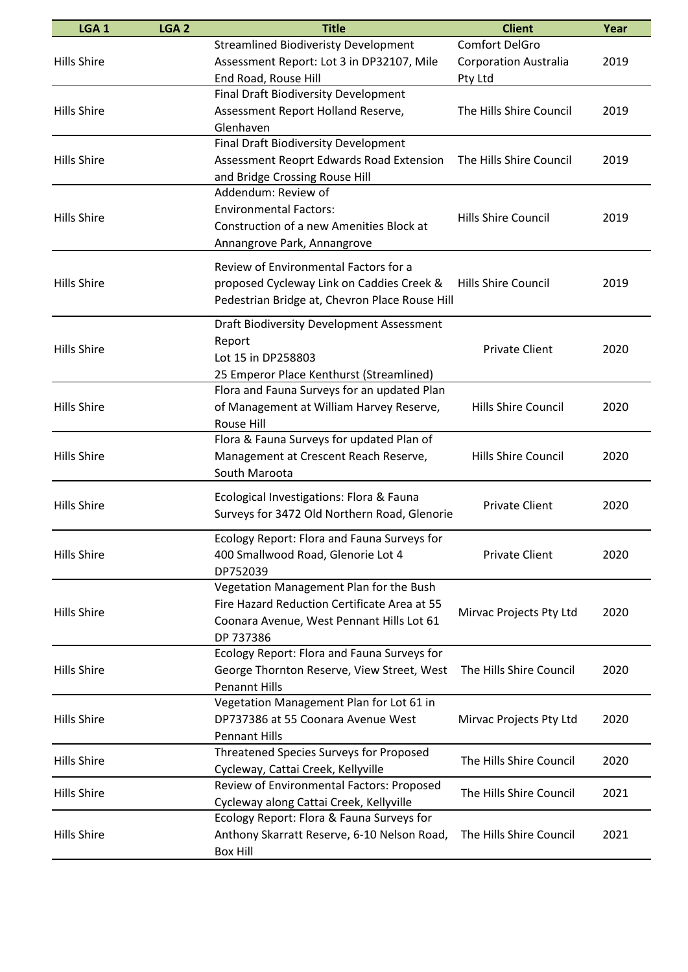| LGA <sub>1</sub>   | LGA <sub>2</sub> | <b>Title</b>                                                                                                                                      | <b>Client</b>                                             | Year |
|--------------------|------------------|---------------------------------------------------------------------------------------------------------------------------------------------------|-----------------------------------------------------------|------|
| <b>Hills Shire</b> |                  | <b>Streamlined Biodiveristy Development</b><br>Assessment Report: Lot 3 in DP32107, Mile<br>End Road, Rouse Hill                                  | Comfort DelGro<br><b>Corporation Australia</b><br>Pty Ltd | 2019 |
| <b>Hills Shire</b> |                  | Final Draft Biodiversity Development<br>Assessment Report Holland Reserve,<br>Glenhaven                                                           | The Hills Shire Council                                   | 2019 |
| <b>Hills Shire</b> |                  | <b>Final Draft Biodiversity Development</b><br>Assessment Reoprt Edwards Road Extension<br>and Bridge Crossing Rouse Hill                         | The Hills Shire Council                                   | 2019 |
| <b>Hills Shire</b> |                  | Addendum: Review of<br><b>Environmental Factors:</b><br>Construction of a new Amenities Block at<br>Annangrove Park, Annangrove                   | Hills Shire Council                                       | 2019 |
| <b>Hills Shire</b> |                  | Review of Environmental Factors for a<br>proposed Cycleway Link on Caddies Creek &<br>Pedestrian Bridge at, Chevron Place Rouse Hill              | <b>Hills Shire Council</b>                                | 2019 |
| <b>Hills Shire</b> |                  | Draft Biodiversity Development Assessment<br>Report<br>Lot 15 in DP258803<br>25 Emperor Place Kenthurst (Streamlined)                             | <b>Private Client</b>                                     | 2020 |
| <b>Hills Shire</b> |                  | Flora and Fauna Surveys for an updated Plan<br>of Management at William Harvey Reserve,<br>Rouse Hill                                             | Hills Shire Council                                       | 2020 |
| <b>Hills Shire</b> |                  | Flora & Fauna Surveys for updated Plan of<br>Management at Crescent Reach Reserve,<br>South Maroota                                               | Hills Shire Council                                       | 2020 |
| <b>Hills Shire</b> |                  | Ecological Investigations: Flora & Fauna<br>Surveys for 3472 Old Northern Road, Glenorie                                                          | <b>Private Client</b>                                     | 2020 |
| <b>Hills Shire</b> |                  | Ecology Report: Flora and Fauna Surveys for<br>400 Smallwood Road, Glenorie Lot 4<br>DP752039                                                     | <b>Private Client</b>                                     | 2020 |
| <b>Hills Shire</b> |                  | Vegetation Management Plan for the Bush<br>Fire Hazard Reduction Certificate Area at 55<br>Coonara Avenue, West Pennant Hills Lot 61<br>DP 737386 | Mirvac Projects Pty Ltd                                   | 2020 |
| <b>Hills Shire</b> |                  | Ecology Report: Flora and Fauna Surveys for<br>George Thornton Reserve, View Street, West<br><b>Penannt Hills</b>                                 | The Hills Shire Council                                   | 2020 |
| <b>Hills Shire</b> |                  | Vegetation Management Plan for Lot 61 in<br>DP737386 at 55 Coonara Avenue West<br><b>Pennant Hills</b>                                            | Mirvac Projects Pty Ltd                                   | 2020 |
| <b>Hills Shire</b> |                  | Threatened Species Surveys for Proposed<br>Cycleway, Cattai Creek, Kellyville                                                                     | The Hills Shire Council                                   | 2020 |
| <b>Hills Shire</b> |                  | Review of Environmental Factors: Proposed<br>Cycleway along Cattai Creek, Kellyville                                                              | The Hills Shire Council                                   | 2021 |
| <b>Hills Shire</b> |                  | Ecology Report: Flora & Fauna Surveys for<br>Anthony Skarratt Reserve, 6-10 Nelson Road,<br><b>Box Hill</b>                                       | The Hills Shire Council                                   | 2021 |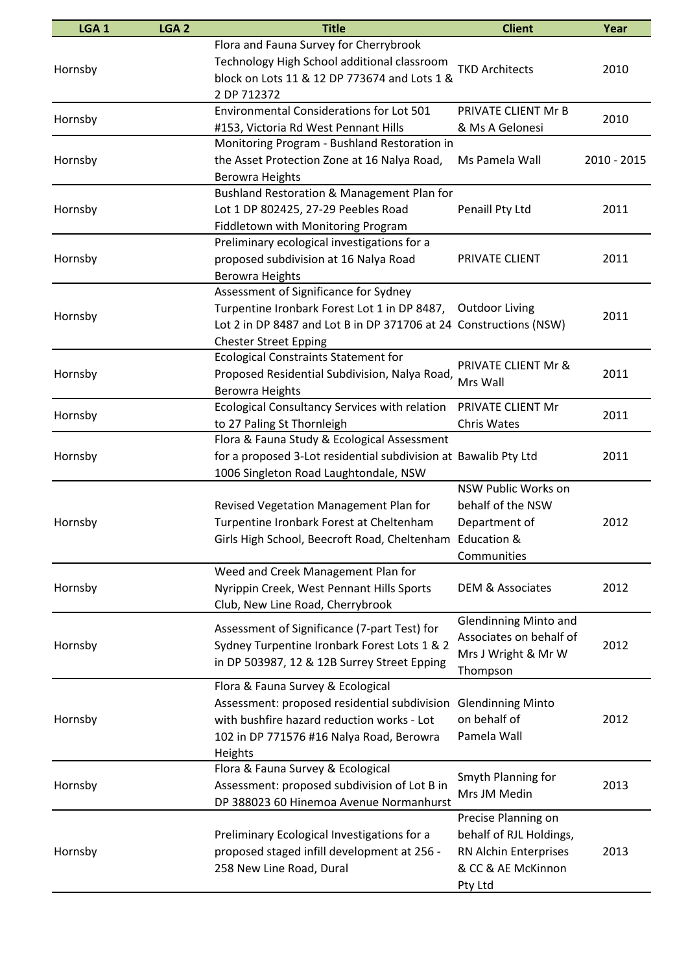| LGA <sub>1</sub> | LGA <sub>2</sub> | <b>Title</b>                                                      | <b>Client</b>                  | Year        |
|------------------|------------------|-------------------------------------------------------------------|--------------------------------|-------------|
|                  |                  | Flora and Fauna Survey for Cherrybrook                            |                                |             |
|                  |                  | Technology High School additional classroom                       |                                |             |
| Hornsby          |                  | block on Lots 11 & 12 DP 773674 and Lots 1 &                      | <b>TKD Architects</b>          | 2010        |
|                  |                  | 2 DP 712372                                                       |                                |             |
|                  |                  | Environmental Considerations for Lot 501                          | PRIVATE CLIENT Mr B            |             |
| Hornsby          |                  | #153, Victoria Rd West Pennant Hills                              | & Ms A Gelonesi                | 2010        |
|                  |                  | Monitoring Program - Bushland Restoration in                      |                                |             |
| Hornsby          |                  | the Asset Protection Zone at 16 Nalya Road,                       | Ms Pamela Wall                 | 2010 - 2015 |
|                  |                  | <b>Berowra Heights</b>                                            |                                |             |
|                  |                  | Bushland Restoration & Management Plan for                        |                                |             |
| Hornsby          |                  | Lot 1 DP 802425, 27-29 Peebles Road                               | Penaill Pty Ltd                | 2011        |
|                  |                  | Fiddletown with Monitoring Program                                |                                |             |
|                  |                  | Preliminary ecological investigations for a                       |                                |             |
| Hornsby          |                  | proposed subdivision at 16 Nalya Road                             | PRIVATE CLIENT                 | 2011        |
|                  |                  | <b>Berowra Heights</b>                                            |                                |             |
|                  |                  | Assessment of Significance for Sydney                             |                                |             |
|                  |                  | Turpentine Ironbark Forest Lot 1 in DP 8487, Outdoor Living       |                                |             |
| Hornsby          |                  | Lot 2 in DP 8487 and Lot B in DP 371706 at 24 Constructions (NSW) |                                | 2011        |
|                  |                  | <b>Chester Street Epping</b>                                      |                                |             |
|                  |                  | <b>Ecological Constraints Statement for</b>                       |                                |             |
| Hornsby          |                  | Proposed Residential Subdivision, Nalya Road,                     | <b>PRIVATE CLIENT Mr &amp;</b> | 2011        |
|                  |                  | <b>Berowra Heights</b>                                            | Mrs Wall                       |             |
|                  |                  | Ecological Consultancy Services with relation                     | PRIVATE CLIENT Mr              |             |
| Hornsby          |                  | to 27 Paling St Thornleigh                                        | Chris Wates                    | 2011        |
|                  |                  | Flora & Fauna Study & Ecological Assessment                       |                                |             |
| Hornsby          |                  | for a proposed 3-Lot residential subdivision at Bawalib Pty Ltd   |                                | 2011        |
|                  |                  | 1006 Singleton Road Laughtondale, NSW                             |                                |             |
|                  |                  |                                                                   | NSW Public Works on            |             |
|                  |                  | Revised Vegetation Management Plan for                            | behalf of the NSW              |             |
| Hornsby          |                  | Turpentine Ironbark Forest at Cheltenham                          | Department of                  | 2012        |
|                  |                  | Girls High School, Beecroft Road, Cheltenham                      | <b>Education &amp;</b>         |             |
|                  |                  |                                                                   | Communities                    |             |
|                  |                  | Weed and Creek Management Plan for                                |                                |             |
| Hornsby          |                  | Nyrippin Creek, West Pennant Hills Sports                         | <b>DEM &amp; Associates</b>    | 2012        |
|                  |                  | Club, New Line Road, Cherrybrook                                  |                                |             |
|                  |                  |                                                                   | <b>Glendinning Minto and</b>   |             |
|                  |                  | Assessment of Significance (7-part Test) for                      | Associates on behalf of        |             |
| Hornsby          |                  | Sydney Turpentine Ironbark Forest Lots 1 & 2                      | Mrs J Wright & Mr W            | 2012        |
|                  |                  | in DP 503987, 12 & 12B Surrey Street Epping                       | Thompson                       |             |
|                  |                  | Flora & Fauna Survey & Ecological                                 |                                |             |
|                  |                  | Assessment: proposed residential subdivision                      | <b>Glendinning Minto</b>       |             |
| Hornsby          |                  | with bushfire hazard reduction works - Lot                        | on behalf of                   | 2012        |
|                  |                  | 102 in DP 771576 #16 Nalya Road, Berowra                          | Pamela Wall                    |             |
|                  |                  | Heights                                                           |                                |             |
|                  |                  | Flora & Fauna Survey & Ecological                                 |                                |             |
| Hornsby          |                  | Assessment: proposed subdivision of Lot B in                      | Smyth Planning for             | 2013        |
|                  |                  | DP 388023 60 Hinemoa Avenue Normanhurst                           | Mrs JM Medin                   |             |
|                  |                  |                                                                   | Precise Planning on            |             |
|                  |                  | Preliminary Ecological Investigations for a                       | behalf of RJL Holdings,        |             |
| Hornsby          |                  | proposed staged infill development at 256 -                       | RN Alchin Enterprises          | 2013        |
|                  |                  | 258 New Line Road, Dural                                          | & CC & AE McKinnon             |             |
|                  |                  |                                                                   | Pty Ltd                        |             |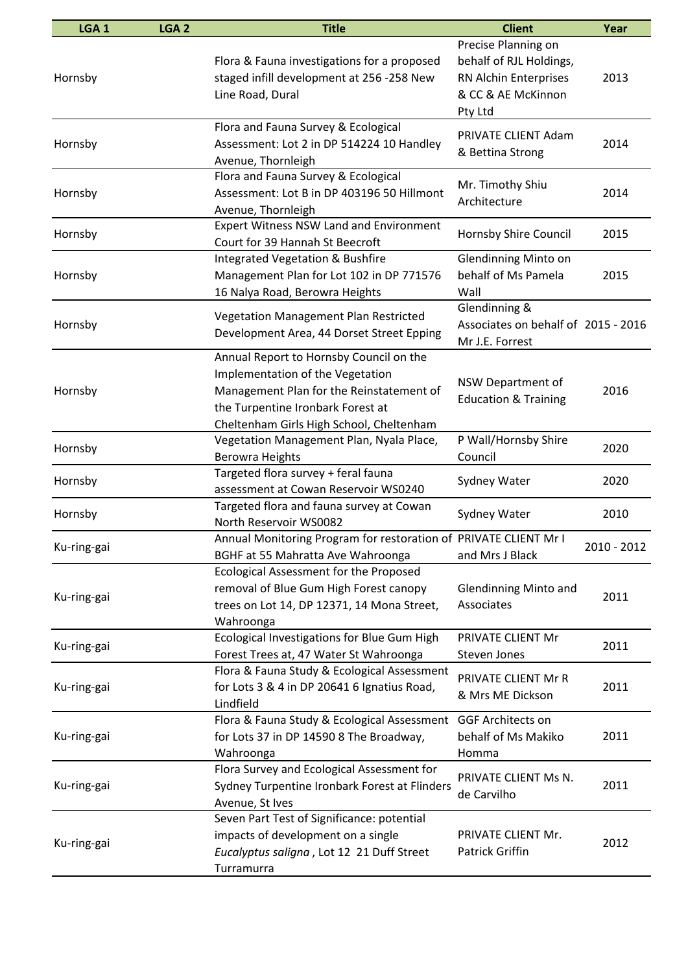| LGA <sub>1</sub> | LGA <sub>2</sub> | <b>Title</b>                                                                                                                                                                                             | <b>Client</b>                                                                                            | Year        |
|------------------|------------------|----------------------------------------------------------------------------------------------------------------------------------------------------------------------------------------------------------|----------------------------------------------------------------------------------------------------------|-------------|
| Hornsby          |                  | Flora & Fauna investigations for a proposed<br>staged infill development at 256 -258 New<br>Line Road, Dural                                                                                             | Precise Planning on<br>behalf of RJL Holdings,<br>RN Alchin Enterprises<br>& CC & AE McKinnon<br>Pty Ltd | 2013        |
| Hornsby          |                  | Flora and Fauna Survey & Ecological<br>Assessment: Lot 2 in DP 514224 10 Handley<br>Avenue, Thornleigh                                                                                                   | PRIVATE CLIENT Adam<br>& Bettina Strong                                                                  | 2014        |
| Hornsby          |                  | Flora and Fauna Survey & Ecological<br>Assessment: Lot B in DP 403196 50 Hillmont<br>Avenue, Thornleigh                                                                                                  | Mr. Timothy Shiu<br>Architecture                                                                         | 2014        |
| Hornsby          |                  | <b>Expert Witness NSW Land and Environment</b><br>Court for 39 Hannah St Beecroft                                                                                                                        | Hornsby Shire Council                                                                                    | 2015        |
| Hornsby          |                  | Integrated Vegetation & Bushfire<br>Management Plan for Lot 102 in DP 771576<br>16 Nalya Road, Berowra Heights                                                                                           | <b>Glendinning Minto on</b><br>behalf of Ms Pamela<br>Wall                                               | 2015        |
| Hornsby          |                  | <b>Vegetation Management Plan Restricted</b><br>Development Area, 44 Dorset Street Epping                                                                                                                | Glendinning &<br>Associates on behalf of 2015 - 2016<br>Mr J.E. Forrest                                  |             |
| Hornsby          |                  | Annual Report to Hornsby Council on the<br>Implementation of the Vegetation<br>Management Plan for the Reinstatement of<br>the Turpentine Ironbark Forest at<br>Cheltenham Girls High School, Cheltenham | NSW Department of<br><b>Education &amp; Training</b>                                                     | 2016        |
| Hornsby          |                  | Vegetation Management Plan, Nyala Place,<br><b>Berowra Heights</b>                                                                                                                                       | P Wall/Hornsby Shire<br>Council                                                                          | 2020        |
| Hornsby          |                  | Targeted flora survey + feral fauna<br>assessment at Cowan Reservoir WS0240                                                                                                                              | Sydney Water                                                                                             | 2020        |
| Hornsby          |                  | Targeted flora and fauna survey at Cowan<br>North Reservoir WS0082                                                                                                                                       | Sydney Water                                                                                             | 2010        |
| Ku-ring-gai      |                  | Annual Monitoring Program for restoration of PRIVATE CLIENT Mr I<br>BGHF at 55 Mahratta Ave Wahroonga                                                                                                    | and Mrs J Black                                                                                          | 2010 - 2012 |
| Ku-ring-gai      |                  | Ecological Assessment for the Proposed<br>removal of Blue Gum High Forest canopy<br>trees on Lot 14, DP 12371, 14 Mona Street,<br>Wahroonga                                                              | <b>Glendinning Minto and</b><br>Associates                                                               | 2011        |
| Ku-ring-gai      |                  | Ecological Investigations for Blue Gum High<br>Forest Trees at, 47 Water St Wahroonga                                                                                                                    | PRIVATE CLIENT Mr<br>Steven Jones                                                                        | 2011        |
| Ku-ring-gai      |                  | Flora & Fauna Study & Ecological Assessment<br>for Lots 3 & 4 in DP 20641 6 Ignatius Road,<br>Lindfield                                                                                                  | PRIVATE CLIENT Mr R<br>& Mrs ME Dickson                                                                  | 2011        |
| Ku-ring-gai      |                  | Flora & Fauna Study & Ecological Assessment<br>for Lots 37 in DP 14590 8 The Broadway,<br>Wahroonga                                                                                                      | <b>GGF Architects on</b><br>behalf of Ms Makiko<br>Homma                                                 | 2011        |
| Ku-ring-gai      |                  | Flora Survey and Ecological Assessment for<br>Sydney Turpentine Ironbark Forest at Flinders<br>Avenue, St Ives                                                                                           | PRIVATE CLIENT Ms N.<br>de Carvilho                                                                      | 2011        |
| Ku-ring-gai      |                  | Seven Part Test of Significance: potential<br>impacts of development on a single<br>Eucalyptus saligna, Lot 12 21 Duff Street<br>Turramurra                                                              | PRIVATE CLIENT Mr.<br>Patrick Griffin                                                                    | 2012        |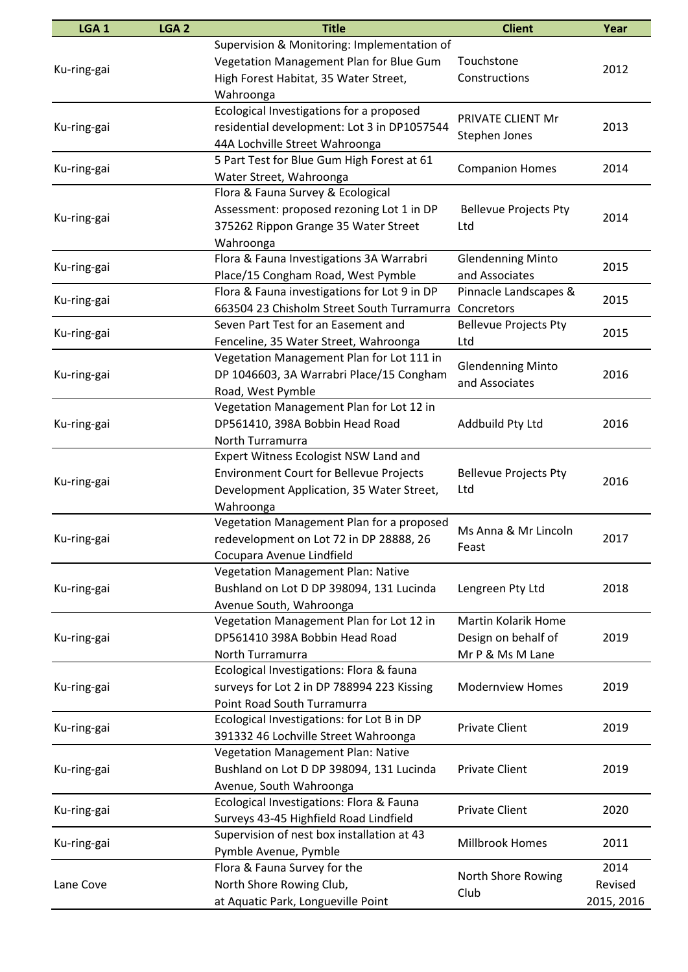| Supervision & Monitoring: Implementation of<br>Vegetation Management Plan for Blue Gum<br>Touchstone<br>2012<br>Ku-ring-gai<br>High Forest Habitat, 35 Water Street,<br>Constructions<br>Wahroonga<br>Ecological Investigations for a proposed<br>PRIVATE CLIENT Mr<br>2013<br>residential development: Lot 3 in DP1057544<br>Ku-ring-gai<br>Stephen Jones<br>44A Lochville Street Wahroonga<br>5 Part Test for Blue Gum High Forest at 61<br><b>Companion Homes</b><br>2014<br>Ku-ring-gai<br>Water Street, Wahroonga<br>Flora & Fauna Survey & Ecological<br>Assessment: proposed rezoning Lot 1 in DP<br><b>Bellevue Projects Pty</b><br>2014<br>Ku-ring-gai<br>375262 Rippon Grange 35 Water Street<br>Ltd<br>Wahroonga<br>Flora & Fauna Investigations 3A Warrabri<br><b>Glendenning Minto</b><br>2015<br>Ku-ring-gai<br>Place/15 Congham Road, West Pymble<br>and Associates<br>Flora & Fauna investigations for Lot 9 in DP<br>Pinnacle Landscapes &<br>2015<br>Ku-ring-gai<br>663504 23 Chisholm Street South Turramurra<br>Concretors<br>Seven Part Test for an Easement and<br><b>Bellevue Projects Pty</b><br>2015<br>Ku-ring-gai<br>Fenceline, 35 Water Street, Wahroonga<br>Ltd<br>Vegetation Management Plan for Lot 111 in<br><b>Glendenning Minto</b><br>DP 1046603, 3A Warrabri Place/15 Congham<br>2016<br>Ku-ring-gai<br>and Associates<br>Road, West Pymble<br>Vegetation Management Plan for Lot 12 in<br>DP561410, 398A Bobbin Head Road<br>2016<br>Addbuild Pty Ltd<br>Ku-ring-gai<br>North Turramurra<br>Expert Witness Ecologist NSW Land and<br><b>Environment Court for Bellevue Projects</b><br><b>Bellevue Projects Pty</b><br>2016<br>Ku-ring-gai<br>Development Application, 35 Water Street,<br>Ltd<br>Wahroonga<br>Vegetation Management Plan for a proposed<br>Ms Anna & Mr Lincoln<br>redevelopment on Lot 72 in DP 28888, 26<br>2017<br>Ku-ring-gai<br>Feast<br>Cocupara Avenue Lindfield<br>Vegetation Management Plan: Native<br>Bushland on Lot D DP 398094, 131 Lucinda<br>2018<br>Lengreen Pty Ltd<br>Ku-ring-gai<br>Avenue South, Wahroonga<br>Vegetation Management Plan for Lot 12 in<br><b>Martin Kolarik Home</b><br>DP561410 398A Bobbin Head Road<br>2019<br>Design on behalf of<br>Ku-ring-gai<br>North Turramurra<br>Mr P & Ms M Lane<br>Ecological Investigations: Flora & fauna<br>2019<br>surveys for Lot 2 in DP 788994 223 Kissing<br><b>Modernview Homes</b><br>Ku-ring-gai<br>Point Road South Turramurra<br>Ecological Investigations: for Lot B in DP<br><b>Private Client</b><br>2019<br>Ku-ring-gai<br>391332 46 Lochville Street Wahroonga<br>Vegetation Management Plan: Native<br>Bushland on Lot D DP 398094, 131 Lucinda<br><b>Private Client</b><br>2019<br>Ku-ring-gai<br>Avenue, South Wahroonga<br>Ecological Investigations: Flora & Fauna<br><b>Private Client</b><br>2020<br>Ku-ring-gai<br>Surveys 43-45 Highfield Road Lindfield<br>Supervision of nest box installation at 43<br>Millbrook Homes<br>2011<br>Ku-ring-gai<br>Pymble Avenue, Pymble<br>Flora & Fauna Survey for the<br>2014<br>North Shore Rowing<br>North Shore Rowing Club,<br>Lane Cove<br>Revised<br>Club<br>at Aquatic Park, Longueville Point<br>2015, 2016 | LGA <sub>1</sub> | LGA <sub>2</sub> | <b>Title</b> | <b>Client</b> | Year |
|------------------------------------------------------------------------------------------------------------------------------------------------------------------------------------------------------------------------------------------------------------------------------------------------------------------------------------------------------------------------------------------------------------------------------------------------------------------------------------------------------------------------------------------------------------------------------------------------------------------------------------------------------------------------------------------------------------------------------------------------------------------------------------------------------------------------------------------------------------------------------------------------------------------------------------------------------------------------------------------------------------------------------------------------------------------------------------------------------------------------------------------------------------------------------------------------------------------------------------------------------------------------------------------------------------------------------------------------------------------------------------------------------------------------------------------------------------------------------------------------------------------------------------------------------------------------------------------------------------------------------------------------------------------------------------------------------------------------------------------------------------------------------------------------------------------------------------------------------------------------------------------------------------------------------------------------------------------------------------------------------------------------------------------------------------------------------------------------------------------------------------------------------------------------------------------------------------------------------------------------------------------------------------------------------------------------------------------------------------------------------------------------------------------------------------------------------------------------------------------------------------------------------------------------------------------------------------------------------------------------------------------------------------------------------------------------------------------------------------------------------------------------------------------------------------------------------------------------------------------------------------------------------------------------------------------------------------------------------------------------------------------------------------------------------------------------------------------------------------------------------------------------------------------------------------------------------------|------------------|------------------|--------------|---------------|------|
|                                                                                                                                                                                                                                                                                                                                                                                                                                                                                                                                                                                                                                                                                                                                                                                                                                                                                                                                                                                                                                                                                                                                                                                                                                                                                                                                                                                                                                                                                                                                                                                                                                                                                                                                                                                                                                                                                                                                                                                                                                                                                                                                                                                                                                                                                                                                                                                                                                                                                                                                                                                                                                                                                                                                                                                                                                                                                                                                                                                                                                                                                                                                                                                                            |                  |                  |              |               |      |
|                                                                                                                                                                                                                                                                                                                                                                                                                                                                                                                                                                                                                                                                                                                                                                                                                                                                                                                                                                                                                                                                                                                                                                                                                                                                                                                                                                                                                                                                                                                                                                                                                                                                                                                                                                                                                                                                                                                                                                                                                                                                                                                                                                                                                                                                                                                                                                                                                                                                                                                                                                                                                                                                                                                                                                                                                                                                                                                                                                                                                                                                                                                                                                                                            |                  |                  |              |               |      |
|                                                                                                                                                                                                                                                                                                                                                                                                                                                                                                                                                                                                                                                                                                                                                                                                                                                                                                                                                                                                                                                                                                                                                                                                                                                                                                                                                                                                                                                                                                                                                                                                                                                                                                                                                                                                                                                                                                                                                                                                                                                                                                                                                                                                                                                                                                                                                                                                                                                                                                                                                                                                                                                                                                                                                                                                                                                                                                                                                                                                                                                                                                                                                                                                            |                  |                  |              |               |      |
|                                                                                                                                                                                                                                                                                                                                                                                                                                                                                                                                                                                                                                                                                                                                                                                                                                                                                                                                                                                                                                                                                                                                                                                                                                                                                                                                                                                                                                                                                                                                                                                                                                                                                                                                                                                                                                                                                                                                                                                                                                                                                                                                                                                                                                                                                                                                                                                                                                                                                                                                                                                                                                                                                                                                                                                                                                                                                                                                                                                                                                                                                                                                                                                                            |                  |                  |              |               |      |
|                                                                                                                                                                                                                                                                                                                                                                                                                                                                                                                                                                                                                                                                                                                                                                                                                                                                                                                                                                                                                                                                                                                                                                                                                                                                                                                                                                                                                                                                                                                                                                                                                                                                                                                                                                                                                                                                                                                                                                                                                                                                                                                                                                                                                                                                                                                                                                                                                                                                                                                                                                                                                                                                                                                                                                                                                                                                                                                                                                                                                                                                                                                                                                                                            |                  |                  |              |               |      |
|                                                                                                                                                                                                                                                                                                                                                                                                                                                                                                                                                                                                                                                                                                                                                                                                                                                                                                                                                                                                                                                                                                                                                                                                                                                                                                                                                                                                                                                                                                                                                                                                                                                                                                                                                                                                                                                                                                                                                                                                                                                                                                                                                                                                                                                                                                                                                                                                                                                                                                                                                                                                                                                                                                                                                                                                                                                                                                                                                                                                                                                                                                                                                                                                            |                  |                  |              |               |      |
|                                                                                                                                                                                                                                                                                                                                                                                                                                                                                                                                                                                                                                                                                                                                                                                                                                                                                                                                                                                                                                                                                                                                                                                                                                                                                                                                                                                                                                                                                                                                                                                                                                                                                                                                                                                                                                                                                                                                                                                                                                                                                                                                                                                                                                                                                                                                                                                                                                                                                                                                                                                                                                                                                                                                                                                                                                                                                                                                                                                                                                                                                                                                                                                                            |                  |                  |              |               |      |
|                                                                                                                                                                                                                                                                                                                                                                                                                                                                                                                                                                                                                                                                                                                                                                                                                                                                                                                                                                                                                                                                                                                                                                                                                                                                                                                                                                                                                                                                                                                                                                                                                                                                                                                                                                                                                                                                                                                                                                                                                                                                                                                                                                                                                                                                                                                                                                                                                                                                                                                                                                                                                                                                                                                                                                                                                                                                                                                                                                                                                                                                                                                                                                                                            |                  |                  |              |               |      |
|                                                                                                                                                                                                                                                                                                                                                                                                                                                                                                                                                                                                                                                                                                                                                                                                                                                                                                                                                                                                                                                                                                                                                                                                                                                                                                                                                                                                                                                                                                                                                                                                                                                                                                                                                                                                                                                                                                                                                                                                                                                                                                                                                                                                                                                                                                                                                                                                                                                                                                                                                                                                                                                                                                                                                                                                                                                                                                                                                                                                                                                                                                                                                                                                            |                  |                  |              |               |      |
|                                                                                                                                                                                                                                                                                                                                                                                                                                                                                                                                                                                                                                                                                                                                                                                                                                                                                                                                                                                                                                                                                                                                                                                                                                                                                                                                                                                                                                                                                                                                                                                                                                                                                                                                                                                                                                                                                                                                                                                                                                                                                                                                                                                                                                                                                                                                                                                                                                                                                                                                                                                                                                                                                                                                                                                                                                                                                                                                                                                                                                                                                                                                                                                                            |                  |                  |              |               |      |
|                                                                                                                                                                                                                                                                                                                                                                                                                                                                                                                                                                                                                                                                                                                                                                                                                                                                                                                                                                                                                                                                                                                                                                                                                                                                                                                                                                                                                                                                                                                                                                                                                                                                                                                                                                                                                                                                                                                                                                                                                                                                                                                                                                                                                                                                                                                                                                                                                                                                                                                                                                                                                                                                                                                                                                                                                                                                                                                                                                                                                                                                                                                                                                                                            |                  |                  |              |               |      |
|                                                                                                                                                                                                                                                                                                                                                                                                                                                                                                                                                                                                                                                                                                                                                                                                                                                                                                                                                                                                                                                                                                                                                                                                                                                                                                                                                                                                                                                                                                                                                                                                                                                                                                                                                                                                                                                                                                                                                                                                                                                                                                                                                                                                                                                                                                                                                                                                                                                                                                                                                                                                                                                                                                                                                                                                                                                                                                                                                                                                                                                                                                                                                                                                            |                  |                  |              |               |      |
|                                                                                                                                                                                                                                                                                                                                                                                                                                                                                                                                                                                                                                                                                                                                                                                                                                                                                                                                                                                                                                                                                                                                                                                                                                                                                                                                                                                                                                                                                                                                                                                                                                                                                                                                                                                                                                                                                                                                                                                                                                                                                                                                                                                                                                                                                                                                                                                                                                                                                                                                                                                                                                                                                                                                                                                                                                                                                                                                                                                                                                                                                                                                                                                                            |                  |                  |              |               |      |
|                                                                                                                                                                                                                                                                                                                                                                                                                                                                                                                                                                                                                                                                                                                                                                                                                                                                                                                                                                                                                                                                                                                                                                                                                                                                                                                                                                                                                                                                                                                                                                                                                                                                                                                                                                                                                                                                                                                                                                                                                                                                                                                                                                                                                                                                                                                                                                                                                                                                                                                                                                                                                                                                                                                                                                                                                                                                                                                                                                                                                                                                                                                                                                                                            |                  |                  |              |               |      |
|                                                                                                                                                                                                                                                                                                                                                                                                                                                                                                                                                                                                                                                                                                                                                                                                                                                                                                                                                                                                                                                                                                                                                                                                                                                                                                                                                                                                                                                                                                                                                                                                                                                                                                                                                                                                                                                                                                                                                                                                                                                                                                                                                                                                                                                                                                                                                                                                                                                                                                                                                                                                                                                                                                                                                                                                                                                                                                                                                                                                                                                                                                                                                                                                            |                  |                  |              |               |      |
|                                                                                                                                                                                                                                                                                                                                                                                                                                                                                                                                                                                                                                                                                                                                                                                                                                                                                                                                                                                                                                                                                                                                                                                                                                                                                                                                                                                                                                                                                                                                                                                                                                                                                                                                                                                                                                                                                                                                                                                                                                                                                                                                                                                                                                                                                                                                                                                                                                                                                                                                                                                                                                                                                                                                                                                                                                                                                                                                                                                                                                                                                                                                                                                                            |                  |                  |              |               |      |
|                                                                                                                                                                                                                                                                                                                                                                                                                                                                                                                                                                                                                                                                                                                                                                                                                                                                                                                                                                                                                                                                                                                                                                                                                                                                                                                                                                                                                                                                                                                                                                                                                                                                                                                                                                                                                                                                                                                                                                                                                                                                                                                                                                                                                                                                                                                                                                                                                                                                                                                                                                                                                                                                                                                                                                                                                                                                                                                                                                                                                                                                                                                                                                                                            |                  |                  |              |               |      |
|                                                                                                                                                                                                                                                                                                                                                                                                                                                                                                                                                                                                                                                                                                                                                                                                                                                                                                                                                                                                                                                                                                                                                                                                                                                                                                                                                                                                                                                                                                                                                                                                                                                                                                                                                                                                                                                                                                                                                                                                                                                                                                                                                                                                                                                                                                                                                                                                                                                                                                                                                                                                                                                                                                                                                                                                                                                                                                                                                                                                                                                                                                                                                                                                            |                  |                  |              |               |      |
|                                                                                                                                                                                                                                                                                                                                                                                                                                                                                                                                                                                                                                                                                                                                                                                                                                                                                                                                                                                                                                                                                                                                                                                                                                                                                                                                                                                                                                                                                                                                                                                                                                                                                                                                                                                                                                                                                                                                                                                                                                                                                                                                                                                                                                                                                                                                                                                                                                                                                                                                                                                                                                                                                                                                                                                                                                                                                                                                                                                                                                                                                                                                                                                                            |                  |                  |              |               |      |
|                                                                                                                                                                                                                                                                                                                                                                                                                                                                                                                                                                                                                                                                                                                                                                                                                                                                                                                                                                                                                                                                                                                                                                                                                                                                                                                                                                                                                                                                                                                                                                                                                                                                                                                                                                                                                                                                                                                                                                                                                                                                                                                                                                                                                                                                                                                                                                                                                                                                                                                                                                                                                                                                                                                                                                                                                                                                                                                                                                                                                                                                                                                                                                                                            |                  |                  |              |               |      |
|                                                                                                                                                                                                                                                                                                                                                                                                                                                                                                                                                                                                                                                                                                                                                                                                                                                                                                                                                                                                                                                                                                                                                                                                                                                                                                                                                                                                                                                                                                                                                                                                                                                                                                                                                                                                                                                                                                                                                                                                                                                                                                                                                                                                                                                                                                                                                                                                                                                                                                                                                                                                                                                                                                                                                                                                                                                                                                                                                                                                                                                                                                                                                                                                            |                  |                  |              |               |      |
|                                                                                                                                                                                                                                                                                                                                                                                                                                                                                                                                                                                                                                                                                                                                                                                                                                                                                                                                                                                                                                                                                                                                                                                                                                                                                                                                                                                                                                                                                                                                                                                                                                                                                                                                                                                                                                                                                                                                                                                                                                                                                                                                                                                                                                                                                                                                                                                                                                                                                                                                                                                                                                                                                                                                                                                                                                                                                                                                                                                                                                                                                                                                                                                                            |                  |                  |              |               |      |
|                                                                                                                                                                                                                                                                                                                                                                                                                                                                                                                                                                                                                                                                                                                                                                                                                                                                                                                                                                                                                                                                                                                                                                                                                                                                                                                                                                                                                                                                                                                                                                                                                                                                                                                                                                                                                                                                                                                                                                                                                                                                                                                                                                                                                                                                                                                                                                                                                                                                                                                                                                                                                                                                                                                                                                                                                                                                                                                                                                                                                                                                                                                                                                                                            |                  |                  |              |               |      |
|                                                                                                                                                                                                                                                                                                                                                                                                                                                                                                                                                                                                                                                                                                                                                                                                                                                                                                                                                                                                                                                                                                                                                                                                                                                                                                                                                                                                                                                                                                                                                                                                                                                                                                                                                                                                                                                                                                                                                                                                                                                                                                                                                                                                                                                                                                                                                                                                                                                                                                                                                                                                                                                                                                                                                                                                                                                                                                                                                                                                                                                                                                                                                                                                            |                  |                  |              |               |      |
|                                                                                                                                                                                                                                                                                                                                                                                                                                                                                                                                                                                                                                                                                                                                                                                                                                                                                                                                                                                                                                                                                                                                                                                                                                                                                                                                                                                                                                                                                                                                                                                                                                                                                                                                                                                                                                                                                                                                                                                                                                                                                                                                                                                                                                                                                                                                                                                                                                                                                                                                                                                                                                                                                                                                                                                                                                                                                                                                                                                                                                                                                                                                                                                                            |                  |                  |              |               |      |
|                                                                                                                                                                                                                                                                                                                                                                                                                                                                                                                                                                                                                                                                                                                                                                                                                                                                                                                                                                                                                                                                                                                                                                                                                                                                                                                                                                                                                                                                                                                                                                                                                                                                                                                                                                                                                                                                                                                                                                                                                                                                                                                                                                                                                                                                                                                                                                                                                                                                                                                                                                                                                                                                                                                                                                                                                                                                                                                                                                                                                                                                                                                                                                                                            |                  |                  |              |               |      |
|                                                                                                                                                                                                                                                                                                                                                                                                                                                                                                                                                                                                                                                                                                                                                                                                                                                                                                                                                                                                                                                                                                                                                                                                                                                                                                                                                                                                                                                                                                                                                                                                                                                                                                                                                                                                                                                                                                                                                                                                                                                                                                                                                                                                                                                                                                                                                                                                                                                                                                                                                                                                                                                                                                                                                                                                                                                                                                                                                                                                                                                                                                                                                                                                            |                  |                  |              |               |      |
|                                                                                                                                                                                                                                                                                                                                                                                                                                                                                                                                                                                                                                                                                                                                                                                                                                                                                                                                                                                                                                                                                                                                                                                                                                                                                                                                                                                                                                                                                                                                                                                                                                                                                                                                                                                                                                                                                                                                                                                                                                                                                                                                                                                                                                                                                                                                                                                                                                                                                                                                                                                                                                                                                                                                                                                                                                                                                                                                                                                                                                                                                                                                                                                                            |                  |                  |              |               |      |
|                                                                                                                                                                                                                                                                                                                                                                                                                                                                                                                                                                                                                                                                                                                                                                                                                                                                                                                                                                                                                                                                                                                                                                                                                                                                                                                                                                                                                                                                                                                                                                                                                                                                                                                                                                                                                                                                                                                                                                                                                                                                                                                                                                                                                                                                                                                                                                                                                                                                                                                                                                                                                                                                                                                                                                                                                                                                                                                                                                                                                                                                                                                                                                                                            |                  |                  |              |               |      |
|                                                                                                                                                                                                                                                                                                                                                                                                                                                                                                                                                                                                                                                                                                                                                                                                                                                                                                                                                                                                                                                                                                                                                                                                                                                                                                                                                                                                                                                                                                                                                                                                                                                                                                                                                                                                                                                                                                                                                                                                                                                                                                                                                                                                                                                                                                                                                                                                                                                                                                                                                                                                                                                                                                                                                                                                                                                                                                                                                                                                                                                                                                                                                                                                            |                  |                  |              |               |      |
|                                                                                                                                                                                                                                                                                                                                                                                                                                                                                                                                                                                                                                                                                                                                                                                                                                                                                                                                                                                                                                                                                                                                                                                                                                                                                                                                                                                                                                                                                                                                                                                                                                                                                                                                                                                                                                                                                                                                                                                                                                                                                                                                                                                                                                                                                                                                                                                                                                                                                                                                                                                                                                                                                                                                                                                                                                                                                                                                                                                                                                                                                                                                                                                                            |                  |                  |              |               |      |
|                                                                                                                                                                                                                                                                                                                                                                                                                                                                                                                                                                                                                                                                                                                                                                                                                                                                                                                                                                                                                                                                                                                                                                                                                                                                                                                                                                                                                                                                                                                                                                                                                                                                                                                                                                                                                                                                                                                                                                                                                                                                                                                                                                                                                                                                                                                                                                                                                                                                                                                                                                                                                                                                                                                                                                                                                                                                                                                                                                                                                                                                                                                                                                                                            |                  |                  |              |               |      |
|                                                                                                                                                                                                                                                                                                                                                                                                                                                                                                                                                                                                                                                                                                                                                                                                                                                                                                                                                                                                                                                                                                                                                                                                                                                                                                                                                                                                                                                                                                                                                                                                                                                                                                                                                                                                                                                                                                                                                                                                                                                                                                                                                                                                                                                                                                                                                                                                                                                                                                                                                                                                                                                                                                                                                                                                                                                                                                                                                                                                                                                                                                                                                                                                            |                  |                  |              |               |      |
|                                                                                                                                                                                                                                                                                                                                                                                                                                                                                                                                                                                                                                                                                                                                                                                                                                                                                                                                                                                                                                                                                                                                                                                                                                                                                                                                                                                                                                                                                                                                                                                                                                                                                                                                                                                                                                                                                                                                                                                                                                                                                                                                                                                                                                                                                                                                                                                                                                                                                                                                                                                                                                                                                                                                                                                                                                                                                                                                                                                                                                                                                                                                                                                                            |                  |                  |              |               |      |
|                                                                                                                                                                                                                                                                                                                                                                                                                                                                                                                                                                                                                                                                                                                                                                                                                                                                                                                                                                                                                                                                                                                                                                                                                                                                                                                                                                                                                                                                                                                                                                                                                                                                                                                                                                                                                                                                                                                                                                                                                                                                                                                                                                                                                                                                                                                                                                                                                                                                                                                                                                                                                                                                                                                                                                                                                                                                                                                                                                                                                                                                                                                                                                                                            |                  |                  |              |               |      |
|                                                                                                                                                                                                                                                                                                                                                                                                                                                                                                                                                                                                                                                                                                                                                                                                                                                                                                                                                                                                                                                                                                                                                                                                                                                                                                                                                                                                                                                                                                                                                                                                                                                                                                                                                                                                                                                                                                                                                                                                                                                                                                                                                                                                                                                                                                                                                                                                                                                                                                                                                                                                                                                                                                                                                                                                                                                                                                                                                                                                                                                                                                                                                                                                            |                  |                  |              |               |      |
|                                                                                                                                                                                                                                                                                                                                                                                                                                                                                                                                                                                                                                                                                                                                                                                                                                                                                                                                                                                                                                                                                                                                                                                                                                                                                                                                                                                                                                                                                                                                                                                                                                                                                                                                                                                                                                                                                                                                                                                                                                                                                                                                                                                                                                                                                                                                                                                                                                                                                                                                                                                                                                                                                                                                                                                                                                                                                                                                                                                                                                                                                                                                                                                                            |                  |                  |              |               |      |
|                                                                                                                                                                                                                                                                                                                                                                                                                                                                                                                                                                                                                                                                                                                                                                                                                                                                                                                                                                                                                                                                                                                                                                                                                                                                                                                                                                                                                                                                                                                                                                                                                                                                                                                                                                                                                                                                                                                                                                                                                                                                                                                                                                                                                                                                                                                                                                                                                                                                                                                                                                                                                                                                                                                                                                                                                                                                                                                                                                                                                                                                                                                                                                                                            |                  |                  |              |               |      |
|                                                                                                                                                                                                                                                                                                                                                                                                                                                                                                                                                                                                                                                                                                                                                                                                                                                                                                                                                                                                                                                                                                                                                                                                                                                                                                                                                                                                                                                                                                                                                                                                                                                                                                                                                                                                                                                                                                                                                                                                                                                                                                                                                                                                                                                                                                                                                                                                                                                                                                                                                                                                                                                                                                                                                                                                                                                                                                                                                                                                                                                                                                                                                                                                            |                  |                  |              |               |      |
|                                                                                                                                                                                                                                                                                                                                                                                                                                                                                                                                                                                                                                                                                                                                                                                                                                                                                                                                                                                                                                                                                                                                                                                                                                                                                                                                                                                                                                                                                                                                                                                                                                                                                                                                                                                                                                                                                                                                                                                                                                                                                                                                                                                                                                                                                                                                                                                                                                                                                                                                                                                                                                                                                                                                                                                                                                                                                                                                                                                                                                                                                                                                                                                                            |                  |                  |              |               |      |
|                                                                                                                                                                                                                                                                                                                                                                                                                                                                                                                                                                                                                                                                                                                                                                                                                                                                                                                                                                                                                                                                                                                                                                                                                                                                                                                                                                                                                                                                                                                                                                                                                                                                                                                                                                                                                                                                                                                                                                                                                                                                                                                                                                                                                                                                                                                                                                                                                                                                                                                                                                                                                                                                                                                                                                                                                                                                                                                                                                                                                                                                                                                                                                                                            |                  |                  |              |               |      |
|                                                                                                                                                                                                                                                                                                                                                                                                                                                                                                                                                                                                                                                                                                                                                                                                                                                                                                                                                                                                                                                                                                                                                                                                                                                                                                                                                                                                                                                                                                                                                                                                                                                                                                                                                                                                                                                                                                                                                                                                                                                                                                                                                                                                                                                                                                                                                                                                                                                                                                                                                                                                                                                                                                                                                                                                                                                                                                                                                                                                                                                                                                                                                                                                            |                  |                  |              |               |      |
|                                                                                                                                                                                                                                                                                                                                                                                                                                                                                                                                                                                                                                                                                                                                                                                                                                                                                                                                                                                                                                                                                                                                                                                                                                                                                                                                                                                                                                                                                                                                                                                                                                                                                                                                                                                                                                                                                                                                                                                                                                                                                                                                                                                                                                                                                                                                                                                                                                                                                                                                                                                                                                                                                                                                                                                                                                                                                                                                                                                                                                                                                                                                                                                                            |                  |                  |              |               |      |
|                                                                                                                                                                                                                                                                                                                                                                                                                                                                                                                                                                                                                                                                                                                                                                                                                                                                                                                                                                                                                                                                                                                                                                                                                                                                                                                                                                                                                                                                                                                                                                                                                                                                                                                                                                                                                                                                                                                                                                                                                                                                                                                                                                                                                                                                                                                                                                                                                                                                                                                                                                                                                                                                                                                                                                                                                                                                                                                                                                                                                                                                                                                                                                                                            |                  |                  |              |               |      |
|                                                                                                                                                                                                                                                                                                                                                                                                                                                                                                                                                                                                                                                                                                                                                                                                                                                                                                                                                                                                                                                                                                                                                                                                                                                                                                                                                                                                                                                                                                                                                                                                                                                                                                                                                                                                                                                                                                                                                                                                                                                                                                                                                                                                                                                                                                                                                                                                                                                                                                                                                                                                                                                                                                                                                                                                                                                                                                                                                                                                                                                                                                                                                                                                            |                  |                  |              |               |      |
|                                                                                                                                                                                                                                                                                                                                                                                                                                                                                                                                                                                                                                                                                                                                                                                                                                                                                                                                                                                                                                                                                                                                                                                                                                                                                                                                                                                                                                                                                                                                                                                                                                                                                                                                                                                                                                                                                                                                                                                                                                                                                                                                                                                                                                                                                                                                                                                                                                                                                                                                                                                                                                                                                                                                                                                                                                                                                                                                                                                                                                                                                                                                                                                                            |                  |                  |              |               |      |
|                                                                                                                                                                                                                                                                                                                                                                                                                                                                                                                                                                                                                                                                                                                                                                                                                                                                                                                                                                                                                                                                                                                                                                                                                                                                                                                                                                                                                                                                                                                                                                                                                                                                                                                                                                                                                                                                                                                                                                                                                                                                                                                                                                                                                                                                                                                                                                                                                                                                                                                                                                                                                                                                                                                                                                                                                                                                                                                                                                                                                                                                                                                                                                                                            |                  |                  |              |               |      |
|                                                                                                                                                                                                                                                                                                                                                                                                                                                                                                                                                                                                                                                                                                                                                                                                                                                                                                                                                                                                                                                                                                                                                                                                                                                                                                                                                                                                                                                                                                                                                                                                                                                                                                                                                                                                                                                                                                                                                                                                                                                                                                                                                                                                                                                                                                                                                                                                                                                                                                                                                                                                                                                                                                                                                                                                                                                                                                                                                                                                                                                                                                                                                                                                            |                  |                  |              |               |      |
|                                                                                                                                                                                                                                                                                                                                                                                                                                                                                                                                                                                                                                                                                                                                                                                                                                                                                                                                                                                                                                                                                                                                                                                                                                                                                                                                                                                                                                                                                                                                                                                                                                                                                                                                                                                                                                                                                                                                                                                                                                                                                                                                                                                                                                                                                                                                                                                                                                                                                                                                                                                                                                                                                                                                                                                                                                                                                                                                                                                                                                                                                                                                                                                                            |                  |                  |              |               |      |
|                                                                                                                                                                                                                                                                                                                                                                                                                                                                                                                                                                                                                                                                                                                                                                                                                                                                                                                                                                                                                                                                                                                                                                                                                                                                                                                                                                                                                                                                                                                                                                                                                                                                                                                                                                                                                                                                                                                                                                                                                                                                                                                                                                                                                                                                                                                                                                                                                                                                                                                                                                                                                                                                                                                                                                                                                                                                                                                                                                                                                                                                                                                                                                                                            |                  |                  |              |               |      |
|                                                                                                                                                                                                                                                                                                                                                                                                                                                                                                                                                                                                                                                                                                                                                                                                                                                                                                                                                                                                                                                                                                                                                                                                                                                                                                                                                                                                                                                                                                                                                                                                                                                                                                                                                                                                                                                                                                                                                                                                                                                                                                                                                                                                                                                                                                                                                                                                                                                                                                                                                                                                                                                                                                                                                                                                                                                                                                                                                                                                                                                                                                                                                                                                            |                  |                  |              |               |      |
|                                                                                                                                                                                                                                                                                                                                                                                                                                                                                                                                                                                                                                                                                                                                                                                                                                                                                                                                                                                                                                                                                                                                                                                                                                                                                                                                                                                                                                                                                                                                                                                                                                                                                                                                                                                                                                                                                                                                                                                                                                                                                                                                                                                                                                                                                                                                                                                                                                                                                                                                                                                                                                                                                                                                                                                                                                                                                                                                                                                                                                                                                                                                                                                                            |                  |                  |              |               |      |
|                                                                                                                                                                                                                                                                                                                                                                                                                                                                                                                                                                                                                                                                                                                                                                                                                                                                                                                                                                                                                                                                                                                                                                                                                                                                                                                                                                                                                                                                                                                                                                                                                                                                                                                                                                                                                                                                                                                                                                                                                                                                                                                                                                                                                                                                                                                                                                                                                                                                                                                                                                                                                                                                                                                                                                                                                                                                                                                                                                                                                                                                                                                                                                                                            |                  |                  |              |               |      |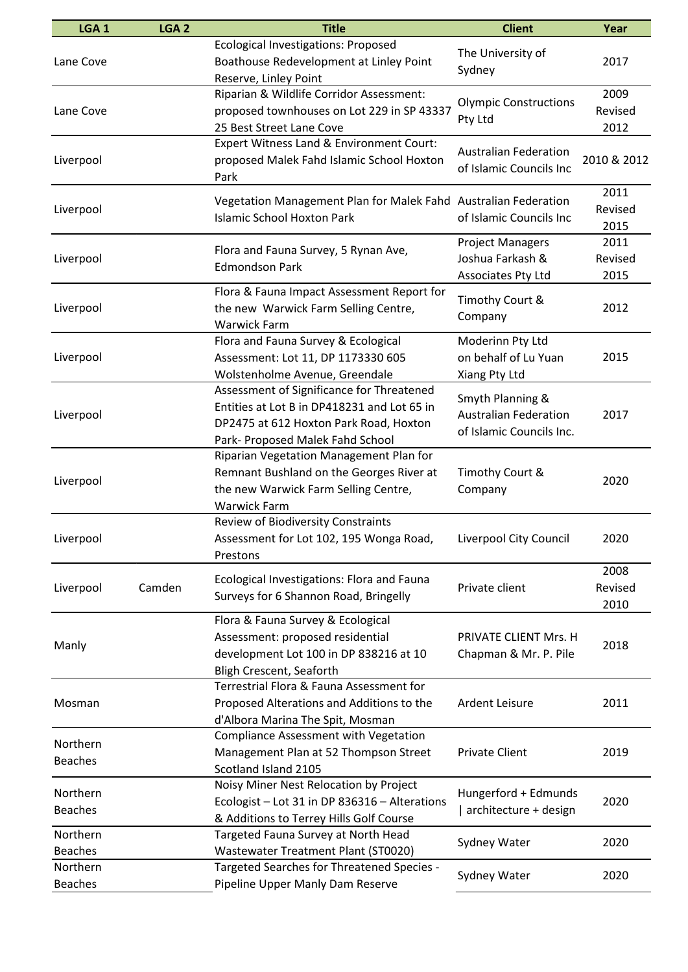| LGA <sub>1</sub>           | LGA <sub>2</sub> | <b>Title</b>                                                                                                                                                           | <b>Client</b>                                                                | Year                    |
|----------------------------|------------------|------------------------------------------------------------------------------------------------------------------------------------------------------------------------|------------------------------------------------------------------------------|-------------------------|
| Lane Cove                  |                  | <b>Ecological Investigations: Proposed</b><br>Boathouse Redevelopment at Linley Point<br>Reserve, Linley Point                                                         | The University of<br>Sydney                                                  | 2017                    |
| Lane Cove                  |                  | Riparian & Wildlife Corridor Assessment:<br>proposed townhouses on Lot 229 in SP 43337<br>25 Best Street Lane Cove                                                     | <b>Olympic Constructions</b><br>Pty Ltd                                      | 2009<br>Revised<br>2012 |
| Liverpool                  |                  | <b>Expert Witness Land &amp; Environment Court:</b><br>proposed Malek Fahd Islamic School Hoxton<br>Park                                                               | <b>Australian Federation</b><br>of Islamic Councils Inc                      | 2010 & 2012             |
| Liverpool                  |                  | Vegetation Management Plan for Malek Fahd Australian Federation<br><b>Islamic School Hoxton Park</b>                                                                   | of Islamic Councils Inc                                                      | 2011<br>Revised<br>2015 |
| Liverpool                  |                  | Flora and Fauna Survey, 5 Rynan Ave,<br><b>Edmondson Park</b>                                                                                                          | <b>Project Managers</b><br>Joshua Farkash &<br>Associates Pty Ltd            | 2011<br>Revised<br>2015 |
| Liverpool                  |                  | Flora & Fauna Impact Assessment Report for<br>the new Warwick Farm Selling Centre,<br><b>Warwick Farm</b>                                                              | Timothy Court &<br>Company                                                   | 2012                    |
| Liverpool                  |                  | Flora and Fauna Survey & Ecological<br>Assessment: Lot 11, DP 1173330 605<br>Wolstenholme Avenue, Greendale                                                            | Moderinn Pty Ltd<br>on behalf of Lu Yuan<br>Xiang Pty Ltd                    | 2015                    |
| Liverpool                  |                  | Assessment of Significance for Threatened<br>Entities at Lot B in DP418231 and Lot 65 in<br>DP2475 at 612 Hoxton Park Road, Hoxton<br>Park- Proposed Malek Fahd School | Smyth Planning &<br><b>Australian Federation</b><br>of Islamic Councils Inc. | 2017                    |
| Liverpool                  |                  | Riparian Vegetation Management Plan for<br>Remnant Bushland on the Georges River at<br>the new Warwick Farm Selling Centre,<br><b>Warwick Farm</b>                     | Timothy Court &<br>Company                                                   | 2020                    |
| Liverpool                  |                  | <b>Review of Biodiversity Constraints</b><br>Assessment for Lot 102, 195 Wonga Road,<br>Prestons                                                                       | Liverpool City Council                                                       | 2020                    |
| Liverpool                  | Camden           | Ecological Investigations: Flora and Fauna<br>Surveys for 6 Shannon Road, Bringelly                                                                                    | Private client                                                               | 2008<br>Revised<br>2010 |
| Manly                      |                  | Flora & Fauna Survey & Ecological<br>Assessment: proposed residential<br>development Lot 100 in DP 838216 at 10<br>Bligh Crescent, Seaforth                            | PRIVATE CLIENT Mrs. H<br>Chapman & Mr. P. Pile                               | 2018                    |
| Mosman                     |                  | Terrestrial Flora & Fauna Assessment for<br>Proposed Alterations and Additions to the<br>d'Albora Marina The Spit, Mosman                                              | Ardent Leisure                                                               | 2011                    |
| Northern<br><b>Beaches</b> |                  | Compliance Assessment with Vegetation<br>Management Plan at 52 Thompson Street<br>Scotland Island 2105                                                                 | <b>Private Client</b>                                                        | 2019                    |
| Northern<br><b>Beaches</b> |                  | Noisy Miner Nest Relocation by Project<br>Ecologist - Lot 31 in DP 836316 - Alterations<br>& Additions to Terrey Hills Golf Course                                     | Hungerford + Edmunds<br>architecture + design                                | 2020                    |
| Northern<br><b>Beaches</b> |                  | Targeted Fauna Survey at North Head<br>Wastewater Treatment Plant (ST0020)                                                                                             | Sydney Water                                                                 | 2020                    |
| Northern<br><b>Beaches</b> |                  | Targeted Searches for Threatened Species -<br>Pipeline Upper Manly Dam Reserve                                                                                         | Sydney Water                                                                 | 2020                    |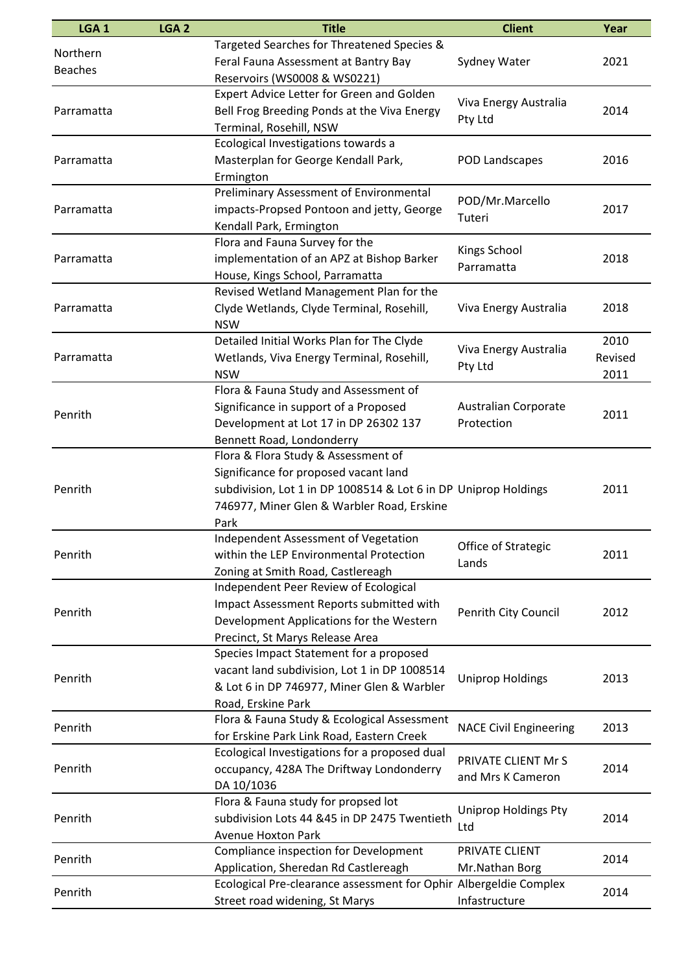| LGA <sub>1</sub>           | LGA <sub>2</sub> | <b>Title</b>                                                                                                                                                                                          | <b>Client</b>                             | Year                    |
|----------------------------|------------------|-------------------------------------------------------------------------------------------------------------------------------------------------------------------------------------------------------|-------------------------------------------|-------------------------|
| Northern<br><b>Beaches</b> |                  | Targeted Searches for Threatened Species &<br>Feral Fauna Assessment at Bantry Bay<br>Reservoirs (WS0008 & WS0221)                                                                                    | Sydney Water                              | 2021                    |
| Parramatta                 |                  | Expert Advice Letter for Green and Golden<br>Bell Frog Breeding Ponds at the Viva Energy<br>Terminal, Rosehill, NSW                                                                                   | Viva Energy Australia<br>Pty Ltd          | 2014                    |
| Parramatta                 |                  | Ecological Investigations towards a<br>Masterplan for George Kendall Park,<br>Ermington                                                                                                               | POD Landscapes                            | 2016                    |
| Parramatta                 |                  | Preliminary Assessment of Environmental<br>impacts-Propsed Pontoon and jetty, George<br>Kendall Park, Ermington                                                                                       | POD/Mr.Marcello<br>Tuteri                 | 2017                    |
| Parramatta                 |                  | Flora and Fauna Survey for the<br>implementation of an APZ at Bishop Barker<br>House, Kings School, Parramatta                                                                                        | <b>Kings School</b><br>Parramatta         | 2018                    |
| Parramatta                 |                  | Revised Wetland Management Plan for the<br>Clyde Wetlands, Clyde Terminal, Rosehill,<br><b>NSW</b>                                                                                                    | Viva Energy Australia                     | 2018                    |
| Parramatta                 |                  | Detailed Initial Works Plan for The Clyde<br>Wetlands, Viva Energy Terminal, Rosehill,<br><b>NSW</b>                                                                                                  | Viva Energy Australia<br>Pty Ltd          | 2010<br>Revised<br>2011 |
| Penrith                    |                  | Flora & Fauna Study and Assessment of<br>Significance in support of a Proposed<br>Development at Lot 17 in DP 26302 137<br>Bennett Road, Londonderry                                                  | <b>Australian Corporate</b><br>Protection | 2011                    |
| Penrith                    |                  | Flora & Flora Study & Assessment of<br>Significance for proposed vacant land<br>subdivision, Lot 1 in DP 1008514 & Lot 6 in DP Uniprop Holdings<br>746977, Miner Glen & Warbler Road, Erskine<br>Park |                                           | 2011                    |
| Penrith                    |                  | Independent Assessment of Vegetation<br>within the LEP Environmental Protection<br>Zoning at Smith Road, Castlereagh                                                                                  | Office of Strategic<br>Lands              | 2011                    |
| Penrith                    |                  | Independent Peer Review of Ecological<br>Impact Assessment Reports submitted with<br>Development Applications for the Western<br>Precinct, St Marys Release Area                                      | Penrith City Council                      | 2012                    |
| Penrith                    |                  | Species Impact Statement for a proposed<br>vacant land subdivision, Lot 1 in DP 1008514<br>& Lot 6 in DP 746977, Miner Glen & Warbler<br>Road, Erskine Park                                           | <b>Uniprop Holdings</b>                   | 2013                    |
| Penrith                    |                  | Flora & Fauna Study & Ecological Assessment<br>for Erskine Park Link Road, Eastern Creek                                                                                                              | <b>NACE Civil Engineering</b>             | 2013                    |
| Penrith                    |                  | Ecological Investigations for a proposed dual<br>occupancy, 428A The Driftway Londonderry<br>DA 10/1036                                                                                               | PRIVATE CLIENT Mr S<br>and Mrs K Cameron  | 2014                    |
| Penrith                    |                  | Flora & Fauna study for propsed lot<br>subdivision Lots 44 &45 in DP 2475 Twentieth<br><b>Avenue Hoxton Park</b>                                                                                      | Uniprop Holdings Pty<br>Ltd               | 2014                    |
| Penrith                    |                  | Compliance inspection for Development<br>Application, Sheredan Rd Castlereagh                                                                                                                         | PRIVATE CLIENT<br>Mr.Nathan Borg          | 2014                    |
| Penrith                    |                  | Ecological Pre-clearance assessment for Ophir Albergeldie Complex<br>Street road widening, St Marys                                                                                                   | Infastructure                             | 2014                    |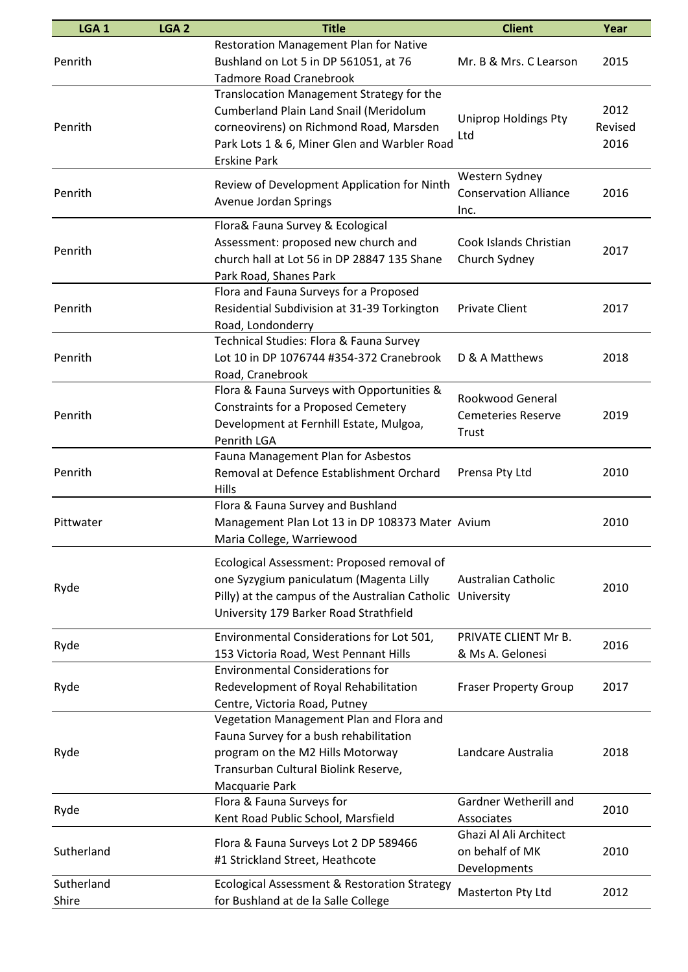| LGA <sub>1</sub> | LGA <sub>2</sub> | <b>Title</b>                                    | <b>Client</b>                        | Year    |
|------------------|------------------|-------------------------------------------------|--------------------------------------|---------|
|                  |                  | <b>Restoration Management Plan for Native</b>   |                                      |         |
| Penrith          |                  | Bushland on Lot 5 in DP 561051, at 76           | Mr. B & Mrs. C Learson               | 2015    |
|                  |                  | <b>Tadmore Road Cranebrook</b>                  |                                      |         |
|                  |                  | Translocation Management Strategy for the       |                                      |         |
|                  |                  | Cumberland Plain Land Snail (Meridolum          | <b>Uniprop Holdings Pty</b>          | 2012    |
| Penrith          |                  | corneovirens) on Richmond Road, Marsden         |                                      | Revised |
|                  |                  | Park Lots 1 & 6, Miner Glen and Warbler Road    | Ltd                                  | 2016    |
|                  |                  | <b>Erskine Park</b>                             |                                      |         |
|                  |                  | Review of Development Application for Ninth     | Western Sydney                       |         |
| Penrith          |                  |                                                 | <b>Conservation Alliance</b>         | 2016    |
|                  |                  | Avenue Jordan Springs                           | Inc.                                 |         |
|                  |                  | Flora& Fauna Survey & Ecological                |                                      |         |
| Penrith          |                  | Assessment: proposed new church and             | Cook Islands Christian               | 2017    |
|                  |                  | church hall at Lot 56 in DP 28847 135 Shane     | Church Sydney                        |         |
|                  |                  | Park Road, Shanes Park                          |                                      |         |
|                  |                  | Flora and Fauna Surveys for a Proposed          |                                      |         |
| Penrith          |                  | Residential Subdivision at 31-39 Torkington     | <b>Private Client</b>                | 2017    |
|                  |                  | Road, Londonderry                               |                                      |         |
|                  |                  | Technical Studies: Flora & Fauna Survey         |                                      |         |
| Penrith          |                  | Lot 10 in DP 1076744 #354-372 Cranebrook        | D & A Matthews                       | 2018    |
|                  |                  | Road, Cranebrook                                |                                      |         |
|                  |                  | Flora & Fauna Surveys with Opportunities &      | <b>Rookwood General</b>              |         |
| Penrith          |                  | Constraints for a Proposed Cemetery             | <b>Cemeteries Reserve</b>            | 2019    |
|                  |                  | Development at Fernhill Estate, Mulgoa,         | Trust                                |         |
|                  |                  | Penrith LGA                                     |                                      |         |
|                  |                  | Fauna Management Plan for Asbestos              |                                      |         |
| Penrith          |                  | Removal at Defence Establishment Orchard        | Prensa Pty Ltd                       | 2010    |
|                  |                  | Hills                                           |                                      |         |
|                  |                  | Flora & Fauna Survey and Bushland               |                                      |         |
| Pittwater        |                  | Management Plan Lot 13 in DP 108373 Mater Avium |                                      | 2010    |
|                  |                  | Maria College, Warriewood                       |                                      |         |
|                  |                  | Ecological Assessment: Proposed removal of      |                                      |         |
|                  |                  | one Syzygium paniculatum (Magenta Lilly         | <b>Australian Catholic</b>           |         |
| Ryde             |                  | Pilly) at the campus of the Australian Catholic | University                           | 2010    |
|                  |                  | University 179 Barker Road Strathfield          |                                      |         |
|                  |                  |                                                 |                                      |         |
| Ryde             |                  | Environmental Considerations for Lot 501,       | PRIVATE CLIENT Mr B.                 | 2016    |
|                  |                  | 153 Victoria Road, West Pennant Hills           | & Ms A. Gelonesi                     |         |
|                  |                  | <b>Environmental Considerations for</b>         |                                      |         |
| Ryde             |                  | Redevelopment of Royal Rehabilitation           | <b>Fraser Property Group</b>         | 2017    |
|                  |                  | Centre, Victoria Road, Putney                   |                                      |         |
|                  |                  | Vegetation Management Plan and Flora and        |                                      |         |
|                  |                  | Fauna Survey for a bush rehabilitation          |                                      |         |
| Ryde             |                  | program on the M2 Hills Motorway                | Landcare Australia                   | 2018    |
|                  |                  | Transurban Cultural Biolink Reserve,            |                                      |         |
|                  |                  | Macquarie Park<br>Flora & Fauna Surveys for     | Gardner Wetherill and                |         |
| Ryde             |                  |                                                 |                                      | 2010    |
|                  |                  | Kent Road Public School, Marsfield              | Associates<br>Ghazi Al Ali Architect |         |
| Sutherland       |                  | Flora & Fauna Surveys Lot 2 DP 589466           | on behalf of MK                      | 2010    |
|                  |                  | #1 Strickland Street, Heathcote                 | Developments                         |         |
| Sutherland       |                  | Ecological Assessment & Restoration Strategy    |                                      |         |
| Shire            |                  | for Bushland at de la Salle College             | Masterton Pty Ltd                    | 2012    |
|                  |                  |                                                 |                                      |         |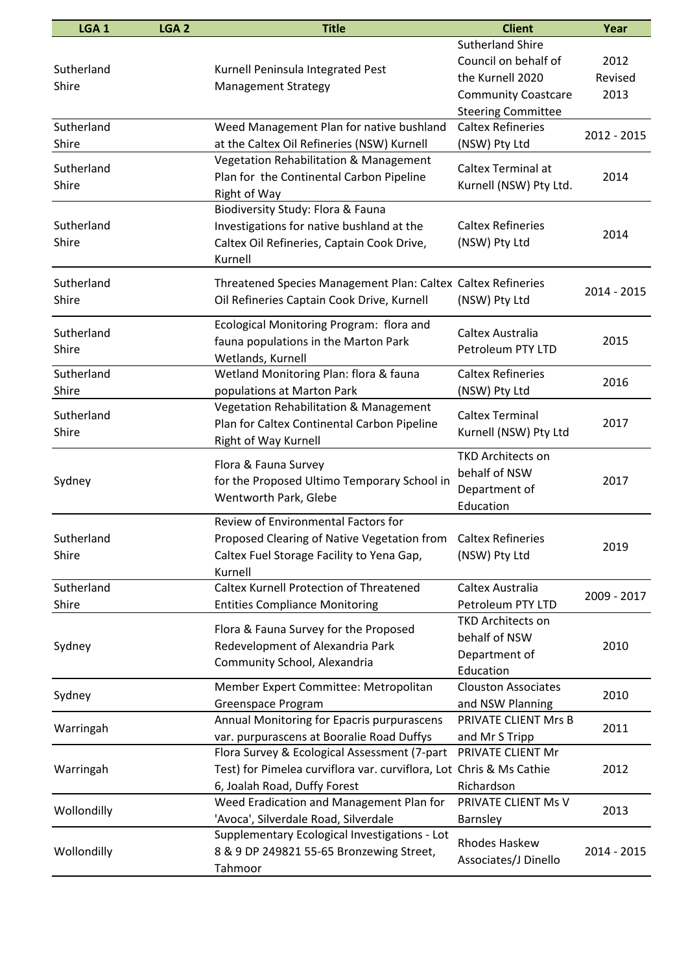| LGA <sub>1</sub> | LGA <sub>2</sub> | <b>Title</b>                                                        | <b>Client</b>              | Year        |
|------------------|------------------|---------------------------------------------------------------------|----------------------------|-------------|
|                  |                  |                                                                     | <b>Sutherland Shire</b>    |             |
|                  |                  |                                                                     | Council on behalf of       | 2012        |
| Sutherland       |                  | Kurnell Peninsula Integrated Pest                                   | the Kurnell 2020           | Revised     |
| Shire            |                  | <b>Management Strategy</b>                                          | <b>Community Coastcare</b> | 2013        |
|                  |                  |                                                                     | <b>Steering Committee</b>  |             |
| Sutherland       |                  | Weed Management Plan for native bushland                            | <b>Caltex Refineries</b>   |             |
| Shire            |                  | at the Caltex Oil Refineries (NSW) Kurnell                          | (NSW) Pty Ltd              | 2012 - 2015 |
|                  |                  | Vegetation Rehabilitation & Management                              |                            |             |
| Sutherland       |                  |                                                                     | Caltex Terminal at         |             |
| Shire            |                  | Plan for the Continental Carbon Pipeline                            | Kurnell (NSW) Pty Ltd.     | 2014        |
|                  |                  | Right of Way                                                        |                            |             |
|                  |                  | Biodiversity Study: Flora & Fauna                                   |                            |             |
| Sutherland       |                  | Investigations for native bushland at the                           | <b>Caltex Refineries</b>   | 2014        |
| Shire            |                  | Caltex Oil Refineries, Captain Cook Drive,                          | (NSW) Pty Ltd              |             |
|                  |                  | Kurnell                                                             |                            |             |
| Sutherland       |                  | Threatened Species Management Plan: Caltex Caltex Refineries        |                            |             |
| Shire            |                  | Oil Refineries Captain Cook Drive, Kurnell                          | (NSW) Pty Ltd              | 2014 - 2015 |
|                  |                  |                                                                     |                            |             |
| Sutherland       |                  | Ecological Monitoring Program: flora and                            | Caltex Australia           |             |
|                  |                  | fauna populations in the Marton Park                                |                            | 2015        |
| Shire            |                  | Wetlands, Kurnell                                                   | Petroleum PTY LTD          |             |
| Sutherland       |                  | Wetland Monitoring Plan: flora & fauna                              | <b>Caltex Refineries</b>   |             |
| Shire            |                  | populations at Marton Park                                          | (NSW) Pty Ltd              | 2016        |
|                  |                  | Vegetation Rehabilitation & Management                              |                            |             |
| Sutherland       |                  | Plan for Caltex Continental Carbon Pipeline                         | <b>Caltex Terminal</b>     | 2017        |
| Shire            |                  | Right of Way Kurnell                                                | Kurnell (NSW) Pty Ltd      |             |
|                  |                  |                                                                     | <b>TKD Architects on</b>   |             |
|                  |                  | Flora & Fauna Survey                                                | behalf of NSW              |             |
| Sydney           |                  | for the Proposed Ultimo Temporary School in                         | Department of              | 2017        |
|                  |                  | Wentworth Park, Glebe                                               | Education                  |             |
|                  |                  | Review of Environmental Factors for                                 |                            |             |
| Sutherland       |                  | Proposed Clearing of Native Vegetation from Caltex Refineries       |                            |             |
| Shire            |                  | Caltex Fuel Storage Facility to Yena Gap,                           | (NSW) Pty Ltd              | 2019        |
|                  |                  | Kurnell                                                             |                            |             |
| Sutherland       |                  | <b>Caltex Kurnell Protection of Threatened</b>                      | Caltex Australia           |             |
| Shire            |                  | <b>Entities Compliance Monitoring</b>                               | Petroleum PTY LTD          | 2009 - 2017 |
|                  |                  |                                                                     | <b>TKD Architects on</b>   |             |
|                  |                  | Flora & Fauna Survey for the Proposed                               | behalf of NSW              |             |
| Sydney           |                  | Redevelopment of Alexandria Park                                    |                            | 2010        |
|                  |                  | Community School, Alexandria                                        | Department of              |             |
|                  |                  |                                                                     | Education                  |             |
| Sydney           |                  | Member Expert Committee: Metropolitan                               | <b>Clouston Associates</b> | 2010        |
|                  |                  | Greenspace Program                                                  | and NSW Planning           |             |
| Warringah        |                  | Annual Monitoring for Epacris purpurascens                          | PRIVATE CLIENT Mrs B       | 2011        |
|                  |                  | var. purpurascens at Booralie Road Duffys                           | and Mr S Tripp             |             |
|                  |                  | Flora Survey & Ecological Assessment (7-part                        | PRIVATE CLIENT Mr          |             |
| Warringah        |                  | Test) for Pimelea curviflora var. curviflora, Lot Chris & Ms Cathie |                            | 2012        |
|                  |                  | 6, Joalah Road, Duffy Forest                                        | Richardson                 |             |
| Wollondilly      |                  | Weed Eradication and Management Plan for                            | PRIVATE CLIENT Ms V        | 2013        |
|                  |                  | 'Avoca', Silverdale Road, Silverdale                                | <b>Barnsley</b>            |             |
| Wollondilly      |                  | Supplementary Ecological Investigations - Lot                       | <b>Rhodes Haskew</b>       | 2014 - 2015 |
|                  |                  | 8 & 9 DP 249821 55-65 Bronzewing Street,                            |                            |             |
|                  |                  | Tahmoor                                                             | Associates/J Dinello       |             |
|                  |                  |                                                                     |                            |             |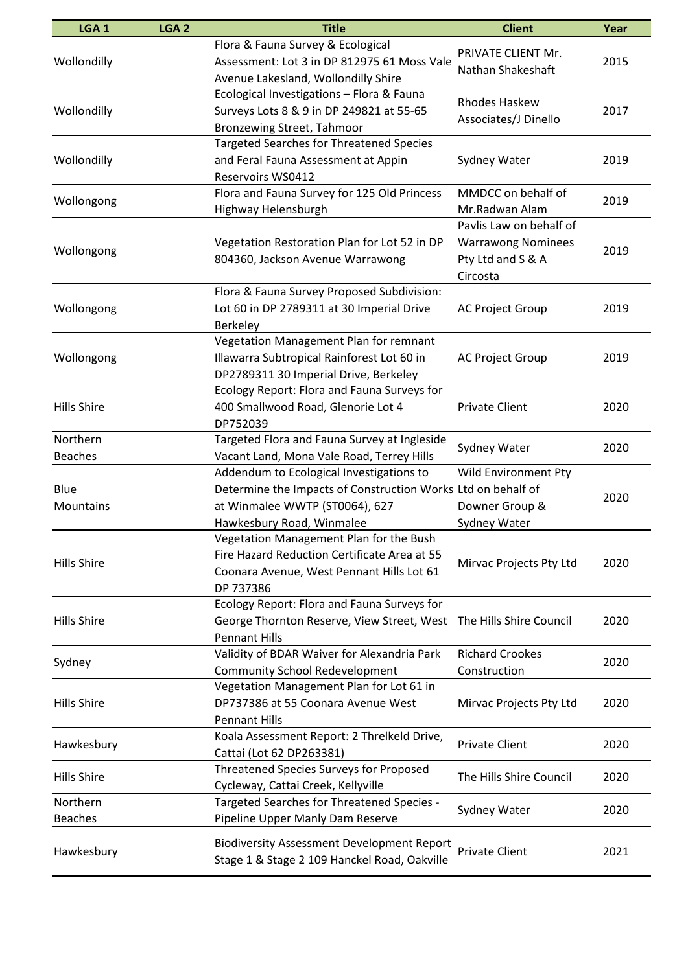| LGA <sub>1</sub>           | LGA <sub>2</sub> | <b>Title</b>                                                                                                                                                            | <b>Client</b>                                                                         | Year |
|----------------------------|------------------|-------------------------------------------------------------------------------------------------------------------------------------------------------------------------|---------------------------------------------------------------------------------------|------|
| Wollondilly                |                  | Flora & Fauna Survey & Ecological<br>Assessment: Lot 3 in DP 812975 61 Moss Vale<br>Avenue Lakesland, Wollondilly Shire                                                 | PRIVATE CLIENT Mr.<br>Nathan Shakeshaft                                               | 2015 |
| Wollondilly                |                  | Ecological Investigations - Flora & Fauna<br>Surveys Lots 8 & 9 in DP 249821 at 55-65<br>Bronzewing Street, Tahmoor                                                     | <b>Rhodes Haskew</b><br>Associates/J Dinello                                          | 2017 |
| Wollondilly                |                  | <b>Targeted Searches for Threatened Species</b><br>and Feral Fauna Assessment at Appin<br><b>Reservoirs WS0412</b>                                                      | Sydney Water                                                                          | 2019 |
| Wollongong                 |                  | Flora and Fauna Survey for 125 Old Princess<br>Highway Helensburgh                                                                                                      | MMDCC on behalf of<br>Mr.Radwan Alam                                                  | 2019 |
| Wollongong                 |                  | Vegetation Restoration Plan for Lot 52 in DP<br>804360, Jackson Avenue Warrawong                                                                                        | Pavlis Law on behalf of<br><b>Warrawong Nominees</b><br>Pty Ltd and S & A<br>Circosta | 2019 |
| Wollongong                 |                  | Flora & Fauna Survey Proposed Subdivision:<br>Lot 60 in DP 2789311 at 30 Imperial Drive<br><b>Berkeley</b>                                                              | <b>AC Project Group</b>                                                               | 2019 |
| Wollongong                 |                  | Vegetation Management Plan for remnant<br>Illawarra Subtropical Rainforest Lot 60 in<br>DP2789311 30 Imperial Drive, Berkeley                                           | <b>AC Project Group</b>                                                               | 2019 |
| <b>Hills Shire</b>         |                  | Ecology Report: Flora and Fauna Surveys for<br>400 Smallwood Road, Glenorie Lot 4<br>DP752039                                                                           | <b>Private Client</b>                                                                 | 2020 |
| Northern<br><b>Beaches</b> |                  | Targeted Flora and Fauna Survey at Ingleside<br>Vacant Land, Mona Vale Road, Terrey Hills                                                                               | Sydney Water                                                                          | 2020 |
| Blue<br>Mountains          |                  | Addendum to Ecological Investigations to<br>Determine the Impacts of Construction Works Ltd on behalf of<br>at Winmalee WWTP (ST0064), 627<br>Hawkesbury Road, Winmalee | <b>Wild Environment Pty</b><br>Downer Group &<br>Sydney Water                         | 2020 |
| <b>Hills Shire</b>         |                  | Vegetation Management Plan for the Bush<br>Fire Hazard Reduction Certificate Area at 55<br>Coonara Avenue, West Pennant Hills Lot 61<br>DP 737386                       | Mirvac Projects Pty Ltd                                                               | 2020 |
| <b>Hills Shire</b>         |                  | Ecology Report: Flora and Fauna Surveys for<br>George Thornton Reserve, View Street, West<br><b>Pennant Hills</b>                                                       | The Hills Shire Council                                                               | 2020 |
| Sydney                     |                  | Validity of BDAR Waiver for Alexandria Park<br><b>Community School Redevelopment</b>                                                                                    | <b>Richard Crookes</b><br>Construction                                                | 2020 |
| <b>Hills Shire</b>         |                  | Vegetation Management Plan for Lot 61 in<br>DP737386 at 55 Coonara Avenue West<br><b>Pennant Hills</b>                                                                  | Mirvac Projects Pty Ltd                                                               | 2020 |
| Hawkesbury                 |                  | Koala Assessment Report: 2 Threlkeld Drive,<br>Cattai (Lot 62 DP263381)                                                                                                 | <b>Private Client</b>                                                                 | 2020 |
| <b>Hills Shire</b>         |                  | Threatened Species Surveys for Proposed<br>Cycleway, Cattai Creek, Kellyville                                                                                           | The Hills Shire Council                                                               | 2020 |
| Northern<br><b>Beaches</b> |                  | Targeted Searches for Threatened Species -<br>Pipeline Upper Manly Dam Reserve                                                                                          | Sydney Water                                                                          | 2020 |
| Hawkesbury                 |                  | <b>Biodiversity Assessment Development Report</b><br>Stage 1 & Stage 2 109 Hanckel Road, Oakville                                                                       | <b>Private Client</b>                                                                 | 2021 |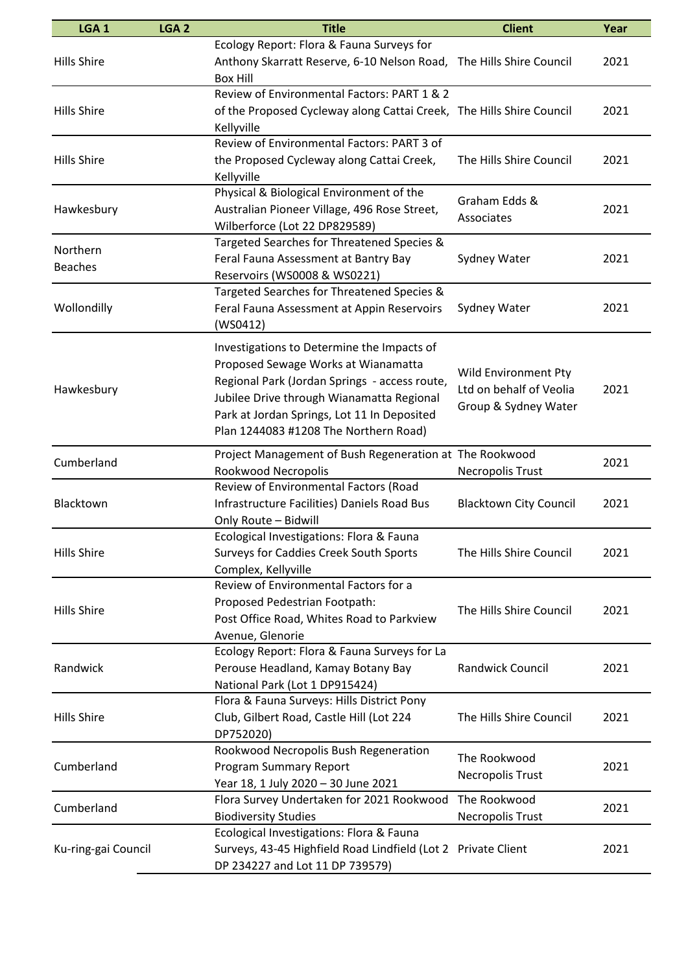| LGA <sub>1</sub>    | LGA <sub>2</sub> | <b>Title</b>                                                         | <b>Client</b>                 | Year |
|---------------------|------------------|----------------------------------------------------------------------|-------------------------------|------|
|                     |                  | Ecology Report: Flora & Fauna Surveys for                            |                               |      |
| <b>Hills Shire</b>  |                  | Anthony Skarratt Reserve, 6-10 Nelson Road,                          | The Hills Shire Council       | 2021 |
|                     |                  | <b>Box Hill</b>                                                      |                               |      |
|                     |                  | Review of Environmental Factors: PART 1 & 2                          |                               |      |
| <b>Hills Shire</b>  |                  | of the Proposed Cycleway along Cattai Creek, The Hills Shire Council |                               | 2021 |
|                     |                  | Kellyville                                                           |                               |      |
|                     |                  | Review of Environmental Factors: PART 3 of                           |                               |      |
| <b>Hills Shire</b>  |                  | the Proposed Cycleway along Cattai Creek,                            | The Hills Shire Council       | 2021 |
|                     |                  | Kellyville                                                           |                               |      |
|                     |                  | Physical & Biological Environment of the                             | Graham Edds &                 |      |
| Hawkesbury          |                  | Australian Pioneer Village, 496 Rose Street,                         | Associates                    | 2021 |
|                     |                  | Wilberforce (Lot 22 DP829589)                                        |                               |      |
| Northern            |                  | Targeted Searches for Threatened Species &                           |                               |      |
| <b>Beaches</b>      |                  | Feral Fauna Assessment at Bantry Bay                                 | Sydney Water                  | 2021 |
|                     |                  | Reservoirs (WS0008 & WS0221)                                         |                               |      |
|                     |                  | Targeted Searches for Threatened Species &                           |                               | 2021 |
| Wollondilly         |                  | Feral Fauna Assessment at Appin Reservoirs                           | Sydney Water                  |      |
|                     |                  | (WS0412)                                                             |                               |      |
|                     |                  | Investigations to Determine the Impacts of                           |                               | 2021 |
|                     |                  | Proposed Sewage Works at Wianamatta                                  |                               |      |
|                     |                  | Regional Park (Jordan Springs - access route,                        | <b>Wild Environment Pty</b>   |      |
| Hawkesbury          |                  | Jubilee Drive through Wianamatta Regional                            | Ltd on behalf of Veolia       |      |
|                     |                  | Park at Jordan Springs, Lot 11 In Deposited                          | Group & Sydney Water          |      |
|                     |                  | Plan 1244083 #1208 The Northern Road)                                |                               |      |
|                     |                  |                                                                      |                               |      |
| Cumberland          |                  | Project Management of Bush Regeneration at The Rookwood              |                               | 2021 |
|                     |                  | Rookwood Necropolis                                                  | Necropolis Trust              |      |
|                     |                  | Review of Environmental Factors (Road                                |                               |      |
| Blacktown           |                  | Infrastructure Facilities) Daniels Road Bus                          | <b>Blacktown City Council</b> | 2021 |
|                     |                  | Only Route - Bidwill                                                 |                               |      |
|                     |                  | Ecological Investigations: Flora & Fauna                             |                               |      |
| <b>Hills Shire</b>  |                  | Surveys for Caddies Creek South Sports                               | The Hills Shire Council       | 2021 |
|                     |                  | Complex, Kellyville                                                  |                               |      |
|                     |                  | Review of Environmental Factors for a                                |                               |      |
| <b>Hills Shire</b>  |                  | Proposed Pedestrian Footpath:                                        | The Hills Shire Council       | 2021 |
|                     |                  | Post Office Road, Whites Road to Parkview                            |                               |      |
|                     |                  | Avenue, Glenorie                                                     |                               |      |
|                     |                  | Ecology Report: Flora & Fauna Surveys for La                         |                               |      |
| Randwick            |                  | Perouse Headland, Kamay Botany Bay                                   | Randwick Council              | 2021 |
|                     |                  | National Park (Lot 1 DP915424)                                       |                               |      |
|                     |                  | Flora & Fauna Surveys: Hills District Pony                           |                               |      |
| <b>Hills Shire</b>  |                  | Club, Gilbert Road, Castle Hill (Lot 224                             | The Hills Shire Council       | 2021 |
|                     |                  | DP752020)                                                            |                               |      |
|                     |                  | Rookwood Necropolis Bush Regeneration                                | The Rookwood                  |      |
| Cumberland          |                  | Program Summary Report                                               |                               | 2021 |
|                     |                  | Year 18, 1 July 2020 - 30 June 2021                                  | Necropolis Trust              |      |
|                     |                  | Flora Survey Undertaken for 2021 Rookwood                            | The Rookwood                  |      |
| Cumberland          |                  | <b>Biodiversity Studies</b>                                          | Necropolis Trust              | 2021 |
|                     |                  | Ecological Investigations: Flora & Fauna                             |                               |      |
| Ku-ring-gai Council |                  | Surveys, 43-45 Highfield Road Lindfield (Lot 2 Private Client        |                               | 2021 |
|                     |                  | DP 234227 and Lot 11 DP 739579)                                      |                               |      |